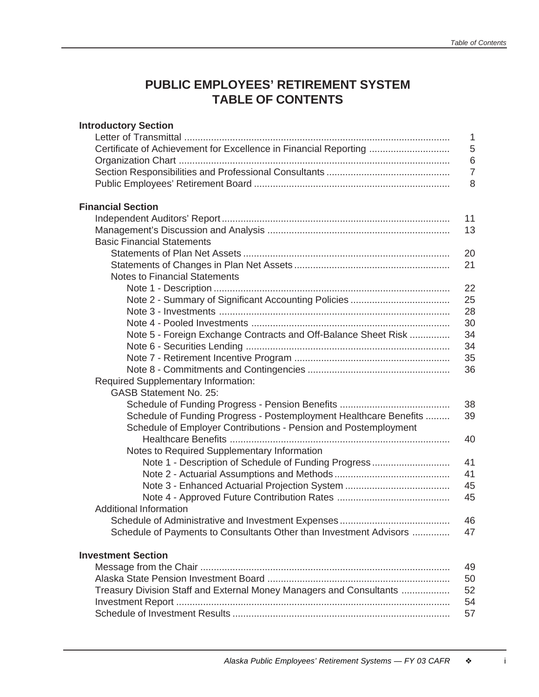# **PUBLIC EMPLOYEES' RETIREMENT SYSTEM TABLE OF CONTENTS**

| <b>Introductory Section</b>                                         |                 |
|---------------------------------------------------------------------|-----------------|
|                                                                     | $\mathbf 1$     |
| Certificate of Achievement for Excellence in Financial Reporting    | 5               |
|                                                                     | $6\phantom{1}6$ |
|                                                                     | $\overline{7}$  |
|                                                                     | 8               |
| <b>Financial Section</b>                                            |                 |
|                                                                     | 11              |
|                                                                     | 13              |
| <b>Basic Financial Statements</b>                                   |                 |
|                                                                     | 20              |
|                                                                     | 21              |
| <b>Notes to Financial Statements</b>                                |                 |
|                                                                     | 22              |
|                                                                     | 25              |
|                                                                     | 28              |
|                                                                     | 30              |
| Note 5 - Foreign Exchange Contracts and Off-Balance Sheet Risk      | 34              |
|                                                                     | 34              |
|                                                                     | 35              |
|                                                                     | 36              |
| <b>Required Supplementary Information:</b>                          |                 |
| <b>GASB Statement No. 25:</b>                                       |                 |
|                                                                     | 38              |
| Schedule of Funding Progress - Postemployment Healthcare Benefits   | 39              |
| Schedule of Employer Contributions - Pension and Postemployment     |                 |
|                                                                     | 40              |
| Notes to Required Supplementary Information                         |                 |
| Note 1 - Description of Schedule of Funding Progress                | 41              |
|                                                                     | 41              |
|                                                                     | 45              |
|                                                                     | 45              |
| <b>Additional Information</b>                                       |                 |
|                                                                     | 46              |
| Schedule of Payments to Consultants Other than Investment Advisors  | 47              |
| <b>Investment Section</b>                                           |                 |
|                                                                     | 49              |
|                                                                     | 50              |
| Treasury Division Staff and External Money Managers and Consultants | 52              |
|                                                                     | 54              |
|                                                                     | 57              |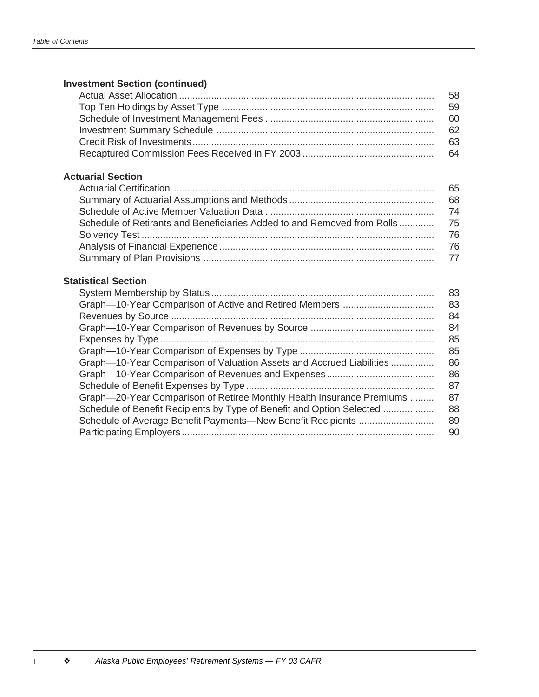### **Investment Section (continued)**

| .58 |
|-----|
| -59 |
| -60 |
| -62 |
| -63 |
|     |

### **Actuarial Section**

|                                                                            | 65 |
|----------------------------------------------------------------------------|----|
|                                                                            |    |
|                                                                            |    |
| Schedule of Retirants and Beneficiaries Added to and Removed from Rolls 75 |    |
|                                                                            |    |
|                                                                            |    |
|                                                                            |    |

### **Statistical Section**

|                                                                       | 83 |
|-----------------------------------------------------------------------|----|
|                                                                       | 83 |
|                                                                       | 84 |
|                                                                       | 84 |
|                                                                       | 85 |
|                                                                       | 85 |
| Graph-10-Year Comparison of Valuation Assets and Accrued Liabilities  | 86 |
|                                                                       | 86 |
|                                                                       | 87 |
| Graph-20-Year Comparison of Retiree Monthly Health Insurance Premiums | 87 |
| Schedule of Benefit Recipients by Type of Benefit and Option Selected | 88 |
|                                                                       | 89 |
|                                                                       | 90 |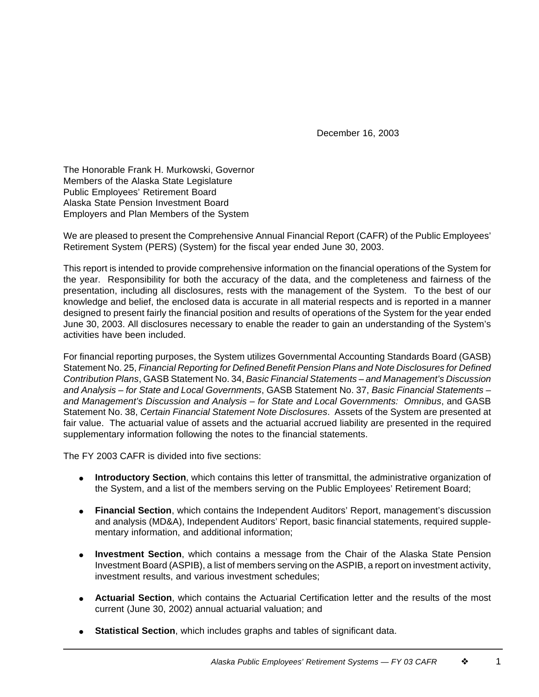December 16, 2003

The Honorable Frank H. Murkowski, Governor Members of the Alaska State Legislature Public Employees' Retirement Board Alaska State Pension Investment Board Employers and Plan Members of the System

We are pleased to present the Comprehensive Annual Financial Report (CAFR) of the Public Employees' Retirement System (PERS) (System) for the fiscal year ended June 30, 2003.

This report is intended to provide comprehensive information on the financial operations of the System for the year. Responsibility for both the accuracy of the data, and the completeness and fairness of the presentation, including all disclosures, rests with the management of the System. To the best of our knowledge and belief, the enclosed data is accurate in all material respects and is reported in a manner designed to present fairly the financial position and results of operations of the System for the year ended June 30, 2003. All disclosures necessary to enable the reader to gain an understanding of the System's activities have been included.

For financial reporting purposes, the System utilizes Governmental Accounting Standards Board (GASB) Statement No. 25, *Financial Reporting for Defined Benefit Pension Plans and Note Disclosures for Defined Contribution Plans*, GASB Statement No. 34, *Basic Financial Statements – and Management's Discussion and Analysis – for State and Local Governments*, GASB Statement No. 37, *Basic Financial Statements – and Management's Discussion and Analysis – for State and Local Governments: Omnibus*, and GASB Statement No. 38, *Certain Financial Statement Note Disclosures*. Assets of the System are presented at fair value. The actuarial value of assets and the actuarial accrued liability are presented in the required supplementary information following the notes to the financial statements.

The FY 2003 CAFR is divided into five sections:

- **Introductory Section**, which contains this letter of transmittal, the administrative organization of the System, and a list of the members serving on the Public Employees' Retirement Board;
- **Financial Section**, which contains the Independent Auditors' Report, management's discussion and analysis (MD&A), Independent Auditors' Report, basic financial statements, required supplementary information, and additional information;
- **Investment Section**, which contains a message from the Chair of the Alaska State Pension Investment Board (ASPIB), a list of members serving on the ASPIB, a report on investment activity, investment results, and various investment schedules;
- **Actuarial Section**, which contains the Actuarial Certification letter and the results of the most current (June 30, 2002) annual actuarial valuation; and
- **Statistical Section**, which includes graphs and tables of significant data.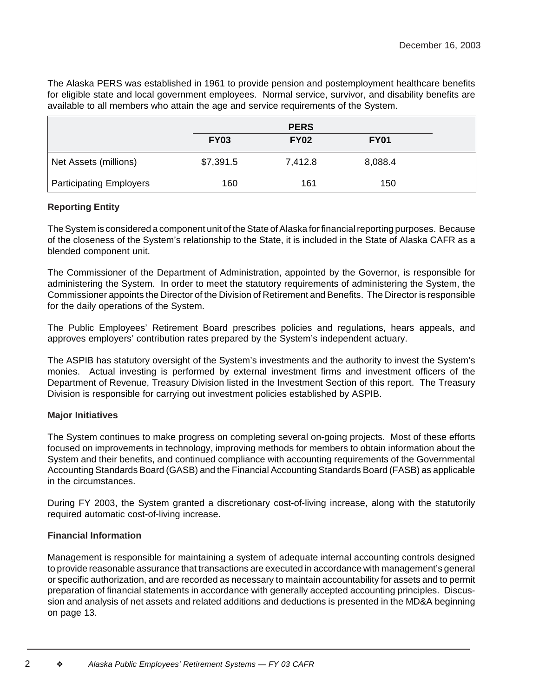The Alaska PERS was established in 1961 to provide pension and postemployment healthcare benefits for eligible state and local government employees. Normal service, survivor, and disability benefits are available to all members who attain the age and service requirements of the System.

|                                |             | <b>PERS</b> |             |  |  |  |
|--------------------------------|-------------|-------------|-------------|--|--|--|
|                                | <b>FY03</b> | <b>FY02</b> | <b>FY01</b> |  |  |  |
| Net Assets (millions)          | \$7,391.5   | 7,412.8     | 8,088.4     |  |  |  |
| <b>Participating Employers</b> | 160         | 161         | 150         |  |  |  |

#### **Reporting Entity**

The System is considered a component unit of the State of Alaska for financial reporting purposes. Because of the closeness of the System's relationship to the State, it is included in the State of Alaska CAFR as a blended component unit.

The Commissioner of the Department of Administration, appointed by the Governor, is responsible for administering the System. In order to meet the statutory requirements of administering the System, the Commissioner appoints the Director of the Division of Retirement and Benefits. The Director is responsible for the daily operations of the System.

The Public Employees' Retirement Board prescribes policies and regulations, hears appeals, and approves employers' contribution rates prepared by the System's independent actuary.

The ASPIB has statutory oversight of the System's investments and the authority to invest the System's monies. Actual investing is performed by external investment firms and investment officers of the Department of Revenue, Treasury Division listed in the Investment Section of this report. The Treasury Division is responsible for carrying out investment policies established by ASPIB.

#### **Major Initiatives**

The System continues to make progress on completing several on-going projects. Most of these efforts focused on improvements in technology, improving methods for members to obtain information about the System and their benefits, and continued compliance with accounting requirements of the Governmental Accounting Standards Board (GASB) and the Financial Accounting Standards Board (FASB) as applicable in the circumstances.

During FY 2003, the System granted a discretionary cost-of-living increase, along with the statutorily required automatic cost-of-living increase.

### **Financial Information**

Management is responsible for maintaining a system of adequate internal accounting controls designed to provide reasonable assurance that transactions are executed in accordance with management's general or specific authorization, and are recorded as necessary to maintain accountability for assets and to permit preparation of financial statements in accordance with generally accepted accounting principles. Discussion and analysis of net assets and related additions and deductions is presented in the MD&A beginning on page 13.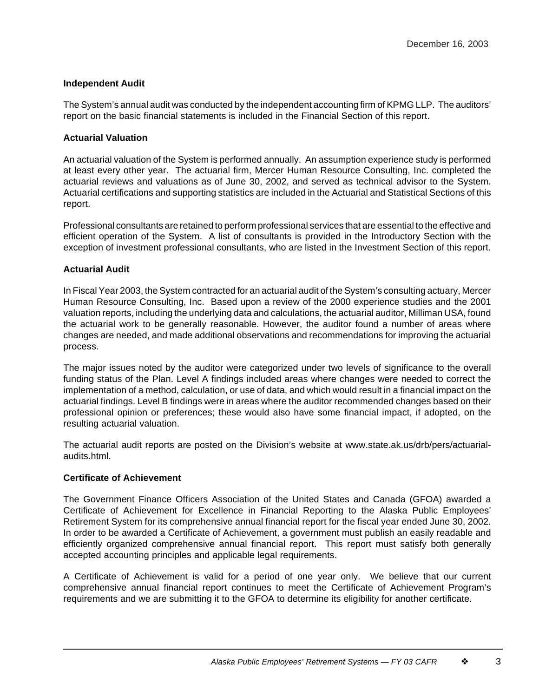#### **Independent Audit**

The System's annual audit was conducted by the independent accounting firm of KPMG LLP. The auditors' report on the basic financial statements is included in the Financial Section of this report.

#### **Actuarial Valuation**

An actuarial valuation of the System is performed annually. An assumption experience study is performed at least every other year. The actuarial firm, Mercer Human Resource Consulting, Inc. completed the actuarial reviews and valuations as of June 30, 2002, and served as technical advisor to the System. Actuarial certifications and supporting statistics are included in the Actuarial and Statistical Sections of this report.

Professional consultants are retained to perform professional services that are essential to the effective and efficient operation of the System. A list of consultants is provided in the Introductory Section with the exception of investment professional consultants, who are listed in the Investment Section of this report.

#### **Actuarial Audit**

In Fiscal Year 2003, the System contracted for an actuarial audit of the System's consulting actuary, Mercer Human Resource Consulting, Inc. Based upon a review of the 2000 experience studies and the 2001 valuation reports, including the underlying data and calculations, the actuarial auditor, Milliman USA, found the actuarial work to be generally reasonable. However, the auditor found a number of areas where changes are needed, and made additional observations and recommendations for improving the actuarial process.

The major issues noted by the auditor were categorized under two levels of significance to the overall funding status of the Plan. Level A findings included areas where changes were needed to correct the implementation of a method, calculation, or use of data, and which would result in a financial impact on the actuarial findings. Level B findings were in areas where the auditor recommended changes based on their professional opinion or preferences; these would also have some financial impact, if adopted, on the resulting actuarial valuation.

The actuarial audit reports are posted on the Division's website at www.state.ak.us/drb/pers/actuarialaudits.html.

#### **Certificate of Achievement**

The Government Finance Officers Association of the United States and Canada (GFOA) awarded a Certificate of Achievement for Excellence in Financial Reporting to the Alaska Public Employees' Retirement System for its comprehensive annual financial report for the fiscal year ended June 30, 2002. In order to be awarded a Certificate of Achievement, a government must publish an easily readable and efficiently organized comprehensive annual financial report. This report must satisfy both generally accepted accounting principles and applicable legal requirements.

A Certificate of Achievement is valid for a period of one year only. We believe that our current comprehensive annual financial report continues to meet the Certificate of Achievement Program's requirements and we are submitting it to the GFOA to determine its eligibility for another certificate.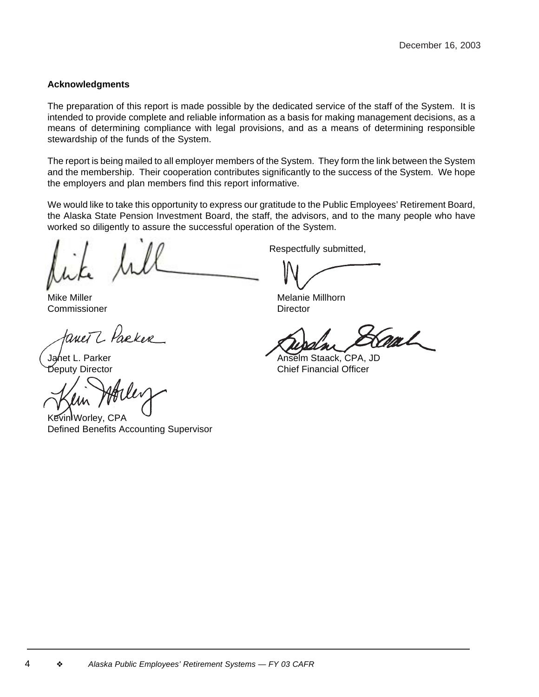#### **Acknowledgments**

The preparation of this report is made possible by the dedicated service of the staff of the System. It is intended to provide complete and reliable information as a basis for making management decisions, as a means of determining compliance with legal provisions, and as a means of determining responsible stewardship of the funds of the System.

The report is being mailed to all employer members of the System. They form the link between the System and the membership. Their cooperation contributes significantly to the success of the System. We hope the employers and plan members find this report informative.

We would like to take this opportunity to express our gratitude to the Public Employees' Retirement Board, the Alaska State Pension Investment Board, the staff, the advisors, and to the many people who have worked so diligently to assure the successful operation of the System.

Commissioner **Director** Director

bruett, Parken

KevinlWorlev, CPA Defined Benefits Accounting Supervisor

Respectfully submitted,

Mike Miller Manuel Melanie Millhorn Melanie Millhorn Melanie Millhorn Melanie Millhorn

Saal

Janet L. Parker **Anselm Staack, CPA, JD** Anselm Staack, CPA, JD Deputy Director Chief Financial Officer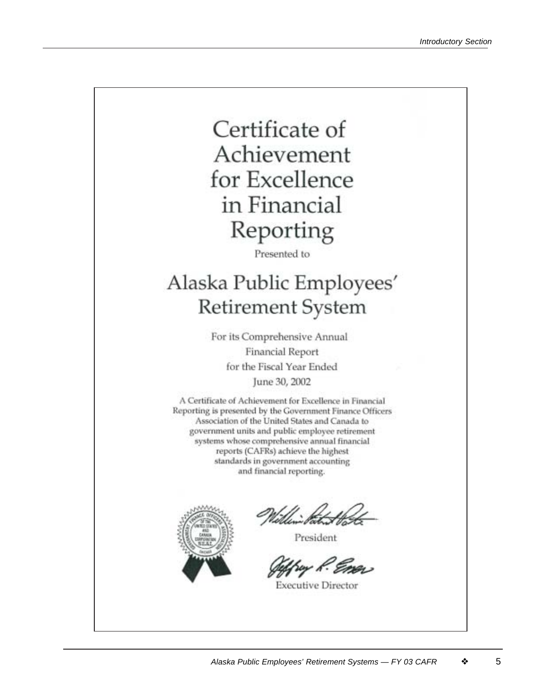

Presented to

# Alaska Public Employees' **Retirement System**

For its Comprehensive Annual **Financial Report** for the Fiscal Year Ended June 30, 2002

A Certificate of Achievement for Excellence in Financial Reporting is presented by the Government Finance Officers Association of the United States and Canada to government units and public employee retirement systems whose comprehensive annual financial reports (CAFRs) achieve the highest standards in government accounting and financial reporting.



President

**Executive Director**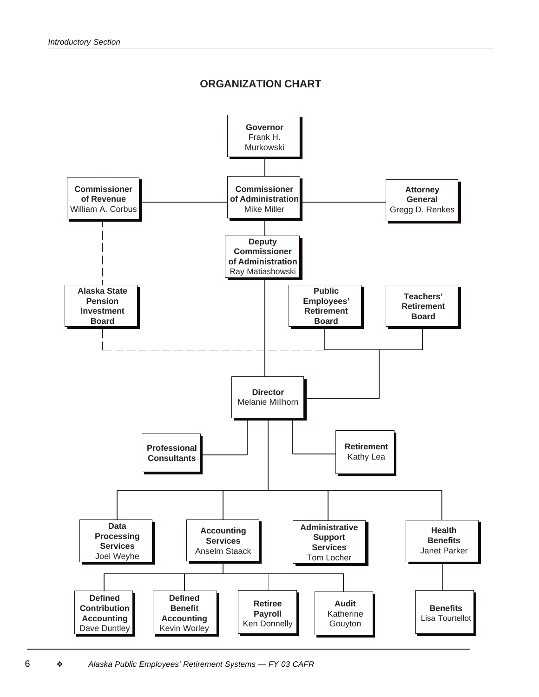### **ORGANIZATION CHART**

December 16, 2003

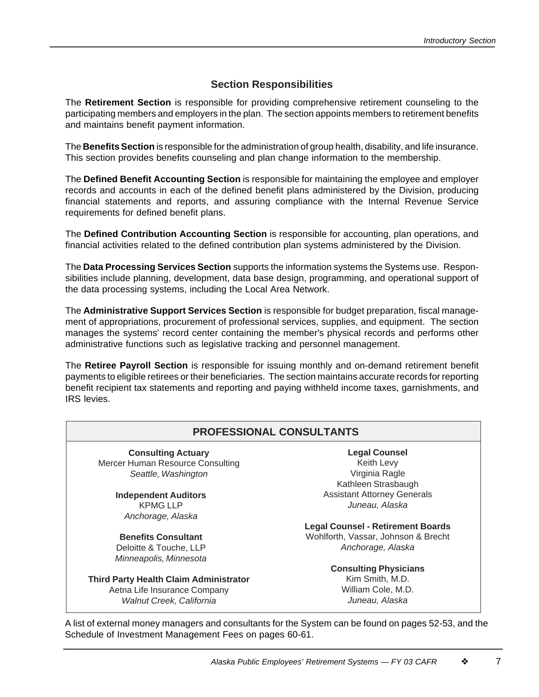### **Section Responsibilities**

The **Retirement Section** is responsible for providing comprehensive retirement counseling to the participating members and employers in the plan. The section appoints members to retirement benefits and maintains benefit payment information.

The **Benefits Section** is responsible for the administration of group health, disability, and life insurance. This section provides benefits counseling and plan change information to the membership.

The **Defined Benefit Accounting Section** is responsible for maintaining the employee and employer records and accounts in each of the defined benefit plans administered by the Division, producing financial statements and reports, and assuring compliance with the Internal Revenue Service requirements for defined benefit plans.

The **Defined Contribution Accounting Section** is responsible for accounting, plan operations, and financial activities related to the defined contribution plan systems administered by the Division.

The **Data Processing Services Section** supports the information systems the Systems use. Responsibilities include planning, development, data base design, programming, and operational support of the data processing systems, including the Local Area Network.

The **Administrative Support Services Section** is responsible for budget preparation, fiscal management of appropriations, procurement of professional services, supplies, and equipment. The section manages the systems' record center containing the member's physical records and performs other administrative functions such as legislative tracking and personnel management.

The **Retiree Payroll Section** is responsible for issuing monthly and on-demand retirement benefit payments to eligible retirees or their beneficiaries. The section maintains accurate records for reporting benefit recipient tax statements and reporting and paying withheld income taxes, garnishments, and IRS levies.

| PROFESSIONAL CONSULTANTS                      |                                          |  |  |  |  |  |
|-----------------------------------------------|------------------------------------------|--|--|--|--|--|
| <b>Consulting Actuary</b>                     | <b>Legal Counsel</b>                     |  |  |  |  |  |
| Mercer Human Resource Consulting              | Keith Levy                               |  |  |  |  |  |
| Seattle, Washington                           | Virginia Ragle                           |  |  |  |  |  |
|                                               | Kathleen Strasbaugh                      |  |  |  |  |  |
| <b>Independent Auditors</b>                   | <b>Assistant Attorney Generals</b>       |  |  |  |  |  |
| <b>KPMG LLP</b>                               | Juneau, Alaska                           |  |  |  |  |  |
| Anchorage, Alaska                             |                                          |  |  |  |  |  |
|                                               | <b>Legal Counsel - Retirement Boards</b> |  |  |  |  |  |
| <b>Benefits Consultant</b>                    | Wohlforth, Vassar, Johnson & Brecht      |  |  |  |  |  |
| Deloitte & Touche, LLP                        | Anchorage, Alaska                        |  |  |  |  |  |
| Minneapolis, Minnesota                        |                                          |  |  |  |  |  |
|                                               | <b>Consulting Physicians</b>             |  |  |  |  |  |
| <b>Third Party Health Claim Administrator</b> | Kim Smith, M.D.                          |  |  |  |  |  |
| Aetna Life Insurance Company                  | William Cole, M.D.                       |  |  |  |  |  |
| Walnut Creek, California                      | Juneau, Alaska                           |  |  |  |  |  |
|                                               |                                          |  |  |  |  |  |

A list of external money managers and consultants for the System can be found on pages 52-53, and the Schedule of Investment Management Fees on pages 60-61.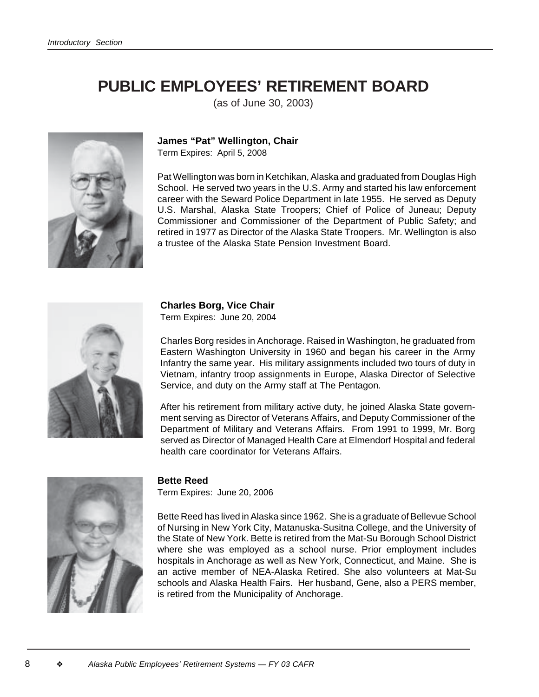# **PUBLIC EMPLOYEES' RETIREMENT BOARD**

(as of June 30, 2003)



**James "Pat" Wellington, Chair** Term Expires: April 5, 2008

Pat Wellington was born in Ketchikan, Alaska and graduated from Douglas High School. He served two years in the U.S. Army and started his law enforcement career with the Seward Police Department in late 1955. He served as Deputy U.S. Marshal, Alaska State Troopers; Chief of Police of Juneau; Deputy Commissioner and Commissioner of the Department of Public Safety; and retired in 1977 as Director of the Alaska State Troopers. Mr. Wellington is also a trustee of the Alaska State Pension Investment Board.

December 16, 2003



**Charles Borg, Vice Chair** Term Expires: June 20, 2004

Charles Borg resides in Anchorage. Raised in Washington, he graduated from Eastern Washington University in 1960 and began his career in the Army Infantry the same year. His military assignments included two tours of duty in Vietnam, infantry troop assignments in Europe, Alaska Director of Selective Service, and duty on the Army staff at The Pentagon.

After his retirement from military active duty, he joined Alaska State government serving as Director of Veterans Affairs, and Deputy Commissioner of the Department of Military and Veterans Affairs. From 1991 to 1999, Mr. Borg served as Director of Managed Health Care at Elmendorf Hospital and federal health care coordinator for Veterans Affairs.



#### **Bette Reed**

Term Expires: June 20, 2006

Bette Reed has lived in Alaska since 1962. She is a graduate of Bellevue School of Nursing in New York City, Matanuska-Susitna College, and the University of the State of New York. Bette is retired from the Mat-Su Borough School District where she was employed as a school nurse. Prior employment includes hospitals in Anchorage as well as New York, Connecticut, and Maine. She is an active member of NEA-Alaska Retired. She also volunteers at Mat-Su schools and Alaska Health Fairs. Her husband, Gene, also a PERS member, is retired from the Municipality of Anchorage.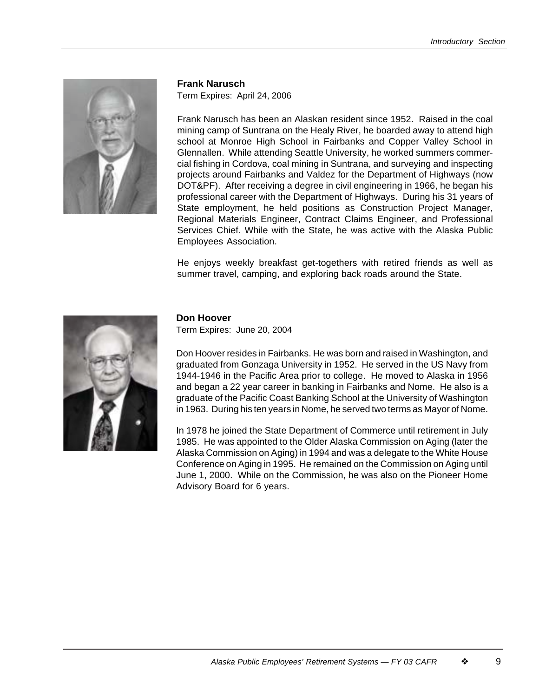

**Frank Narusch**

Term Expires: April 24, 2006

Frank Narusch has been an Alaskan resident since 1952. Raised in the coal mining camp of Suntrana on the Healy River, he boarded away to attend high school at Monroe High School in Fairbanks and Copper Valley School in Glennallen. While attending Seattle University, he worked summers commercial fishing in Cordova, coal mining in Suntrana, and surveying and inspecting projects around Fairbanks and Valdez for the Department of Highways (now DOT&PF). After receiving a degree in civil engineering in 1966, he began his professional career with the Department of Highways. During his 31 years of State employment, he held positions as Construction Project Manager, Regional Materials Engineer, Contract Claims Engineer, and Professional Services Chief. While with the State, he was active with the Alaska Public Employees Association.

He enjoys weekly breakfast get-togethers with retired friends as well as summer travel, camping, and exploring back roads around the State.



#### **Don Hoover**

Term Expires: June 20, 2004

Don Hoover resides in Fairbanks. He was born and raised in Washington, and graduated from Gonzaga University in 1952. He served in the US Navy from 1944-1946 in the Pacific Area prior to college. He moved to Alaska in 1956 and began a 22 year career in banking in Fairbanks and Nome. He also is a graduate of the Pacific Coast Banking School at the University of Washington in 1963. During his ten years in Nome, he served two terms as Mayor of Nome.

In 1978 he joined the State Department of Commerce until retirement in July 1985. He was appointed to the Older Alaska Commission on Aging (later the Alaska Commission on Aging) in 1994 and was a delegate to the White House Conference on Aging in 1995. He remained on the Commission on Aging until June 1, 2000. While on the Commission, he was also on the Pioneer Home Advisory Board for 6 years.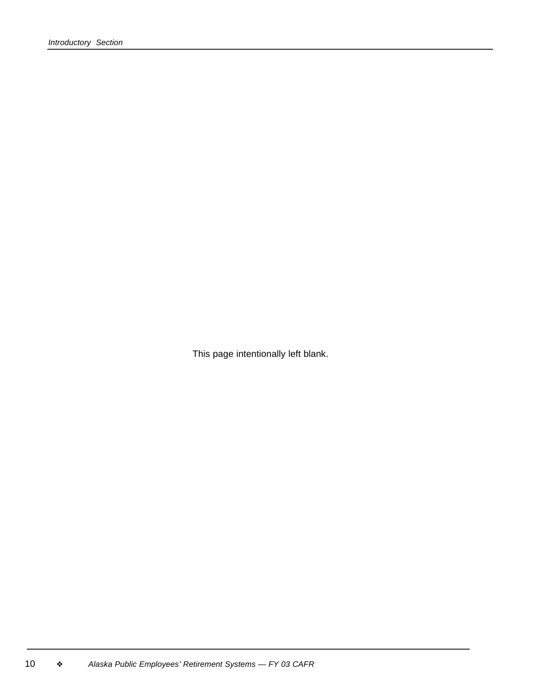This page intentionally left blank.

December 16, 2003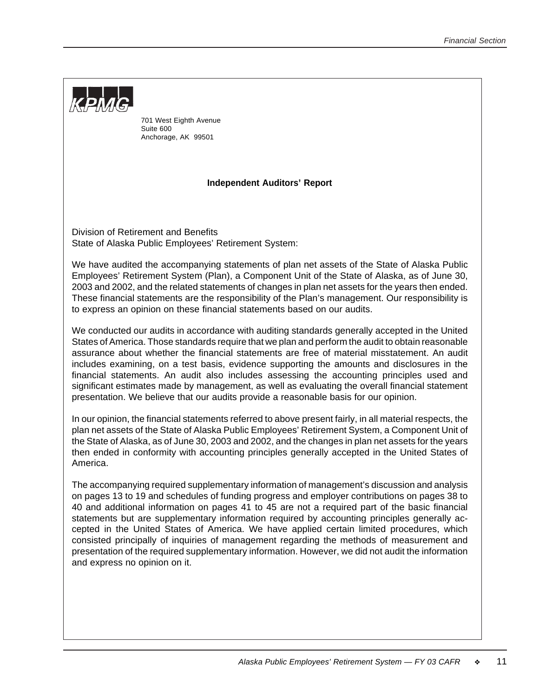

701 West Eighth Avenue Suite 600 Anchorage, AK 99501

#### **Independent Auditors' Report**

Division of Retirement and Benefits State of Alaska Public Employees' Retirement System:

We have audited the accompanying statements of plan net assets of the State of Alaska Public Employees' Retirement System (Plan), a Component Unit of the State of Alaska, as of June 30, 2003 and 2002, and the related statements of changes in plan net assets for the years then ended. These financial statements are the responsibility of the Plan's management. Our responsibility is to express an opinion on these financial statements based on our audits.

We conducted our audits in accordance with auditing standards generally accepted in the United States of America. Those standards require that we plan and perform the audit to obtain reasonable assurance about whether the financial statements are free of material misstatement. An audit includes examining, on a test basis, evidence supporting the amounts and disclosures in the financial statements. An audit also includes assessing the accounting principles used and significant estimates made by management, as well as evaluating the overall financial statement presentation. We believe that our audits provide a reasonable basis for our opinion.

In our opinion, the financial statements referred to above present fairly, in all material respects, the plan net assets of the State of Alaska Public Employees' Retirement System, a Component Unit of the State of Alaska, as of June 30, 2003 and 2002, and the changes in plan net assets for the years then ended in conformity with accounting principles generally accepted in the United States of America.

The accompanying required supplementary information of management's discussion and analysis on pages 13 to 19 and schedules of funding progress and employer contributions on pages 38 to 40 and additional information on pages 41 to 45 are not a required part of the basic financial statements but are supplementary information required by accounting principles generally accepted in the United States of America. We have applied certain limited procedures, which consisted principally of inquiries of management regarding the methods of measurement and presentation of the required supplementary information. However, we did not audit the information and express no opinion on it.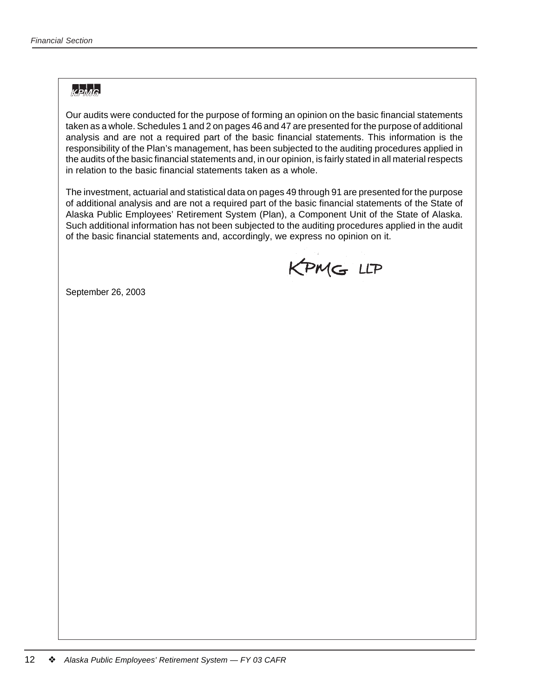### $K$  $R$  $n$  $G$

Our audits were conducted for the purpose of forming an opinion on the basic financial statements taken as a whole. Schedules 1 and 2 on pages 46 and 47 are presented for the purpose of additional analysis and are not a required part of the basic financial statements. This information is the responsibility of the Plan's management, has been subjected to the auditing procedures applied in the audits of the basic financial statements and, in our opinion, is fairly stated in all material respects in relation to the basic financial statements taken as a whole.

The investment, actuarial and statistical data on pages 49 through 91 are presented for the purpose of additional analysis and are not a required part of the basic financial statements of the State of Alaska Public Employees' Retirement System (Plan), a Component Unit of the State of Alaska. Such additional information has not been subjected to the auditing procedures applied in the audit of the basic financial statements and, accordingly, we express no opinion on it.

KPMG LLP

September 26, 2003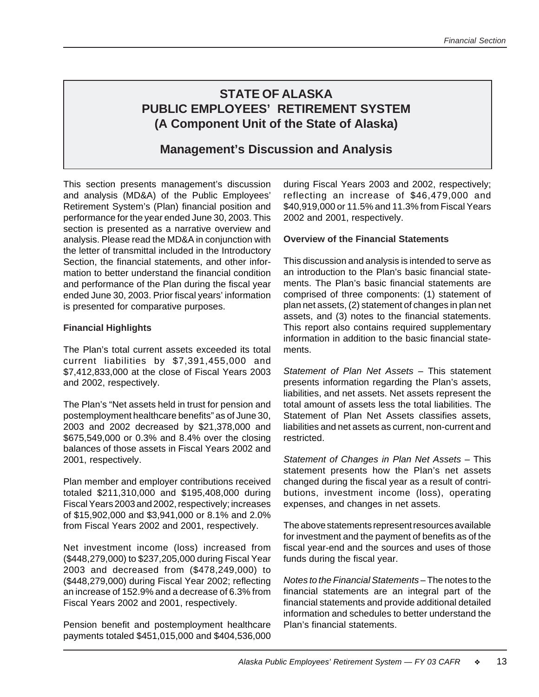### **Management's Discussion and Analysis**

This section presents management's discussion and analysis (MD&A) of the Public Employees' Retirement System's (Plan) financial position and performance for the year ended June 30, 2003. This section is presented as a narrative overview and analysis. Please read the MD&A in conjunction with the letter of transmittal included in the Introductory Section, the financial statements, and other information to better understand the financial condition and performance of the Plan during the fiscal year ended June 30, 2003. Prior fiscal years' information is presented for comparative purposes.

#### **Financial Highlights**

The Plan's total current assets exceeded its total current liabilities by \$7,391,455,000 and \$7,412,833,000 at the close of Fiscal Years 2003 and 2002, respectively.

The Plan's "Net assets held in trust for pension and postemployment healthcare benefits" as of June 30, 2003 and 2002 decreased by \$21,378,000 and \$675,549,000 or 0.3% and 8.4% over the closing balances of those assets in Fiscal Years 2002 and 2001, respectively.

Plan member and employer contributions received totaled \$211,310,000 and \$195,408,000 during Fiscal Years 2003 and 2002, respectively; increases of \$15,902,000 and \$3,941,000 or 8.1% and 2.0% from Fiscal Years 2002 and 2001, respectively.

Net investment income (loss) increased from (\$448,279,000) to \$237,205,000 during Fiscal Year 2003 and decreased from (\$478,249,000) to (\$448,279,000) during Fiscal Year 2002; reflecting an increase of 152.9% and a decrease of 6.3% from Fiscal Years 2002 and 2001, respectively.

Pension benefit and postemployment healthcare payments totaled \$451,015,000 and \$404,536,000 during Fiscal Years 2003 and 2002, respectively; reflecting an increase of \$46,479,000 and \$40,919,000 or 11.5% and 11.3% from Fiscal Years 2002 and 2001, respectively.

#### **Overview of the Financial Statements**

This discussion and analysis is intended to serve as an introduction to the Plan's basic financial statements. The Plan's basic financial statements are comprised of three components: (1) statement of plan net assets, (2) statement of changes in plan net assets, and (3) notes to the financial statements. This report also contains required supplementary information in addition to the basic financial statements.

*Statement of Plan Net Assets* – This statement presents information regarding the Plan's assets, liabilities, and net assets. Net assets represent the total amount of assets less the total liabilities. The Statement of Plan Net Assets classifies assets, liabilities and net assets as current, non-current and restricted.

*Statement of Changes in Plan Net Assets* – This statement presents how the Plan's net assets changed during the fiscal year as a result of contributions, investment income (loss), operating expenses, and changes in net assets.

The above statements represent resources available for investment and the payment of benefits as of the fiscal year-end and the sources and uses of those funds during the fiscal year.

*Notes to the Financial Statements* – The notes to the financial statements are an integral part of the financial statements and provide additional detailed information and schedules to better understand the Plan's financial statements.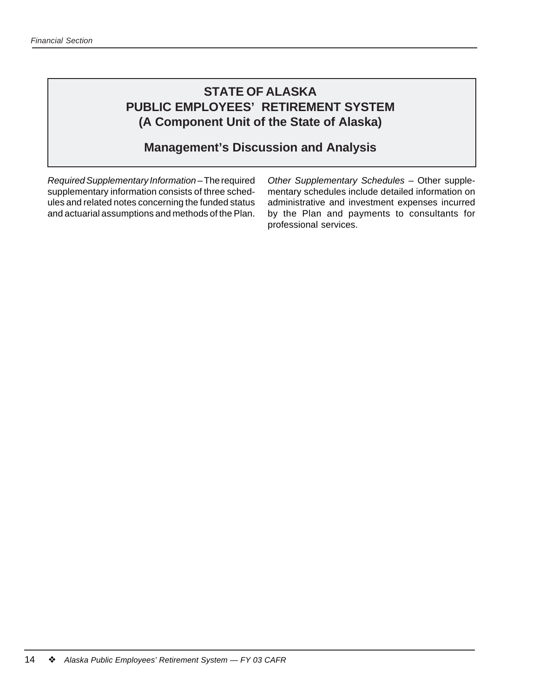# **Management's Discussion and Analysis**

*Required Supplementary Information* – The required supplementary information consists of three schedules and related notes concerning the funded status and actuarial assumptions and methods of the Plan. *Other Supplementary Schedules* – Other supplementary schedules include detailed information on administrative and investment expenses incurred by the Plan and payments to consultants for professional services.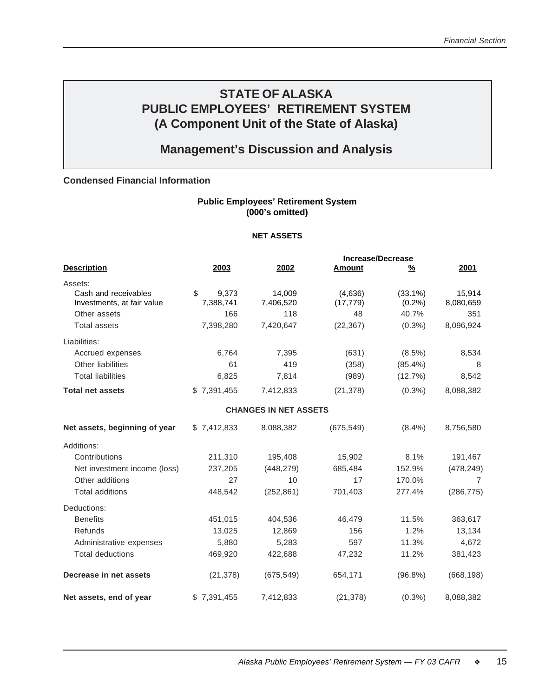# **Management's Discussion and Analysis**

#### **Condensed Financial Information**

#### **Public Employees' Retirement System (000's omitted)**

#### **NET ASSETS**

|                               |                |                              | <b>Increase/Decrease</b> |            |                |
|-------------------------------|----------------|------------------------------|--------------------------|------------|----------------|
| <b>Description</b>            | 2003           | 2002                         | <b>Amount</b>            | %          | 2001           |
| Assets:                       |                |                              |                          |            |                |
| Cash and receivables          | \$<br>9,373    | 14,009                       | (4,636)                  | $(33.1\%)$ | 15,914         |
| Investments, at fair value    | 7,388,741      | 7,406,520                    | (17, 779)                | $(0.2\%)$  | 8,080,659      |
| Other assets                  | 166            | 118                          | 48                       | 40.7%      | 351            |
| <b>Total assets</b>           | 7,398,280      | 7,420,647                    | (22, 367)                | $(0.3\%)$  | 8,096,924      |
| Liabilities:                  |                |                              |                          |            |                |
| Accrued expenses              | 6,764          | 7,395                        | (631)                    | $(8.5\%)$  | 8,534          |
| Other liabilities             | 61             | 419                          | (358)                    | $(85.4\%)$ | 8              |
| <b>Total liabilities</b>      | 6,825          | 7,814                        | (989)                    | (12.7%)    | 8,542          |
| <b>Total net assets</b>       | \$7,391,455    | 7,412,833                    | (21, 378)                | $(0.3\%)$  | 8,088,382      |
|                               |                | <b>CHANGES IN NET ASSETS</b> |                          |            |                |
| Net assets, beginning of year | \$7,412,833    | 8,088,382                    | (675, 549)               | $(8.4\%)$  | 8,756,580      |
| Additions:                    |                |                              |                          |            |                |
| Contributions                 | 211,310        | 195,408                      | 15,902                   | 8.1%       | 191,467        |
| Net investment income (loss)  | 237,205        | (448, 279)                   | 685,484                  | 152.9%     | (478, 249)     |
| Other additions               | 27             | 10                           | 17                       | 170.0%     | $\overline{7}$ |
| <b>Total additions</b>        | 448,542        | (252, 861)                   | 701,403                  | 277.4%     | (286, 775)     |
| Deductions:                   |                |                              |                          |            |                |
| <b>Benefits</b>               | 451,015        | 404,536                      | 46,479                   | 11.5%      | 363,617        |
| <b>Refunds</b>                | 13,025         | 12,869                       | 156                      | 1.2%       | 13,134         |
| Administrative expenses       | 5,880          | 5,283                        | 597                      | 11.3%      | 4,672          |
| <b>Total deductions</b>       | 469,920        | 422,688                      | 47,232                   | 11.2%      | 381,423        |
| Decrease in net assets        | (21, 378)      | (675, 549)                   | 654,171                  | $(96.8\%)$ | (668, 198)     |
| Net assets, end of year       | 7,391,455<br>S | 7,412,833                    | (21, 378)                | (0.3%)     | 8,088,382      |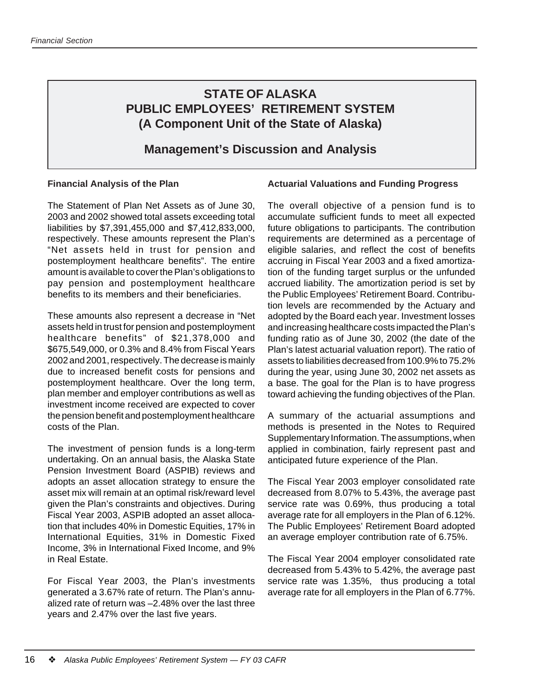### **Management's Discussion and Analysis**

#### **Financial Analysis of the Plan**

The Statement of Plan Net Assets as of June 30, 2003 and 2002 showed total assets exceeding total liabilities by \$7,391,455,000 and \$7,412,833,000, respectively. These amounts represent the Plan's "Net assets held in trust for pension and postemployment healthcare benefits". The entire amount is available to cover the Plan's obligations to pay pension and postemployment healthcare benefits to its members and their beneficiaries.

These amounts also represent a decrease in "Net assets held in trust for pension and postemployment healthcare benefits" of \$21,378,000 and \$675,549,000, or 0.3% and 8.4% from Fiscal Years 2002 and 2001, respectively. The decrease is mainly due to increased benefit costs for pensions and postemployment healthcare. Over the long term, plan member and employer contributions as well as investment income received are expected to cover the pension benefit and postemployment healthcare costs of the Plan.

The investment of pension funds is a long-term undertaking. On an annual basis, the Alaska State Pension Investment Board (ASPIB) reviews and adopts an asset allocation strategy to ensure the asset mix will remain at an optimal risk/reward level given the Plan's constraints and objectives. During Fiscal Year 2003, ASPIB adopted an asset allocation that includes 40% in Domestic Equities, 17% in International Equities, 31% in Domestic Fixed Income, 3% in International Fixed Income, and 9% in Real Estate.

For Fiscal Year 2003, the Plan's investments generated a 3.67% rate of return. The Plan's annualized rate of return was –2.48% over the last three years and 2.47% over the last five years.

### **Actuarial Valuations and Funding Progress**

The overall objective of a pension fund is to accumulate sufficient funds to meet all expected future obligations to participants. The contribution requirements are determined as a percentage of eligible salaries, and reflect the cost of benefits accruing in Fiscal Year 2003 and a fixed amortization of the funding target surplus or the unfunded accrued liability. The amortization period is set by the Public Employees' Retirement Board. Contribution levels are recommended by the Actuary and adopted by the Board each year. Investment losses and increasing healthcare costs impacted the Plan's funding ratio as of June 30, 2002 (the date of the Plan's latest actuarial valuation report). The ratio of assets to liabilities decreased from 100.9% to 75.2% during the year, using June 30, 2002 net assets as a base. The goal for the Plan is to have progress toward achieving the funding objectives of the Plan.

A summary of the actuarial assumptions and methods is presented in the Notes to Required Supplementary Information. The assumptions, when applied in combination, fairly represent past and anticipated future experience of the Plan.

The Fiscal Year 2003 employer consolidated rate decreased from 8.07% to 5.43%, the average past service rate was 0.69%, thus producing a total average rate for all employers in the Plan of 6.12%. The Public Employees' Retirement Board adopted an average employer contribution rate of 6.75%.

The Fiscal Year 2004 employer consolidated rate decreased from 5.43% to 5.42%, the average past service rate was 1.35%, thus producing a total average rate for all employers in the Plan of 6.77%.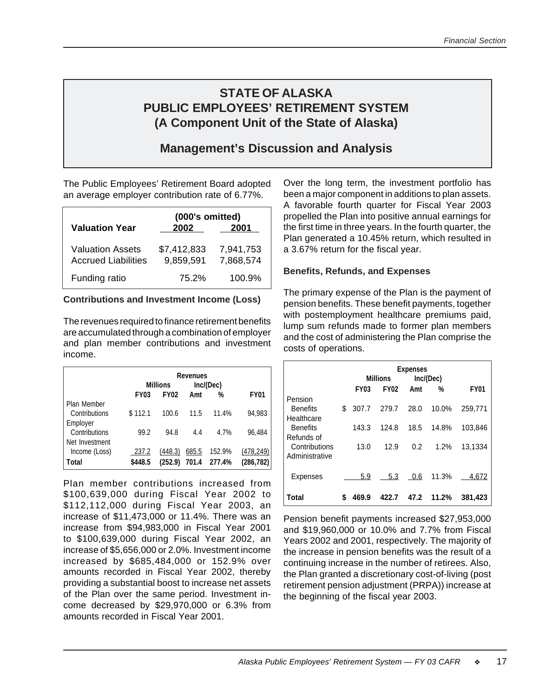### **Management's Discussion and Analysis**

The Public Employees' Retirement Board adopted an average employer contribution rate of 6.77%.

|                                                | (000's omitted)          |                        |  |  |  |  |
|------------------------------------------------|--------------------------|------------------------|--|--|--|--|
| <b>Valuation Year</b>                          | 2002                     | 2001                   |  |  |  |  |
| Valuation Assets<br><b>Accrued Liabilities</b> | \$7,412,833<br>9,859,591 | 7,941,753<br>7,868,574 |  |  |  |  |
| Funding ratio                                  | 75.2%                    | 100.9%                 |  |  |  |  |

#### **Contributions and Investment Income (Loss)**

The revenues required to finance retirement benefits are accumulated through a combination of employer and plan member contributions and investment income.

|                |         | Inc/(Dec)<br><b>Millions</b> |       |        |             |
|----------------|---------|------------------------------|-------|--------|-------------|
|                | FY03    | <b>FY02</b>                  | Amt   | %      | <b>FY01</b> |
| Plan Member    |         |                              |       |        |             |
| Contributions  | \$112.1 | 100.6                        | 11.5  | 11.4%  | 94,983      |
| Employer       |         |                              |       |        |             |
| Contributions  | 99.2    | 94.8                         | 4.4   | 4.7%   | 96.484      |
| Net Investment |         |                              |       |        |             |
| Income (Loss)  | 237.2   | (448.3)                      | 685.5 | 152.9% | (478, 249)  |
| Total          | \$448.5 | (252.9)                      | 701.4 | 277.4% | (286, 782)  |

Plan member contributions increased from \$100,639,000 during Fiscal Year 2002 to \$112,112,000 during Fiscal Year 2003, an increase of \$11,473,000 or 11.4%. There was an increase from \$94,983,000 in Fiscal Year 2001 to \$100,639,000 during Fiscal Year 2002, an increase of \$5,656,000 or 2.0%. Investment income increased by \$685,484,000 or 152.9% over amounts recorded in Fiscal Year 2002, thereby providing a substantial boost to increase net assets of the Plan over the same period. Investment income decreased by \$29,970,000 or 6.3% from amounts recorded in Fiscal Year 2001.

Over the long term, the investment portfolio has been a major component in additions to plan assets. A favorable fourth quarter for Fiscal Year 2003 propelled the Plan into positive annual earnings for the first time in three years. In the fourth quarter, the Plan generated a 10.45% return, which resulted in a 3.67% return for the fiscal year.

### **Benefits, Refunds, and Expenses**

The primary expense of the Plan is the payment of pension benefits. These benefit payments, together with postemployment healthcare premiums paid, lump sum refunds made to former plan members and the cost of administering the Plan comprise the costs of operations.

|                                               | <b>Expenses</b> |                 |      |           |             |  |  |
|-----------------------------------------------|-----------------|-----------------|------|-----------|-------------|--|--|
|                                               |                 | <b>Millions</b> |      | Inc/(Dec) |             |  |  |
|                                               | <b>FY03</b>     | <b>FY02</b>     | Amt  | %         | <b>FY01</b> |  |  |
| Pension                                       |                 |                 |      |           |             |  |  |
| <b>Benefits</b>                               | \$<br>307.7     | 279.7           | 28.0 | 10.0%     | 259,771     |  |  |
| Healthcare                                    |                 |                 |      |           |             |  |  |
| <b>Benefits</b>                               | 143.3           | 124.8           | 18.5 | 14.8%     | 103.846     |  |  |
| Refunds of<br>Contributions<br>Administrative | 13.0            | 12.9            | 0.2  | 1.2%      | 13.1334     |  |  |
| Expenses                                      | 5.9             | 5.3             | 0.6  | 11.3%     | 4,672       |  |  |
| Total                                         | \$<br>469.9     | 422.7           | 47.2 | 11.2%     | 381.423     |  |  |

Pension benefit payments increased \$27,953,000 and \$19,960,000 or 10.0% and 7.7% from Fiscal Years 2002 and 2001, respectively. The majority of the increase in pension benefits was the result of a continuing increase in the number of retirees. Also, the Plan granted a discretionary cost-of-living (post retirement pension adjustment (PRPA)) increase at the beginning of the fiscal year 2003.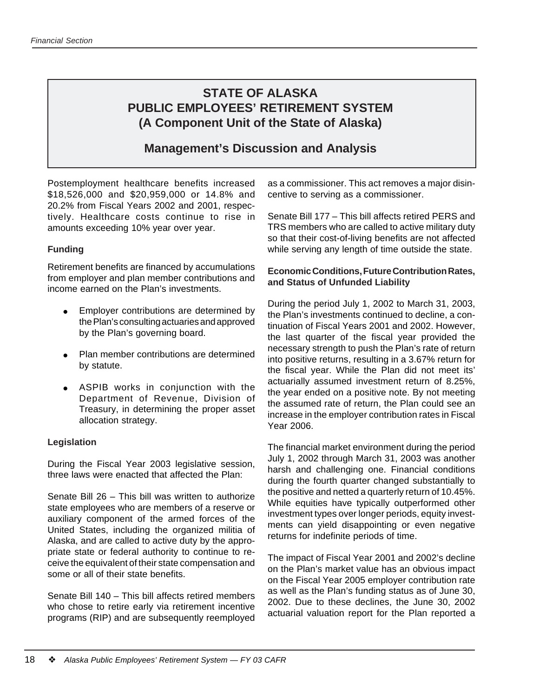### **Management's Discussion and Analysis**

Postemployment healthcare benefits increased \$18,526,000 and \$20,959,000 or 14.8% and 20.2% from Fiscal Years 2002 and 2001, respectively. Healthcare costs continue to rise in amounts exceeding 10% year over year.

### **Funding**

Retirement benefits are financed by accumulations from employer and plan member contributions and income earned on the Plan's investments.

- Employer contributions are determined by the Plan's consulting actuaries and approved by the Plan's governing board.
- Plan member contributions are determined by statute.
- ASPIB works in conjunction with the Department of Revenue, Division of Treasury, in determining the proper asset allocation strategy.

#### **Legislation**

During the Fiscal Year 2003 legislative session, three laws were enacted that affected the Plan:

Senate Bill 26 – This bill was written to authorize state employees who are members of a reserve or auxiliary component of the armed forces of the United States, including the organized militia of Alaska, and are called to active duty by the appropriate state or federal authority to continue to receive the equivalent of their state compensation and some or all of their state benefits.

Senate Bill 140 – This bill affects retired members who chose to retire early via retirement incentive programs (RIP) and are subsequently reemployed as a commissioner. This act removes a major disincentive to serving as a commissioner.

Senate Bill 177 – This bill affects retired PERS and TRS members who are called to active military duty so that their cost-of-living benefits are not affected while serving any length of time outside the state.

#### **Economic Conditions, Future Contribution Rates, and Status of Unfunded Liability**

During the period July 1, 2002 to March 31, 2003, the Plan's investments continued to decline, a continuation of Fiscal Years 2001 and 2002. However, the last quarter of the fiscal year provided the necessary strength to push the Plan's rate of return into positive returns, resulting in a 3.67% return for the fiscal year. While the Plan did not meet its' actuarially assumed investment return of 8.25%, the year ended on a positive note. By not meeting the assumed rate of return, the Plan could see an increase in the employer contribution rates in Fiscal Year 2006.

The financial market environment during the period July 1, 2002 through March 31, 2003 was another harsh and challenging one. Financial conditions during the fourth quarter changed substantially to the positive and netted a quarterly return of 10.45%. While equities have typically outperformed other investment types over longer periods, equity investments can yield disappointing or even negative returns for indefinite periods of time.

The impact of Fiscal Year 2001 and 2002's decline on the Plan's market value has an obvious impact on the Fiscal Year 2005 employer contribution rate as well as the Plan's funding status as of June 30, 2002. Due to these declines, the June 30, 2002 actuarial valuation report for the Plan reported a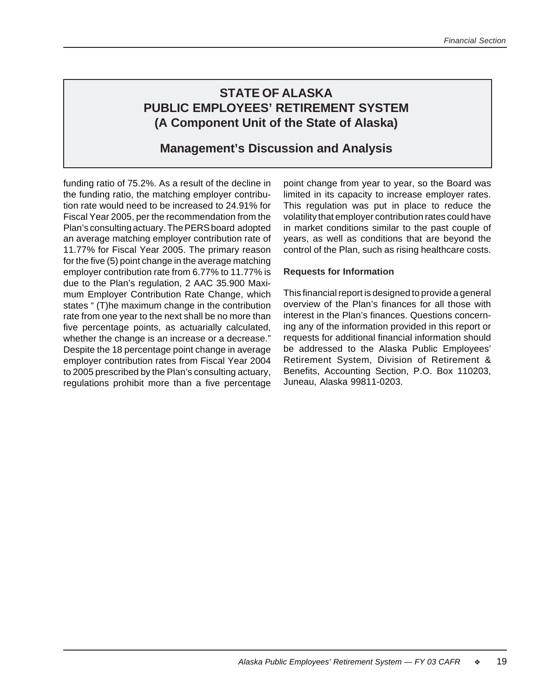### **Management's Discussion and Analysis**

funding ratio of 75.2%. As a result of the decline in the funding ratio, the matching employer contribution rate would need to be increased to 24.91% for Fiscal Year 2005, per the recommendation from the Plan's consulting actuary. The PERS board adopted an average matching employer contribution rate of 11.77% for Fiscal Year 2005. The primary reason for the five (5) point change in the average matching employer contribution rate from 6.77% to 11.77% is due to the Plan's regulation, 2 AAC 35.900 Maximum Employer Contribution Rate Change, which states " (T)he maximum change in the contribution rate from one year to the next shall be no more than five percentage points, as actuarially calculated, whether the change is an increase or a decrease." Despite the 18 percentage point change in average employer contribution rates from Fiscal Year 2004 to 2005 prescribed by the Plan's consulting actuary, regulations prohibit more than a five percentage

point change from year to year, so the Board was limited in its capacity to increase employer rates. This regulation was put in place to reduce the volatility that employer contribution rates could have in market conditions similar to the past couple of years, as well as conditions that are beyond the control of the Plan, such as rising healthcare costs.

#### **Requests for Information**

This financial report is designed to provide a general overview of the Plan's finances for all those with interest in the Plan's finances. Questions concerning any of the information provided in this report or requests for additional financial information should be addressed to the Alaska Public Employees' Retirement System, Division of Retirement & Benefits, Accounting Section, P.O. Box 110203, Juneau, Alaska 99811-0203.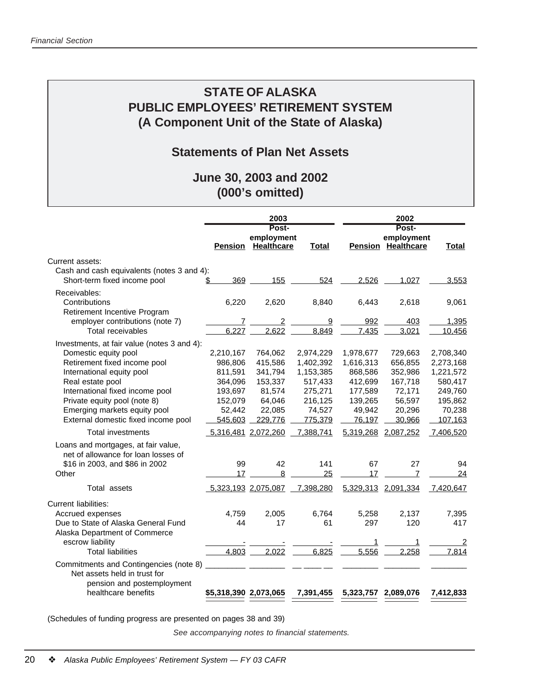### **Statements of Plan Net Assets**

# **June 30, 2003 and 2002 (000's omitted)**

|                                                                                                      | 2003                  |                                                                                                                                                                                                                                      |              | 2002                |                                                  |              |  |
|------------------------------------------------------------------------------------------------------|-----------------------|--------------------------------------------------------------------------------------------------------------------------------------------------------------------------------------------------------------------------------------|--------------|---------------------|--------------------------------------------------|--------------|--|
|                                                                                                      | <b>Pension</b>        | Post-<br>employment<br><b>Healthcare</b>                                                                                                                                                                                             | <b>Total</b> |                     | Post-<br>employment<br><b>Pension Healthcare</b> | <b>Total</b> |  |
| Current assets:                                                                                      |                       |                                                                                                                                                                                                                                      |              |                     |                                                  |              |  |
| Cash and cash equivalents (notes 3 and 4):<br>Short-term fixed income pool                           | 369<br>S              | 155                                                                                                                                                                                                                                  | 524          | 2,526               | 1,027                                            | 3,553        |  |
| Receivables:                                                                                         |                       |                                                                                                                                                                                                                                      |              |                     |                                                  |              |  |
| Contributions<br>Retirement Incentive Program                                                        | 6,220                 | 2,620                                                                                                                                                                                                                                | 8,840        | 6,443               | 2,618                                            | 9,061        |  |
| employer contributions (note 7)                                                                      | 7                     | 2                                                                                                                                                                                                                                    | 9            | 992                 | 403                                              | 1,395        |  |
| Total receivables                                                                                    | 6,227                 | 2,622                                                                                                                                                                                                                                | 8,849        | 7,435               | 3,021                                            | 10,456       |  |
| Investments, at fair value (notes 3 and 4):                                                          |                       |                                                                                                                                                                                                                                      |              |                     |                                                  |              |  |
| Domestic equity pool                                                                                 | 2,210,167             | 764,062                                                                                                                                                                                                                              | 2,974,229    | 1,978,677           | 729,663                                          | 2,708,340    |  |
| Retirement fixed income pool                                                                         | 986,806               | 415,586                                                                                                                                                                                                                              | 1,402,392    | 1,616,313           | 656,855                                          | 2,273,168    |  |
| International equity pool                                                                            | 811,591               | 341,794                                                                                                                                                                                                                              | 1,153,385    | 868,586             | 352,986                                          | 1,221,572    |  |
| Real estate pool                                                                                     | 364,096               | 153,337                                                                                                                                                                                                                              | 517,433      | 412,699             | 167,718                                          | 580,417      |  |
| International fixed income pool                                                                      | 193,697               | 81,574                                                                                                                                                                                                                               | 275,271      | 177,589             | 72,171                                           | 249,760      |  |
| Private equity pool (note 8)                                                                         | 152,079               | 64,046                                                                                                                                                                                                                               | 216,125      | 139,265             | 56,597                                           | 195,862      |  |
| Emerging markets equity pool                                                                         | 52,442                | 22,085                                                                                                                                                                                                                               | 74,527       | 49,942              | 20,296                                           | 70,238       |  |
| External domestic fixed income pool                                                                  | 545,603               | 229,776                                                                                                                                                                                                                              | 775,379      | 76,197              | 30,966                                           | 107,163      |  |
| <b>Total investments</b>                                                                             | 5,316,481 2,072,260   |                                                                                                                                                                                                                                      | 7,388,741    | 5,319,268 2,087,252 |                                                  | 7,406,520    |  |
| Loans and mortgages, at fair value,<br>net of allowance for loan losses of                           |                       |                                                                                                                                                                                                                                      |              |                     |                                                  |              |  |
| \$16 in 2003, and \$86 in 2002                                                                       | 99                    | 42                                                                                                                                                                                                                                   | 141          | 67                  | 27                                               | 94           |  |
| Other                                                                                                | 17                    | 8                                                                                                                                                                                                                                    | 25           | 17                  | $\overline{7}$                                   | 24           |  |
| Total assets                                                                                         |                       | 5,323,193 2,075,087 7,398,280                                                                                                                                                                                                        |              | 5,329,313 2,091,334 |                                                  | 7,420,647    |  |
| <b>Current liabilities:</b>                                                                          |                       |                                                                                                                                                                                                                                      |              |                     |                                                  |              |  |
| Accrued expenses                                                                                     | 4,759                 | 2,005                                                                                                                                                                                                                                | 6,764        | 5,258               | 2,137                                            | 7,395        |  |
| Due to State of Alaska General Fund                                                                  | 44                    | 17                                                                                                                                                                                                                                   | 61           | 297                 | 120                                              | 417          |  |
| Alaska Department of Commerce                                                                        |                       |                                                                                                                                                                                                                                      |              |                     |                                                  |              |  |
| escrow liability<br><b>Total liabilities</b>                                                         | 4.803                 | 2,022                                                                                                                                                                                                                                | 6,825        | 1<br>5,556          | 1<br>2,258                                       | 2<br>7,814   |  |
|                                                                                                      |                       |                                                                                                                                                                                                                                      |              |                     |                                                  |              |  |
| Commitments and Contingencies (note 8)<br>Net assets held in trust for<br>pension and postemployment |                       | <u> 1980 - Andrea Angel III, martin ang kalendar ang mga pagkalang mga pagkalang mga pagkalang mga pagkalang mga pagkalang mga pagkalang mga pagkalang mga pagkalang mga pagkalang mga pagkalang mga pagkalang mga pagkalang mga</u> |              |                     |                                                  |              |  |
| healthcare benefits                                                                                  | \$5,318,390 2,073,065 |                                                                                                                                                                                                                                      | 7,391,455    | 5,323,757 2,089,076 |                                                  | 7,412,833    |  |

(Schedules of funding progress are presented on pages 38 and 39)

*See accompanying notes to financial statements.*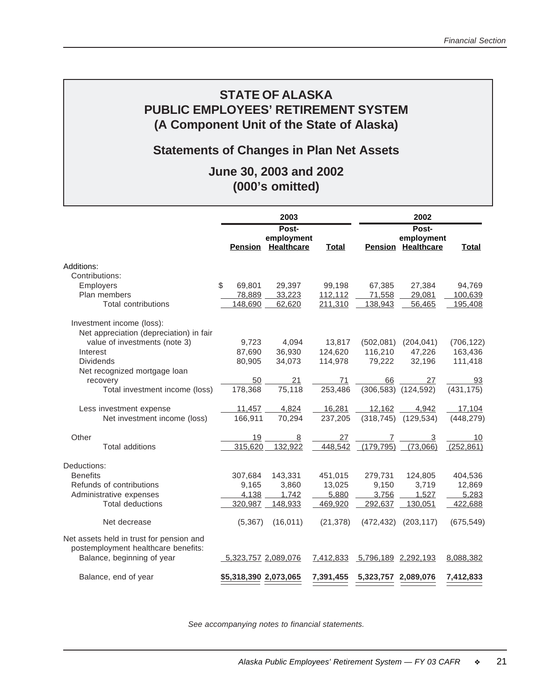### **Statements of Changes in Plan Net Assets**

# **June 30, 2003 and 2002 (000's omitted)**

|                                                                                                               | 2003           |                                          |              | 2002                |                                                  |              |  |
|---------------------------------------------------------------------------------------------------------------|----------------|------------------------------------------|--------------|---------------------|--------------------------------------------------|--------------|--|
|                                                                                                               | <b>Pension</b> | Post-<br>employment<br><b>Healthcare</b> | <b>Total</b> |                     | Post-<br>employment<br><b>Pension Healthcare</b> | <b>Total</b> |  |
| Additions:                                                                                                    |                |                                          |              |                     |                                                  |              |  |
| Contributions:                                                                                                |                |                                          |              |                     |                                                  |              |  |
| Employers                                                                                                     | \$<br>69,801   | 29,397                                   | 99,198       | 67,385              | 27,384                                           | 94,769       |  |
| Plan members                                                                                                  | 78,889         | 33,223                                   | 112,112      | 71,558              | 29,081                                           | 100,639      |  |
| <b>Total contributions</b>                                                                                    | 148,690        | 62,620                                   | 211,310      | 138,943             | 56,465                                           | 195,408      |  |
| Investment income (loss):<br>Net appreciation (depreciation) in fair                                          |                |                                          |              |                     |                                                  |              |  |
| value of investments (note 3)                                                                                 | 9,723          | 4,094                                    | 13,817       | (502,081)           | (204, 041)                                       | (706, 122)   |  |
| Interest                                                                                                      | 87,690         | 36,930                                   | 124,620      | 116,210             | 47,226                                           | 163,436      |  |
| <b>Dividends</b>                                                                                              | 80,905         | 34,073                                   | 114,978      | 79,222              | 32,196                                           | 111,418      |  |
| Net recognized mortgage loan                                                                                  |                |                                          |              |                     |                                                  |              |  |
| recovery                                                                                                      | 50             | 21                                       | 71           | 66                  | 27                                               | 93           |  |
| Total investment income (loss)                                                                                | 178,368        | 75,118                                   | 253,486      |                     | $(306, 583)$ $(124, 592)$                        | (431, 175)   |  |
| Less investment expense                                                                                       | 11,457         | 4,824                                    | 16,281       | 12,162              | 4,942                                            | 17,104       |  |
| Net investment income (loss)                                                                                  | 166,911        | 70,294                                   | 237,205      | (318, 745)          | (129, 534)                                       | (448, 279)   |  |
| Other                                                                                                         | 19             | 8                                        | 27           | 7                   | 3                                                | 10           |  |
| <b>Total additions</b>                                                                                        | 315,620        | 132,922                                  | 448,542      | (179, 795)          | (73,066)                                         | (252, 861)   |  |
| Deductions:                                                                                                   |                |                                          |              |                     |                                                  |              |  |
| <b>Benefits</b>                                                                                               | 307,684        | 143,331                                  | 451,015      | 279,731             | 124,805                                          | 404,536      |  |
| Refunds of contributions                                                                                      | 9,165          | 3,860                                    | 13,025       | 9,150               | 3,719                                            | 12,869       |  |
| Administrative expenses                                                                                       | 4,138          | 1.742                                    | 5,880        | 3,756               | 1.527                                            | 5,283        |  |
| <b>Total deductions</b>                                                                                       | 320,987        | 148,933                                  | 469,920      | 292,637             | 130,051                                          | 422,688      |  |
| Net decrease                                                                                                  | (5, 367)       | (16, 011)                                | (21, 378)    | (472, 432)          | (203, 117)                                       | (675, 549)   |  |
| Net assets held in trust for pension and<br>postemployment healthcare benefits:<br>Balance, beginning of year |                | 5,323,757 2,089,076                      | 7,412,833    | 5,796,189 2,292,193 |                                                  | 8,088,382    |  |
| Balance, end of year                                                                                          |                | \$5,318,390 2,073,065                    | 7,391,455    | 5,323,757 2,089,076 |                                                  | 7,412,833    |  |

*See accompanying notes to financial statements.*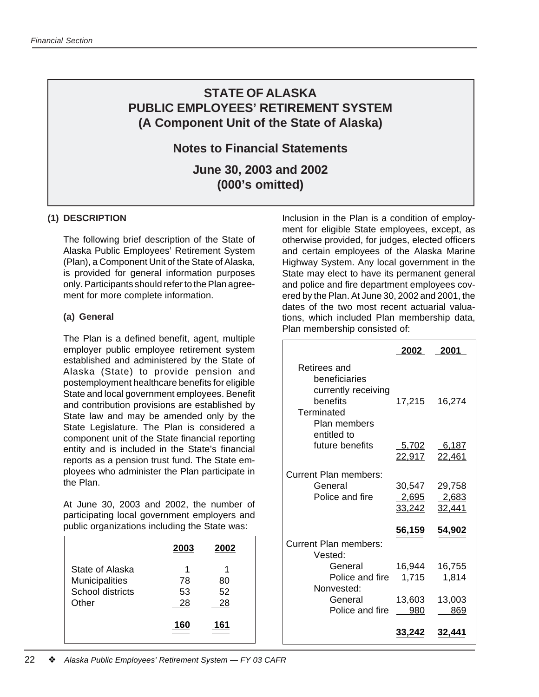### **Notes to Financial Statements**

**June 30, 2003 and 2002 (000's omitted)**

### **(1) DESCRIPTION**

The following brief description of the State of Alaska Public Employees' Retirement System (Plan), a Component Unit of the State of Alaska, is provided for general information purposes only. Participants should refer to the Plan agreement for more complete information.

#### **(a) General**

The Plan is a defined benefit, agent, multiple employer public employee retirement system established and administered by the State of Alaska (State) to provide pension and postemployment healthcare benefits for eligible State and local government employees. Benefit and contribution provisions are established by State law and may be amended only by the State Legislature. The Plan is considered a component unit of the State financial reporting entity and is included in the State's financial reports as a pension trust fund. The State employees who administer the Plan participate in the Plan.

At June 30, 2003 and 2002, the number of participating local government employers and public organizations including the State was:

|                       | 2003 | 2002 |
|-----------------------|------|------|
| State of Alaska       | 1    | 1    |
| <b>Municipalities</b> | 78   | 80   |
| School districts      | 53   | 52   |
| Other                 | 28   | 28   |
|                       | 160  | 161  |

Inclusion in the Plan is a condition of employment for eligible State employees, except, as otherwise provided, for judges, elected officers and certain employees of the Alaska Marine Highway System. Any local government in the State may elect to have its permanent general and police and fire department employees covered by the Plan. At June 30, 2002 and 2001, the dates of the two most recent actuarial valuations, which included Plan membership data, Plan membership consisted of:

|                                                      | 2002            | 2001            |
|------------------------------------------------------|-----------------|-----------------|
| Retirees and<br>beneficiaries<br>currently receiving |                 |                 |
| benefits<br>Terminated<br>Plan members               | 17,215          | 16,274          |
| entitled to<br>future benefits                       | 5,702<br>22,917 | 6,187<br>22,461 |
| <b>Current Plan members:</b>                         |                 |                 |
| General                                              | 30,547          | 29,758          |
| Police and fire                                      | 2,695           | 2,683           |
|                                                      | 33,242          | 32,441          |
| Current Plan members:                                | 56,159          | 54,902          |
| Vested:                                              |                 |                 |
| General                                              | 16,944          | 16,755          |
| Police and fire<br>Nonvested:                        | 1,715           | 1,814           |
| General                                              | 13,603          | 13,003          |
| Police and fire                                      | -- 980          | 869             |
|                                                      | 33,242          | 32,441          |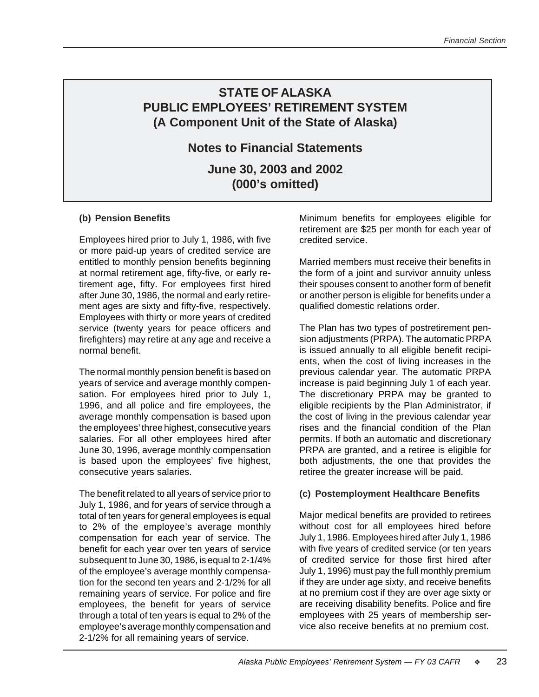### **Notes to Financial Statements**

**June 30, 2003 and 2002 (000's omitted)**

### **(b) Pension Benefits**

Employees hired prior to July 1, 1986, with five or more paid-up years of credited service are entitled to monthly pension benefits beginning at normal retirement age, fifty-five, or early retirement age, fifty. For employees first hired after June 30, 1986, the normal and early retirement ages are sixty and fifty-five, respectively. Employees with thirty or more years of credited service (twenty years for peace officers and firefighters) may retire at any age and receive a normal benefit.

The normal monthly pension benefit is based on years of service and average monthly compensation. For employees hired prior to July 1, 1996, and all police and fire employees, the average monthly compensation is based upon the employees' three highest, consecutive years salaries. For all other employees hired after June 30, 1996, average monthly compensation is based upon the employees' five highest, consecutive years salaries.

The benefit related to all years of service prior to July 1, 1986, and for years of service through a total of ten years for general employees is equal to 2% of the employee's average monthly compensation for each year of service. The benefit for each year over ten years of service subsequent to June 30, 1986, is equal to 2-1/4% of the employee's average monthly compensation for the second ten years and 2-1/2% for all remaining years of service. For police and fire employees, the benefit for years of service through a total of ten years is equal to 2% of the employee's average monthly compensation and 2-1/2% for all remaining years of service.

Minimum benefits for employees eligible for retirement are \$25 per month for each year of credited service.

Married members must receive their benefits in the form of a joint and survivor annuity unless their spouses consent to another form of benefit or another person is eligible for benefits under a qualified domestic relations order.

The Plan has two types of postretirement pension adjustments (PRPA). The automatic PRPA is issued annually to all eligible benefit recipients, when the cost of living increases in the previous calendar year. The automatic PRPA increase is paid beginning July 1 of each year. The discretionary PRPA may be granted to eligible recipients by the Plan Administrator, if the cost of living in the previous calendar year rises and the financial condition of the Plan permits. If both an automatic and discretionary PRPA are granted, and a retiree is eligible for both adjustments, the one that provides the retiree the greater increase will be paid.

### **(c) Postemployment Healthcare Benefits**

Major medical benefits are provided to retirees without cost for all employees hired before July 1, 1986. Employees hired after July 1, 1986 with five years of credited service (or ten years of credited service for those first hired after July 1, 1996) must pay the full monthly premium if they are under age sixty, and receive benefits at no premium cost if they are over age sixty or are receiving disability benefits. Police and fire employees with 25 years of membership service also receive benefits at no premium cost.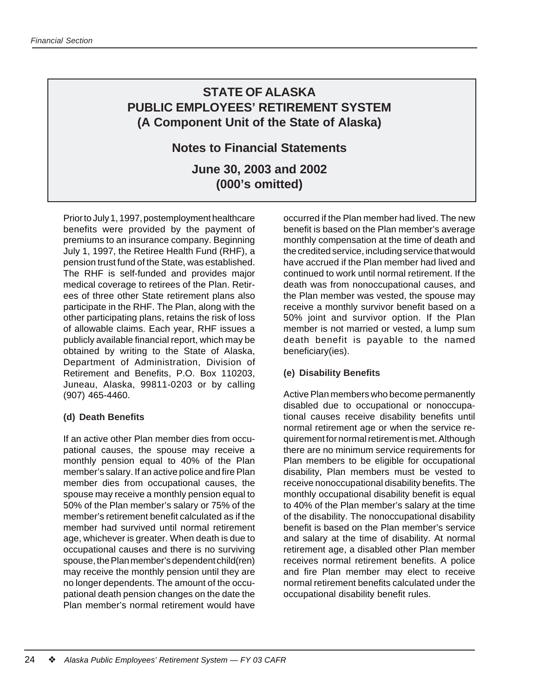### **Notes to Financial Statements**

# **June 30, 2003 and 2002 (000's omitted)**

Prior to July 1, 1997, postemployment healthcare benefits were provided by the payment of premiums to an insurance company. Beginning July 1, 1997, the Retiree Health Fund (RHF), a pension trust fund of the State, was established. The RHF is self-funded and provides major medical coverage to retirees of the Plan. Retirees of three other State retirement plans also participate in the RHF. The Plan, along with the other participating plans, retains the risk of loss of allowable claims. Each year, RHF issues a publicly available financial report, which may be obtained by writing to the State of Alaska, Department of Administration, Division of Retirement and Benefits, P.O. Box 110203, Juneau, Alaska, 99811-0203 or by calling (907) 465-4460.

### **(d) Death Benefits**

If an active other Plan member dies from occupational causes, the spouse may receive a monthly pension equal to 40% of the Plan member's salary. If an active police and fire Plan member dies from occupational causes, the spouse may receive a monthly pension equal to 50% of the Plan member's salary or 75% of the member's retirement benefit calculated as if the member had survived until normal retirement age, whichever is greater. When death is due to occupational causes and there is no surviving spouse, the Plan member's dependent child(ren) may receive the monthly pension until they are no longer dependents. The amount of the occupational death pension changes on the date the Plan member's normal retirement would have

occurred if the Plan member had lived. The new benefit is based on the Plan member's average monthly compensation at the time of death and the credited service, including service that would have accrued if the Plan member had lived and continued to work until normal retirement. If the death was from nonoccupational causes, and the Plan member was vested, the spouse may receive a monthly survivor benefit based on a 50% joint and survivor option. If the Plan member is not married or vested, a lump sum death benefit is payable to the named beneficiary(ies).

### **(e) Disability Benefits**

Active Plan members who become permanently disabled due to occupational or nonoccupational causes receive disability benefits until normal retirement age or when the service requirement for normal retirement is met. Although there are no minimum service requirements for Plan members to be eligible for occupational disability, Plan members must be vested to receive nonoccupational disability benefits. The monthly occupational disability benefit is equal to 40% of the Plan member's salary at the time of the disability. The nonoccupational disability benefit is based on the Plan member's service and salary at the time of disability. At normal retirement age, a disabled other Plan member receives normal retirement benefits. A police and fire Plan member may elect to receive normal retirement benefits calculated under the occupational disability benefit rules.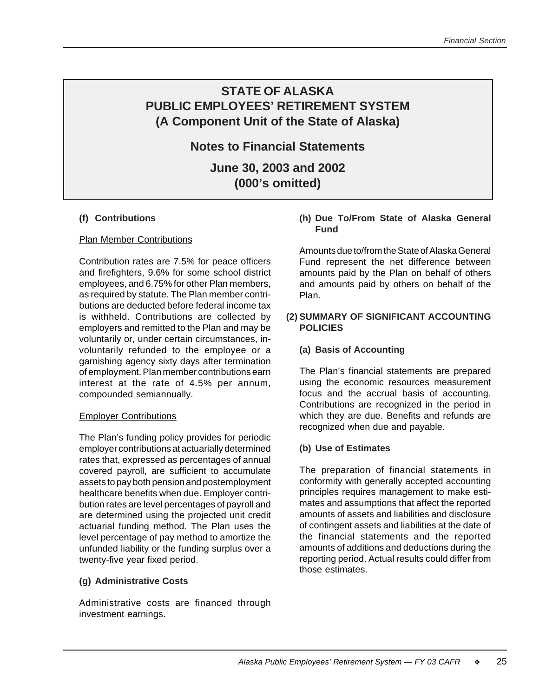### **Notes to Financial Statements**

**June 30, 2003 and 2002 (000's omitted)**

### **(f) Contributions**

#### Plan Member Contributions

Contribution rates are 7.5% for peace officers and firefighters, 9.6% for some school district employees, and 6.75% for other Plan members, as required by statute. The Plan member contributions are deducted before federal income tax is withheld. Contributions are collected by employers and remitted to the Plan and may be voluntarily or, under certain circumstances, involuntarily refunded to the employee or a garnishing agency sixty days after termination of employment. Plan member contributions earn interest at the rate of 4.5% per annum, compounded semiannually.

#### Employer Contributions

The Plan's funding policy provides for periodic employer contributions at actuarially determined rates that, expressed as percentages of annual covered payroll, are sufficient to accumulate assets to pay both pension and postemployment healthcare benefits when due. Employer contribution rates are level percentages of payroll and are determined using the projected unit credit actuarial funding method. The Plan uses the level percentage of pay method to amortize the unfunded liability or the funding surplus over a twenty-five year fixed period.

### **(g) Administrative Costs**

Administrative costs are financed through investment earnings.

#### **(h) Due To/From State of Alaska General Fund**

Amounts due to/from the State of Alaska General Fund represent the net difference between amounts paid by the Plan on behalf of others and amounts paid by others on behalf of the Plan.

#### **(2) SUMMARY OF SIGNIFICANT ACCOUNTING POLICIES**

### **(a) Basis of Accounting**

The Plan's financial statements are prepared using the economic resources measurement focus and the accrual basis of accounting. Contributions are recognized in the period in which they are due. Benefits and refunds are recognized when due and payable.

### **(b) Use of Estimates**

The preparation of financial statements in conformity with generally accepted accounting principles requires management to make estimates and assumptions that affect the reported amounts of assets and liabilities and disclosure of contingent assets and liabilities at the date of the financial statements and the reported amounts of additions and deductions during the reporting period. Actual results could differ from those estimates.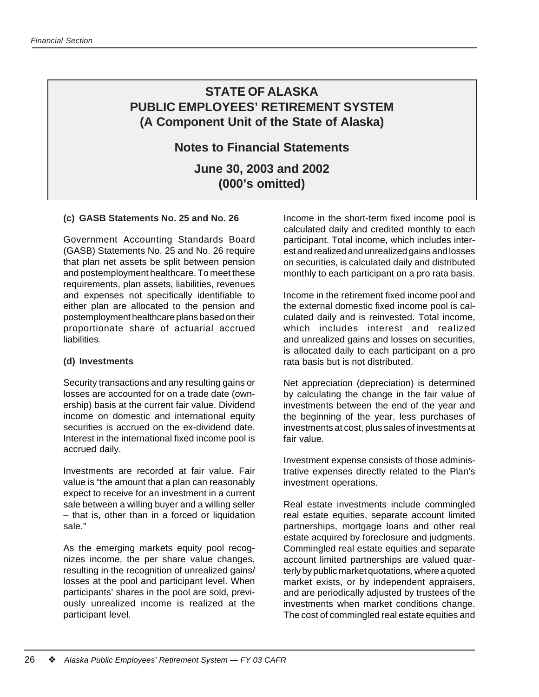### **Notes to Financial Statements**

**June 30, 2003 and 2002 (000's omitted)**

#### **(c) GASB Statements No. 25 and No. 26**

Government Accounting Standards Board (GASB) Statements No. 25 and No. 26 require that plan net assets be split between pension and postemployment healthcare. To meet these requirements, plan assets, liabilities, revenues and expenses not specifically identifiable to either plan are allocated to the pension and postemployment healthcare plans based on their proportionate share of actuarial accrued liabilities.

#### **(d) Investments**

Security transactions and any resulting gains or losses are accounted for on a trade date (ownership) basis at the current fair value. Dividend income on domestic and international equity securities is accrued on the ex-dividend date. Interest in the international fixed income pool is accrued daily.

Investments are recorded at fair value. Fair value is "the amount that a plan can reasonably expect to receive for an investment in a current sale between a willing buyer and a willing seller – that is, other than in a forced or liquidation sale."

As the emerging markets equity pool recognizes income, the per share value changes, resulting in the recognition of unrealized gains/ losses at the pool and participant level. When participants' shares in the pool are sold, previously unrealized income is realized at the participant level.

Income in the short-term fixed income pool is calculated daily and credited monthly to each participant. Total income, which includes interest and realized and unrealized gains and losses on securities, is calculated daily and distributed monthly to each participant on a pro rata basis.

Income in the retirement fixed income pool and the external domestic fixed income pool is calculated daily and is reinvested. Total income, which includes interest and realized and unrealized gains and losses on securities, is allocated daily to each participant on a pro rata basis but is not distributed.

Net appreciation (depreciation) is determined by calculating the change in the fair value of investments between the end of the year and the beginning of the year, less purchases of investments at cost, plus sales of investments at fair value.

Investment expense consists of those administrative expenses directly related to the Plan's investment operations.

Real estate investments include commingled real estate equities, separate account limited partnerships, mortgage loans and other real estate acquired by foreclosure and judgments. Commingled real estate equities and separate account limited partnerships are valued quarterly by public market quotations, where a quoted market exists, or by independent appraisers, and are periodically adjusted by trustees of the investments when market conditions change. The cost of commingled real estate equities and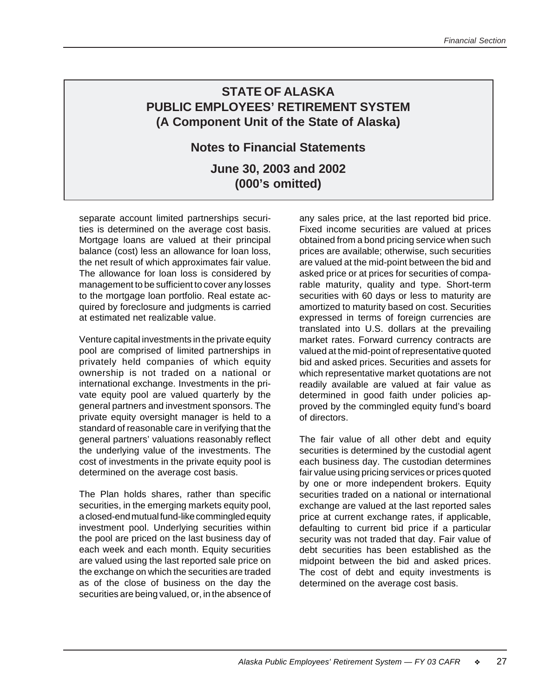### **Notes to Financial Statements**

### **June 30, 2003 and 2002 (000's omitted)**

separate account limited partnerships securities is determined on the average cost basis. Mortgage loans are valued at their principal balance (cost) less an allowance for loan loss, the net result of which approximates fair value. The allowance for loan loss is considered by management to be sufficient to cover any losses to the mortgage loan portfolio. Real estate acquired by foreclosure and judgments is carried at estimated net realizable value.

Venture capital investments in the private equity pool are comprised of limited partnerships in privately held companies of which equity ownership is not traded on a national or international exchange. Investments in the private equity pool are valued quarterly by the general partners and investment sponsors. The private equity oversight manager is held to a standard of reasonable care in verifying that the general partners' valuations reasonably reflect the underlying value of the investments. The cost of investments in the private equity pool is determined on the average cost basis.

The Plan holds shares, rather than specific securities, in the emerging markets equity pool, a closed-end mutual fund-like commingled equity investment pool. Underlying securities within the pool are priced on the last business day of each week and each month. Equity securities are valued using the last reported sale price on the exchange on which the securities are traded as of the close of business on the day the securities are being valued, or, in the absence of

any sales price, at the last reported bid price. Fixed income securities are valued at prices obtained from a bond pricing service when such prices are available; otherwise, such securities are valued at the mid-point between the bid and asked price or at prices for securities of comparable maturity, quality and type. Short-term securities with 60 days or less to maturity are amortized to maturity based on cost. Securities expressed in terms of foreign currencies are translated into U.S. dollars at the prevailing market rates. Forward currency contracts are valued at the mid-point of representative quoted bid and asked prices. Securities and assets for which representative market quotations are not readily available are valued at fair value as determined in good faith under policies approved by the commingled equity fund's board of directors.

The fair value of all other debt and equity securities is determined by the custodial agent each business day. The custodian determines fair value using pricing services or prices quoted by one or more independent brokers. Equity securities traded on a national or international exchange are valued at the last reported sales price at current exchange rates, if applicable, defaulting to current bid price if a particular security was not traded that day. Fair value of debt securities has been established as the midpoint between the bid and asked prices. The cost of debt and equity investments is determined on the average cost basis.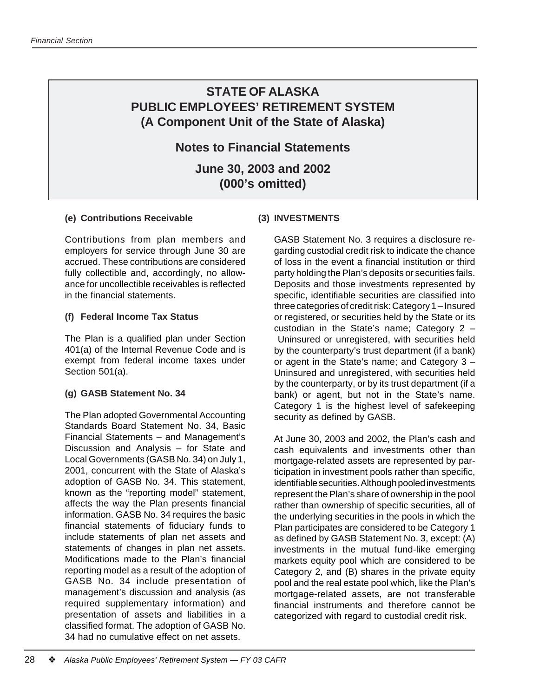### **Notes to Financial Statements**

**June 30, 2003 and 2002 (000's omitted)**

#### **(e) Contributions Receivable**

#### Contributions from plan members and employers for service through June 30 are accrued. These contributions are considered fully collectible and, accordingly, no allowance for uncollectible receivables is reflected in the financial statements.

### **(f) Federal Income Tax Status**

The Plan is a qualified plan under Section 401(a) of the Internal Revenue Code and is exempt from federal income taxes under Section 501(a).

#### **(g) GASB Statement No. 34**

The Plan adopted Governmental Accounting Standards Board Statement No. 34, Basic Financial Statements – and Management's Discussion and Analysis – for State and Local Governments (GASB No. 34) on July 1, 2001, concurrent with the State of Alaska's adoption of GASB No. 34. This statement, known as the "reporting model" statement, affects the way the Plan presents financial information. GASB No. 34 requires the basic financial statements of fiduciary funds to include statements of plan net assets and statements of changes in plan net assets. Modifications made to the Plan's financial reporting model as a result of the adoption of GASB No. 34 include presentation of management's discussion and analysis (as required supplementary information) and presentation of assets and liabilities in a classified format. The adoption of GASB No. 34 had no cumulative effect on net assets.

#### **(3) INVESTMENTS**

GASB Statement No. 3 requires a disclosure regarding custodial credit risk to indicate the chance of loss in the event a financial institution or third party holding the Plan's deposits or securities fails. Deposits and those investments represented by specific, identifiable securities are classified into three categories of credit risk: Category 1 – Insured or registered, or securities held by the State or its custodian in the State's name; Category 2 – Uninsured or unregistered, with securities held by the counterparty's trust department (if a bank) or agent in the State's name; and Category 3 – Uninsured and unregistered, with securities held by the counterparty, or by its trust department (if a bank) or agent, but not in the State's name. Category 1 is the highest level of safekeeping security as defined by GASB.

At June 30, 2003 and 2002, the Plan's cash and cash equivalents and investments other than mortgage-related assets are represented by participation in investment pools rather than specific, identifiable securities. Although pooled investments represent the Plan's share of ownership in the pool rather than ownership of specific securities, all of the underlying securities in the pools in which the Plan participates are considered to be Category 1 as defined by GASB Statement No. 3, except: (A) investments in the mutual fund-like emerging markets equity pool which are considered to be Category 2, and (B) shares in the private equity pool and the real estate pool which, like the Plan's mortgage-related assets, are not transferable financial instruments and therefore cannot be categorized with regard to custodial credit risk.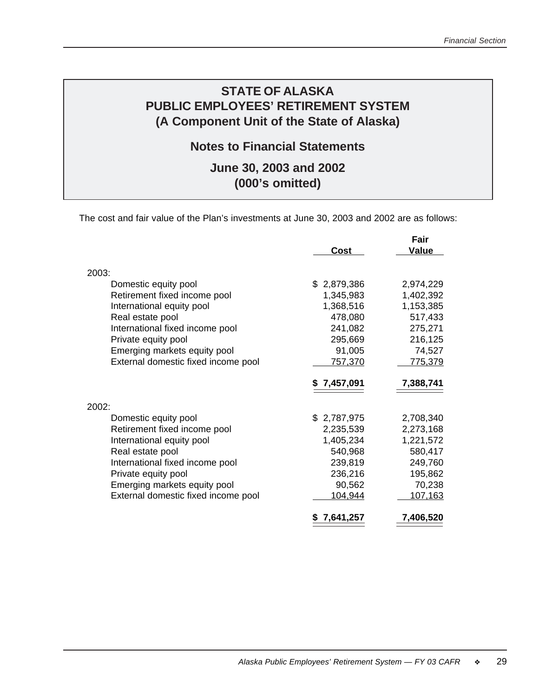### **Notes to Financial Statements**

# **June 30, 2003 and 2002 (000's omitted)**

The cost and fair value of the Plan's investments at June 30, 2003 and 2002 are as follows:

|                                     |             | Fair      |
|-------------------------------------|-------------|-----------|
|                                     | Cost        | Value     |
| 2003:                               |             |           |
| Domestic equity pool                | \$2,879,386 | 2,974,229 |
| Retirement fixed income pool        | 1,345,983   | 1,402,392 |
| International equity pool           | 1,368,516   | 1,153,385 |
| Real estate pool                    | 478,080     | 517,433   |
| International fixed income pool     | 241,082     | 275,271   |
| Private equity pool                 | 295,669     | 216,125   |
| Emerging markets equity pool        | 91,005      | 74,527    |
| External domestic fixed income pool | 757,370     | 775,379   |
|                                     | 7,457,091   | 7,388,741 |
| 2002:                               |             |           |
| Domestic equity pool                | \$2,787,975 | 2,708,340 |
| Retirement fixed income pool        | 2,235,539   | 2,273,168 |
| International equity pool           | 1,405,234   | 1,221,572 |
| Real estate pool                    | 540,968     | 580,417   |
| International fixed income pool     | 239,819     | 249,760   |
| Private equity pool                 | 236,216     | 195,862   |
| Emerging markets equity pool        | 90,562      | 70,238    |
| External domestic fixed income pool | 104,944     | 107,163   |
|                                     | 7,641,257   | 7,406,520 |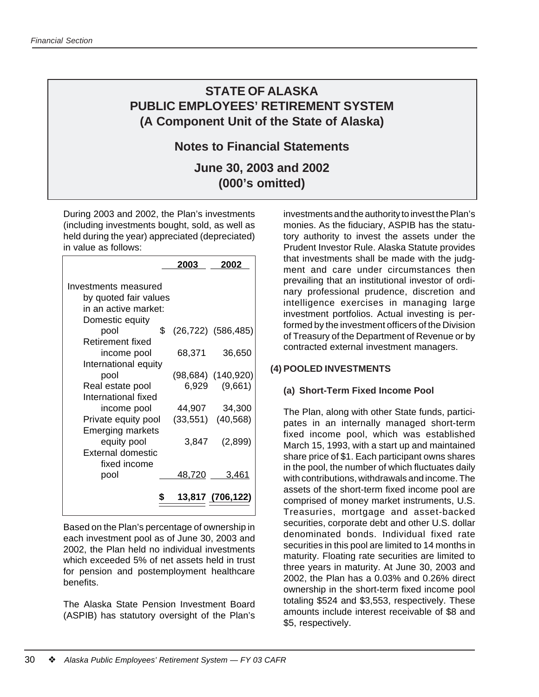### **Notes to Financial Statements**

**June 30, 2003 and 2002 (000's omitted)**

During 2003 and 2002, the Plan's investments (including investments bought, sold, as well as held during the year) appreciated (depreciated) in value as follows:

|                         | 2003   | 2002                     |
|-------------------------|--------|--------------------------|
| Investments measured    |        |                          |
| by quoted fair values   |        |                          |
| in an active market:    |        |                          |
| Domestic equity         |        |                          |
| \$<br>pool              |        | $(26, 722)$ $(586, 485)$ |
| Retirement fixed        |        |                          |
| income pool             | 68,371 | 36,650                   |
| International equity    |        |                          |
| pool                    |        | $(98, 684)$ $(140, 920)$ |
| Real estate pool        |        | 6,929 (9,661)            |
| International fixed     |        |                          |
| income pool             | 44,907 | 34,300                   |
| Private equity pool     |        | $(33,551)$ $(40,568)$    |
| <b>Emerging markets</b> |        |                          |
| equity pool             | 3,847  | (2,899)                  |
| External domestic       |        |                          |
| fixed income            |        |                          |
| pool                    |        | <u>3,461</u>             |
|                         |        | 13,817 (706,122)         |

Based on the Plan's percentage of ownership in each investment pool as of June 30, 2003 and 2002, the Plan held no individual investments which exceeded 5% of net assets held in trust for pension and postemployment healthcare benefits.

The Alaska State Pension Investment Board (ASPIB) has statutory oversight of the Plan's

investments and the authority to invest the Plan's monies. As the fiduciary, ASPIB has the statutory authority to invest the assets under the Prudent Investor Rule. Alaska Statute provides that investments shall be made with the judgment and care under circumstances then prevailing that an institutional investor of ordinary professional prudence, discretion and intelligence exercises in managing large investment portfolios. Actual investing is performed by the investment officers of the Division of Treasury of the Department of Revenue or by contracted external investment managers.

### **(4) POOLED INVESTMENTS**

### **(a) Short-Term Fixed Income Pool**

The Plan, along with other State funds, participates in an internally managed short-term fixed income pool, which was established March 15, 1993, with a start up and maintained share price of \$1. Each participant owns shares in the pool, the number of which fluctuates daily with contributions, withdrawals and income. The assets of the short-term fixed income pool are comprised of money market instruments, U.S. Treasuries, mortgage and asset-backed securities, corporate debt and other U.S. dollar denominated bonds. Individual fixed rate securities in this pool are limited to 14 months in maturity. Floating rate securities are limited to three years in maturity. At June 30, 2003 and 2002, the Plan has a 0.03% and 0.26% direct ownership in the short-term fixed income pool totaling \$524 and \$3,553, respectively. These amounts include interest receivable of \$8 and \$5, respectively.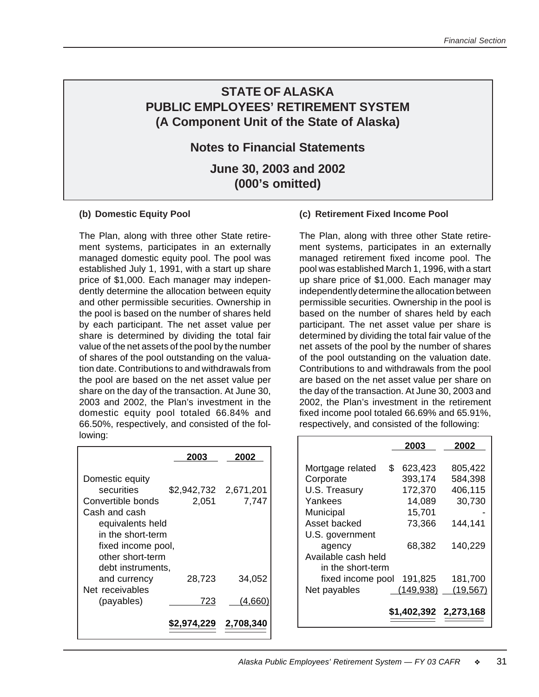### **Notes to Financial Statements**

**June 30, 2003 and 2002 (000's omitted)**

### **(b) Domestic Equity Pool**

The Plan, along with three other State retirement systems, participates in an externally managed domestic equity pool. The pool was established July 1, 1991, with a start up share price of \$1,000. Each manager may independently determine the allocation between equity and other permissible securities. Ownership in the pool is based on the number of shares held by each participant. The net asset value per share is determined by dividing the total fair value of the net assets of the pool by the number of shares of the pool outstanding on the valuation date. Contributions to and withdrawals from the pool are based on the net asset value per share on the day of the transaction. At June 30, 2003 and 2002, the Plan's investment in the domestic equity pool totaled 66.84% and 66.50%, respectively, and consisted of the following:

|                    | 2003        | 2002      |
|--------------------|-------------|-----------|
| Domestic equity    |             |           |
| securities         | \$2,942,732 | 2,671,201 |
| Convertible bonds  | 2,051       | 7,747     |
| Cash and cash      |             |           |
| equivalents held   |             |           |
| in the short-term  |             |           |
| fixed income pool, |             |           |
| other short-term   |             |           |
| debt instruments,  |             |           |
| and currency       | 28,723      | 34,052    |
| Net receivables    |             |           |
| (payables)         | 723         | (4,660)   |
|                    |             |           |
|                    | \$2,974,229 | 2,708,340 |
|                    |             |           |

### **(c) Retirement Fixed Income Pool**

The Plan, along with three other State retirement systems, participates in an externally managed retirement fixed income pool. The pool was established March 1, 1996, with a start up share price of \$1,000. Each manager may independently determine the allocation between permissible securities. Ownership in the pool is based on the number of shares held by each participant. The net asset value per share is determined by dividing the total fair value of the net assets of the pool by the number of shares of the pool outstanding on the valuation date. Contributions to and withdrawals from the pool are based on the net asset value per share on the day of the transaction. At June 30, 2003 and 2002, the Plan's investment in the retirement fixed income pool totaled 66.69% and 65.91%, respectively, and consisted of the following:

|                                                                               | 2003                                          | 2002                                    |
|-------------------------------------------------------------------------------|-----------------------------------------------|-----------------------------------------|
| Mortgage related<br>Corporate<br>U.S. Treasury<br>Yankees                     | \$<br>623,423<br>393.174<br>172,370<br>14,089 | 805,422<br>584,398<br>406,115<br>30,730 |
| Municipal<br>Asset backed<br>U.S. government<br>agency                        | 15,701<br>73,366<br>68,382                    | 144,141<br>140,229                      |
| Available cash held<br>in the short-term<br>fixed income pool<br>Net payables | 191,825<br>(149, 938)                         | 181,700<br>(19, 567)                    |
|                                                                               | \$1,402,392                                   | 2,273,168                               |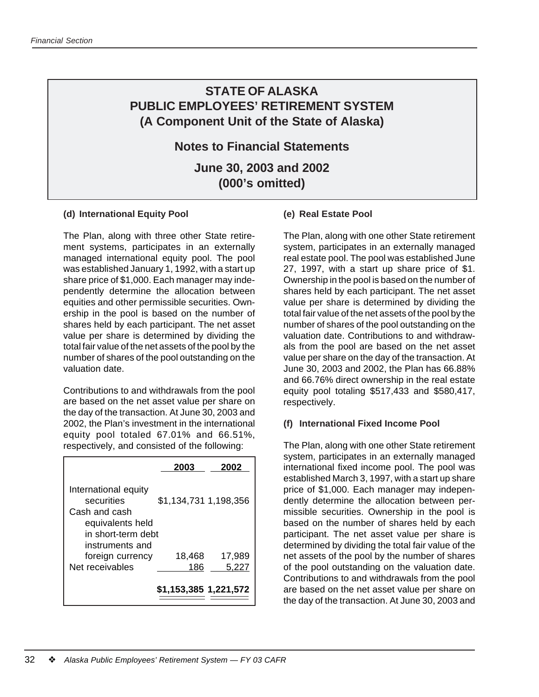### **Notes to Financial Statements**

**June 30, 2003 and 2002 (000's omitted)**

### **(d) International Equity Pool**

The Plan, along with three other State retirement systems, participates in an externally managed international equity pool. The pool was established January 1, 1992, with a start up share price of \$1,000. Each manager may independently determine the allocation between equities and other permissible securities. Ownership in the pool is based on the number of shares held by each participant. The net asset value per share is determined by dividing the total fair value of the net assets of the pool by the number of shares of the pool outstanding on the valuation date.

Contributions to and withdrawals from the pool are based on the net asset value per share on the day of the transaction. At June 30, 2003 and 2002, the Plan's investment in the international equity pool totaled 67.01% and 66.51%, respectively, and consisted of the following:

|                                                     | 2003                  | 2002   |
|-----------------------------------------------------|-----------------------|--------|
| International equity<br>securities<br>Cash and cash | \$1,134,731 1,198,356 |        |
| equivalents held<br>in short-term debt              |                       |        |
| instruments and                                     |                       |        |
| foreign currency                                    | 18,468                | 17,989 |
| Net receivables                                     | 186                   | 5.227  |
|                                                     | \$1,153,385 1,221,572 |        |

### **(e) Real Estate Pool**

The Plan, along with one other State retirement system, participates in an externally managed real estate pool. The pool was established June 27, 1997, with a start up share price of \$1. Ownership in the pool is based on the number of shares held by each participant. The net asset value per share is determined by dividing the total fair value of the net assets of the pool by the number of shares of the pool outstanding on the valuation date. Contributions to and withdrawals from the pool are based on the net asset value per share on the day of the transaction. At June 30, 2003 and 2002, the Plan has 66.88% and 66.76% direct ownership in the real estate equity pool totaling \$517,433 and \$580,417, respectively.

### **(f) International Fixed Income Pool**

The Plan, along with one other State retirement system, participates in an externally managed international fixed income pool. The pool was established March 3, 1997, with a start up share price of \$1,000. Each manager may independently determine the allocation between permissible securities. Ownership in the pool is based on the number of shares held by each participant. The net asset value per share is determined by dividing the total fair value of the net assets of the pool by the number of shares of the pool outstanding on the valuation date. Contributions to and withdrawals from the pool are based on the net asset value per share on the day of the transaction. At June 30, 2003 and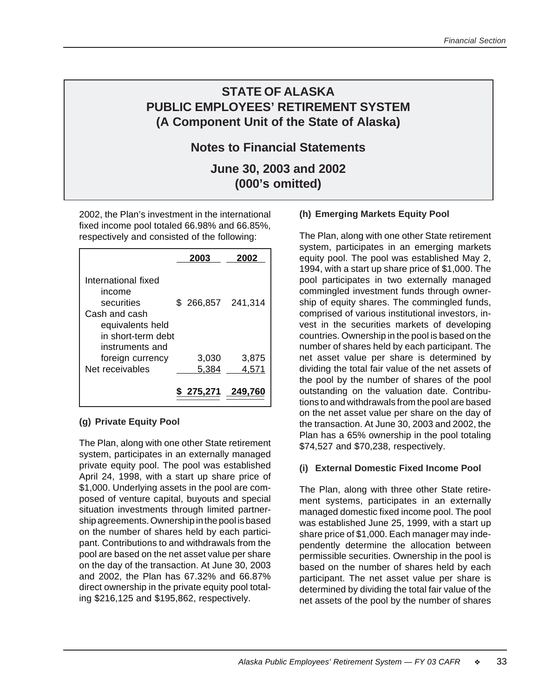### **Notes to Financial Statements**

**June 30, 2003 and 2002 (000's omitted)**

2002, the Plan's investment in the international fixed income pool totaled 66.98% and 66.85%, respectively and consisted of the following:

|                                                                                                                           | 2003           | 2002           |
|---------------------------------------------------------------------------------------------------------------------------|----------------|----------------|
| International fixed<br>income<br>securities<br>Cash and cash<br>equivalents held<br>in short-term debt<br>instruments and | \$266,857      | 241,314        |
| foreign currency<br>Net receivables                                                                                       | 3,030<br>5,384 | 3,875<br>4,571 |
|                                                                                                                           | 275.271        | 249.760        |

### **(g) Private Equity Pool**

The Plan, along with one other State retirement system, participates in an externally managed private equity pool. The pool was established April 24, 1998, with a start up share price of \$1,000. Underlying assets in the pool are composed of venture capital, buyouts and special situation investments through limited partnership agreements. Ownership in the pool is based on the number of shares held by each participant. Contributions to and withdrawals from the pool are based on the net asset value per share on the day of the transaction. At June 30, 2003 and 2002, the Plan has 67.32% and 66.87% direct ownership in the private equity pool totaling \$216,125 and \$195,862, respectively.

### **(h) Emerging Markets Equity Pool**

The Plan, along with one other State retirement system, participates in an emerging markets equity pool. The pool was established May 2, 1994, with a start up share price of \$1,000. The pool participates in two externally managed commingled investment funds through ownership of equity shares. The commingled funds, comprised of various institutional investors, invest in the securities markets of developing countries. Ownership in the pool is based on the number of shares held by each participant. The net asset value per share is determined by dividing the total fair value of the net assets of the pool by the number of shares of the pool outstanding on the valuation date. Contributions to and withdrawals from the pool are based on the net asset value per share on the day of the transaction. At June 30, 2003 and 2002, the Plan has a 65% ownership in the pool totaling \$74,527 and \$70,238, respectively.

### **(i) External Domestic Fixed Income Pool**

The Plan, along with three other State retirement systems, participates in an externally managed domestic fixed income pool. The pool was established June 25, 1999, with a start up share price of \$1,000. Each manager may independently determine the allocation between permissible securities. Ownership in the pool is based on the number of shares held by each participant. The net asset value per share is determined by dividing the total fair value of the net assets of the pool by the number of shares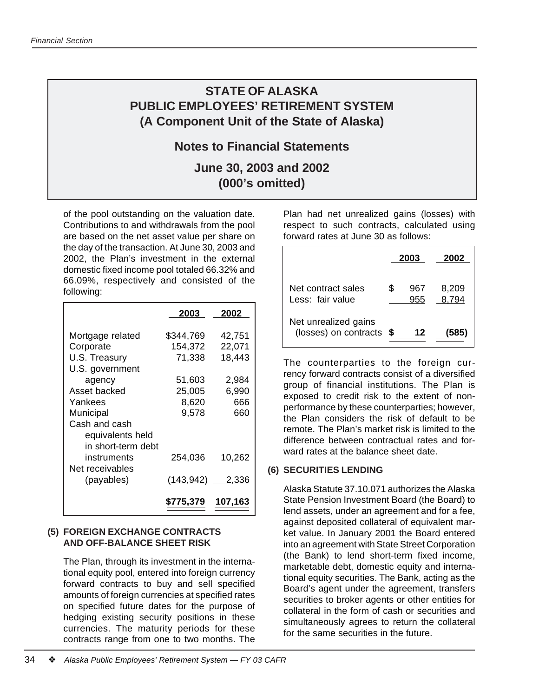### **Notes to Financial Statements**

# **June 30, 2003 and 2002 (000's omitted)**

of the pool outstanding on the valuation date. Contributions to and withdrawals from the pool are based on the net asset value per share on the day of the transaction. At June 30, 2003 and 2002, the Plan's investment in the external domestic fixed income pool totaled 66.32% and 66.09%, respectively and consisted of the following:

|                    | 2003             | 2002    |
|--------------------|------------------|---------|
| Mortgage related   | \$344,769        | 42,751  |
| Corporate          | 154,372          | 22,071  |
| U.S. Treasury      | 71,338           | 18,443  |
| U.S. government    |                  |         |
| agency             | 51,603           | 2,984   |
| Asset backed       | 25,005           | 6,990   |
| Yankees            | 8,620            | 666     |
| Municipal          | 9,578            | 660     |
| Cash and cash      |                  |         |
| equivalents held   |                  |         |
| in short-term debt |                  |         |
| instruments        | 254,036          | 10,262  |
| Net receivables    |                  |         |
| (payables)         | <u>(143,942)</u> | 2,336   |
|                    | \$775,379        | 107,163 |

### **(5) FOREIGN EXCHANGE CONTRACTS AND OFF-BALANCE SHEET RISK**

The Plan, through its investment in the international equity pool, entered into foreign currency forward contracts to buy and sell specified amounts of foreign currencies at specified rates on specified future dates for the purpose of hedging existing security positions in these currencies. The maturity periods for these contracts range from one to two months. The

Plan had net unrealized gains (losses) with respect to such contracts, calculated using forward rates at June 30 as follows:

|                                               | 2003 |            | 2002           |
|-----------------------------------------------|------|------------|----------------|
| Net contract sales<br>Less: fair value        | \$   | 967<br>955 | 8,209<br>8.794 |
| Net unrealized gains<br>(losses) on contracts | S    | 12         | 585            |

The counterparties to the foreign currency forward contracts consist of a diversified group of financial institutions. The Plan is exposed to credit risk to the extent of nonperformance by these counterparties; however, the Plan considers the risk of default to be remote. The Plan's market risk is limited to the difference between contractual rates and forward rates at the balance sheet date.

### **(6) SECURITIES LENDING**

Alaska Statute 37.10.071 authorizes the Alaska State Pension Investment Board (the Board) to lend assets, under an agreement and for a fee, against deposited collateral of equivalent market value. In January 2001 the Board entered into an agreement with State Street Corporation (the Bank) to lend short-term fixed income, marketable debt, domestic equity and international equity securities. The Bank, acting as the Board's agent under the agreement, transfers securities to broker agents or other entities for collateral in the form of cash or securities and simultaneously agrees to return the collateral for the same securities in the future.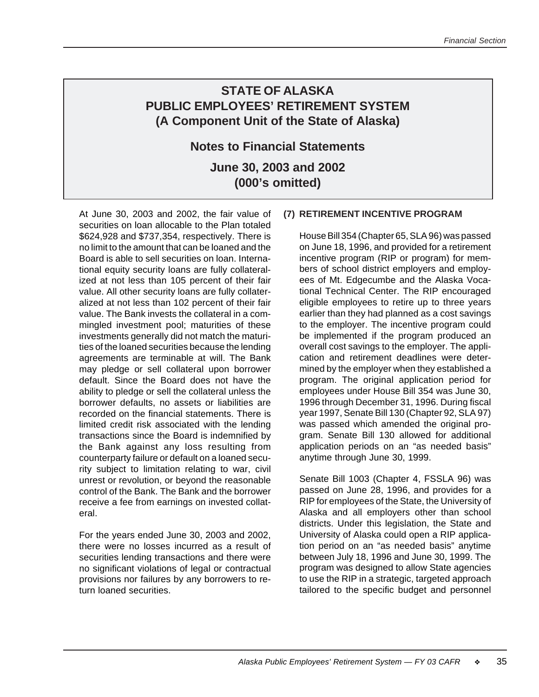### **Notes to Financial Statements**

**June 30, 2003 and 2002 (000's omitted)**

At June 30, 2003 and 2002, the fair value of securities on loan allocable to the Plan totaled \$624,928 and \$737,354, respectively. There is no limit to the amount that can be loaned and the Board is able to sell securities on loan. International equity security loans are fully collateralized at not less than 105 percent of their fair value. All other security loans are fully collateralized at not less than 102 percent of their fair value. The Bank invests the collateral in a commingled investment pool; maturities of these investments generally did not match the maturities of the loaned securities because the lending agreements are terminable at will. The Bank may pledge or sell collateral upon borrower default. Since the Board does not have the ability to pledge or sell the collateral unless the borrower defaults, no assets or liabilities are recorded on the financial statements. There is limited credit risk associated with the lending transactions since the Board is indemnified by the Bank against any loss resulting from counterparty failure or default on a loaned security subject to limitation relating to war, civil unrest or revolution, or beyond the reasonable control of the Bank. The Bank and the borrower receive a fee from earnings on invested collateral.

For the years ended June 30, 2003 and 2002, there were no losses incurred as a result of securities lending transactions and there were no significant violations of legal or contractual provisions nor failures by any borrowers to return loaned securities.

### **(7) RETIREMENT INCENTIVE PROGRAM**

House Bill 354 (Chapter 65, SLA 96) was passed on June 18, 1996, and provided for a retirement incentive program (RIP or program) for members of school district employers and employees of Mt. Edgecumbe and the Alaska Vocational Technical Center. The RIP encouraged eligible employees to retire up to three years earlier than they had planned as a cost savings to the employer. The incentive program could be implemented if the program produced an overall cost savings to the employer. The application and retirement deadlines were determined by the employer when they established a program. The original application period for employees under House Bill 354 was June 30, 1996 through December 31, 1996. During fiscal year 1997, Senate Bill 130 (Chapter 92, SLA 97) was passed which amended the original program. Senate Bill 130 allowed for additional application periods on an "as needed basis" anytime through June 30, 1999.

Senate Bill 1003 (Chapter 4, FSSLA 96) was passed on June 28, 1996, and provides for a RIP for employees of the State, the University of Alaska and all employers other than school districts. Under this legislation, the State and University of Alaska could open a RIP application period on an "as needed basis" anytime between July 18, 1996 and June 30, 1999. The program was designed to allow State agencies to use the RIP in a strategic, targeted approach tailored to the specific budget and personnel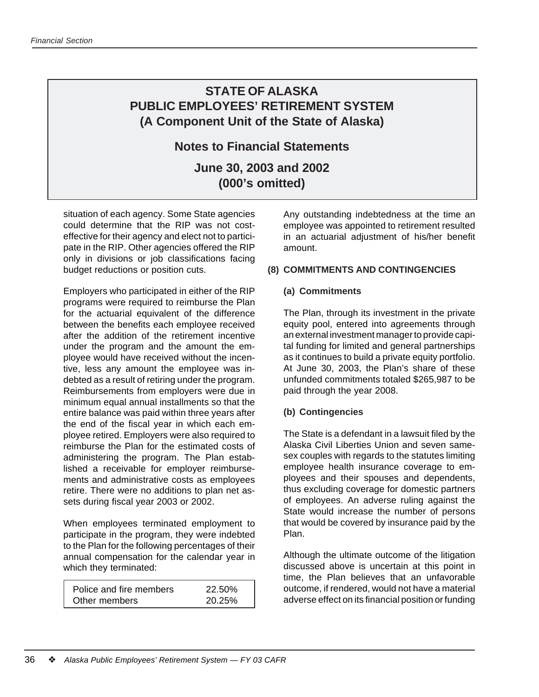## **Notes to Financial Statements**

**June 30, 2003 and 2002 (000's omitted)**

situation of each agency. Some State agencies could determine that the RIP was not costeffective for their agency and elect not to participate in the RIP. Other agencies offered the RIP only in divisions or job classifications facing budget reductions or position cuts.

Employers who participated in either of the RIP programs were required to reimburse the Plan for the actuarial equivalent of the difference between the benefits each employee received after the addition of the retirement incentive under the program and the amount the employee would have received without the incentive, less any amount the employee was indebted as a result of retiring under the program. Reimbursements from employers were due in minimum equal annual installments so that the entire balance was paid within three years after the end of the fiscal year in which each employee retired. Employers were also required to reimburse the Plan for the estimated costs of administering the program. The Plan established a receivable for employer reimbursements and administrative costs as employees retire. There were no additions to plan net assets during fiscal year 2003 or 2002.

When employees terminated employment to participate in the program, they were indebted to the Plan for the following percentages of their annual compensation for the calendar year in which they terminated:

| Police and fire members | <b>22.50%</b> |
|-------------------------|---------------|
| Other members           | 20.25%        |

Any outstanding indebtedness at the time an employee was appointed to retirement resulted in an actuarial adjustment of his/her benefit amount.

### **(8) COMMITMENTS AND CONTINGENCIES**

#### **(a) Commitments**

The Plan, through its investment in the private equity pool, entered into agreements through an external investment manager to provide capital funding for limited and general partnerships as it continues to build a private equity portfolio. At June 30, 2003, the Plan's share of these unfunded commitments totaled \$265,987 to be paid through the year 2008.

### **(b) Contingencies**

The State is a defendant in a lawsuit filed by the Alaska Civil Liberties Union and seven samesex couples with regards to the statutes limiting employee health insurance coverage to employees and their spouses and dependents, thus excluding coverage for domestic partners of employees. An adverse ruling against the State would increase the number of persons that would be covered by insurance paid by the Plan.

Although the ultimate outcome of the litigation discussed above is uncertain at this point in time, the Plan believes that an unfavorable outcome, if rendered, would not have a material adverse effect on its financial position or funding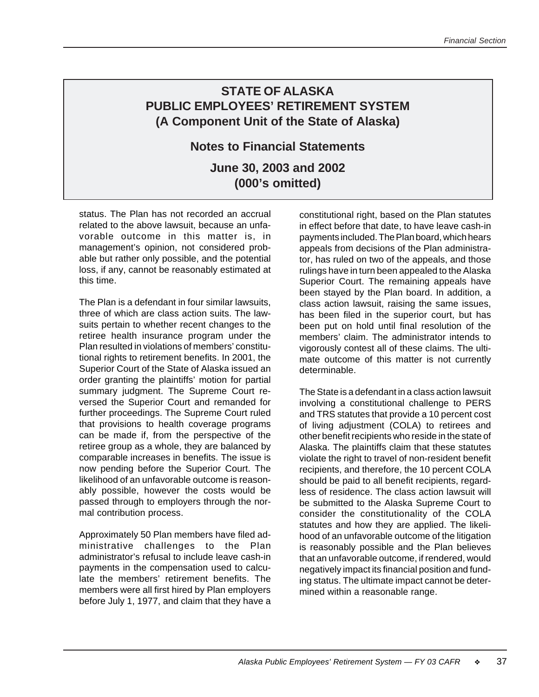### **Notes to Financial Statements**

# **June 30, 2003 and 2002 (000's omitted)**

status. The Plan has not recorded an accrual related to the above lawsuit, because an unfavorable outcome in this matter is, in management's opinion, not considered probable but rather only possible, and the potential loss, if any, cannot be reasonably estimated at this time.

The Plan is a defendant in four similar lawsuits, three of which are class action suits. The lawsuits pertain to whether recent changes to the retiree health insurance program under the Plan resulted in violations of members' constitutional rights to retirement benefits. In 2001, the Superior Court of the State of Alaska issued an order granting the plaintiffs' motion for partial summary judgment. The Supreme Court reversed the Superior Court and remanded for further proceedings. The Supreme Court ruled that provisions to health coverage programs can be made if, from the perspective of the retiree group as a whole, they are balanced by comparable increases in benefits. The issue is now pending before the Superior Court. The likelihood of an unfavorable outcome is reasonably possible, however the costs would be passed through to employers through the normal contribution process.

Approximately 50 Plan members have filed administrative challenges to the Plan administrator's refusal to include leave cash-in payments in the compensation used to calculate the members' retirement benefits. The members were all first hired by Plan employers before July 1, 1977, and claim that they have a

constitutional right, based on the Plan statutes in effect before that date, to have leave cash-in payments included. The Plan board, which hears appeals from decisions of the Plan administrator, has ruled on two of the appeals, and those rulings have in turn been appealed to the Alaska Superior Court. The remaining appeals have been stayed by the Plan board. In addition, a class action lawsuit, raising the same issues, has been filed in the superior court, but has been put on hold until final resolution of the members' claim. The administrator intends to vigorously contest all of these claims. The ultimate outcome of this matter is not currently determinable.

The State is a defendant in a class action lawsuit involving a constitutional challenge to PERS and TRS statutes that provide a 10 percent cost of living adjustment (COLA) to retirees and other benefit recipients who reside in the state of Alaska. The plaintiffs claim that these statutes violate the right to travel of non-resident benefit recipients, and therefore, the 10 percent COLA should be paid to all benefit recipients, regardless of residence. The class action lawsuit will be submitted to the Alaska Supreme Court to consider the constitutionality of the COLA statutes and how they are applied. The likelihood of an unfavorable outcome of the litigation is reasonably possible and the Plan believes that an unfavorable outcome, if rendered, would negatively impact its financial position and funding status. The ultimate impact cannot be determined within a reasonable range.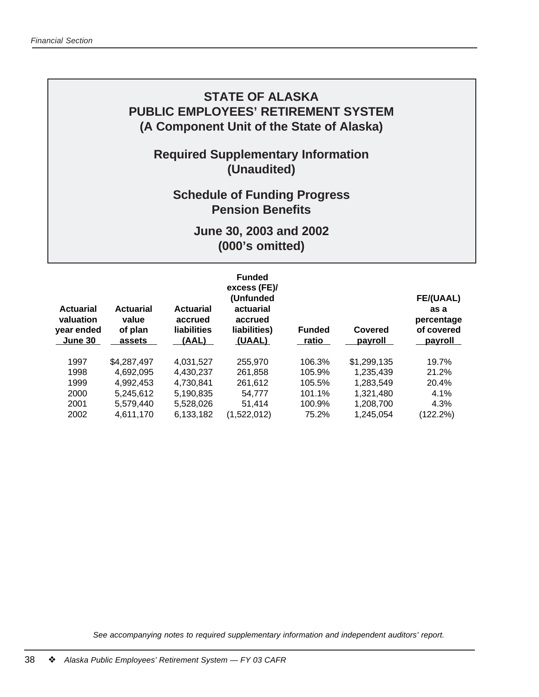**Required Supplementary Information (Unaudited)**

# **Schedule of Funding Progress Pension Benefits**

## **June 30, 2003 and 2002 (000's omitted)**

| <b>Actuarial</b><br>valuation<br>year ended<br>June 30 | <b>Actuarial</b><br>value<br>of plan<br>assets | <b>Actuarial</b><br>accrued<br><b>liabilities</b><br>(AAL) | <b>Funded</b><br>excess (FE)/<br>(Unfunded<br>actuarial<br>accrued<br>liabilities)<br>(UAAL) | <b>Funded</b><br>ratio | Covered<br>payroll | <b>FE/(UAAL)</b><br>as a<br>percentage<br>of covered<br>payroll |
|--------------------------------------------------------|------------------------------------------------|------------------------------------------------------------|----------------------------------------------------------------------------------------------|------------------------|--------------------|-----------------------------------------------------------------|
| 1997                                                   | \$4.287.497                                    | 4.031.527                                                  | 255.970                                                                                      | 106.3%                 | \$1,299,135        | 19.7%                                                           |
| 1998                                                   | 4,692,095                                      | 4.430.237                                                  | 261.858                                                                                      | 105.9%                 | 1.235.439          | 21.2%                                                           |
| 1999                                                   | 4.992.453                                      | 4.730.841                                                  | 261,612                                                                                      | 105.5%                 | 1,283,549          | 20.4%                                                           |
| 2000                                                   | 5.245.612                                      | 5.190.835                                                  | 54.777                                                                                       | 101.1%                 | 1.321.480          | 4.1%                                                            |
| 2001                                                   | 5,579,440                                      | 5,528,026                                                  | 51,414                                                                                       | 100.9%                 | 1,208,700          | 4.3%                                                            |
| 2002                                                   | 4,611,170                                      | 6,133,182                                                  | (1,522,012)                                                                                  | 75.2%                  | 1.245.054          | (122.2%)                                                        |

*See accompanying notes to required supplementary information and independent auditors' report.*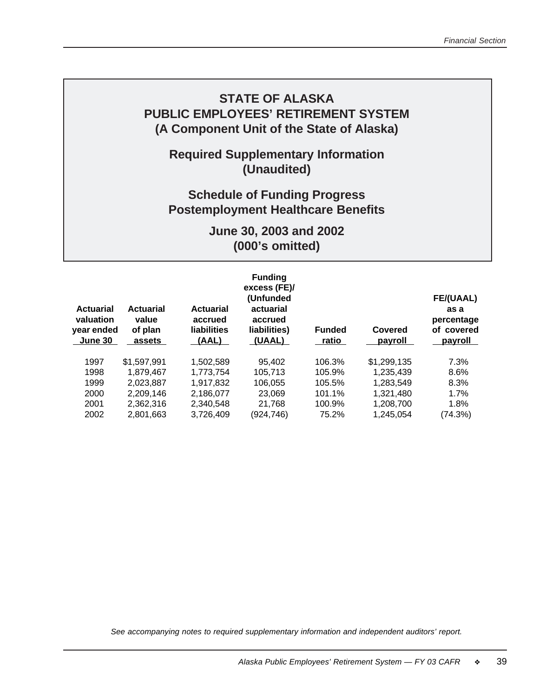# **Required Supplementary Information (Unaudited)**

# **Schedule of Funding Progress Postemployment Healthcare Benefits**

## **June 30, 2003 and 2002 (000's omitted)**

| <b>Actuarial</b><br>valuation<br>year ended<br>June 30 | <b>Actuarial</b><br>value<br>of plan<br>assets | <b>Actuarial</b><br>accrued<br>liabilities<br>(AAL) | <b>Funding</b><br>excess (FE)/<br>(Unfunded<br>actuarial<br>accrued<br>liabilities)<br>(UAAL) | <b>Funded</b><br>ratio | Covered<br>payroll | <b>FE/(UAAL)</b><br>as a<br>percentage<br>of covered<br>payroll |
|--------------------------------------------------------|------------------------------------------------|-----------------------------------------------------|-----------------------------------------------------------------------------------------------|------------------------|--------------------|-----------------------------------------------------------------|
| 1997                                                   | \$1,597,991                                    | 1.502.589                                           | 95.402                                                                                        | 106.3%                 | \$1,299,135        | 7.3%                                                            |
| 1998                                                   | 1.879.467                                      | 1.773.754                                           | 105.713                                                                                       | 105.9%                 | 1.235.439          | 8.6%                                                            |
| 1999                                                   | 2,023,887                                      | 1.917.832                                           | 106.055                                                                                       | 105.5%                 | 1.283.549          | 8.3%                                                            |
| 2000                                                   | 2,209,146                                      | 2,186,077                                           | 23.069                                                                                        | 101.1%                 | 1,321,480          | 1.7%                                                            |
| 2001                                                   | 2,362,316                                      | 2.340.548                                           | 21,768                                                                                        | 100.9%                 | 1,208,700          | 1.8%                                                            |
| 2002                                                   | 2,801,663                                      | 3.726.409                                           | (924.746)                                                                                     | 75.2%                  | 1.245.054          | (74.3%)                                                         |

*See accompanying notes to required supplementary information and independent auditors' report.*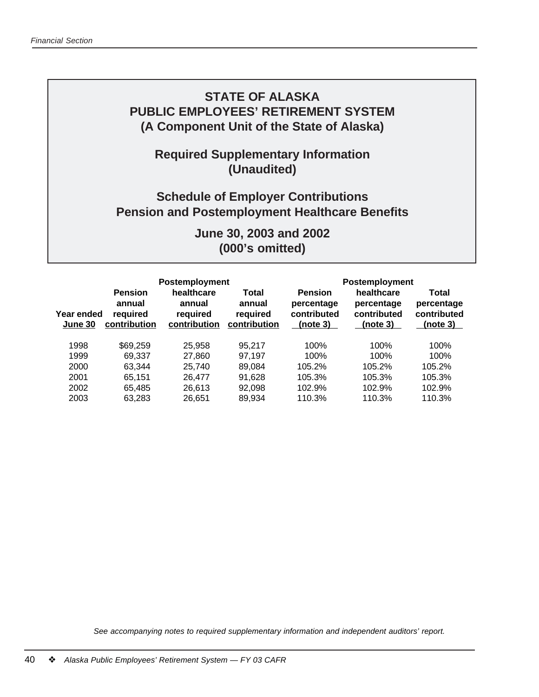**Required Supplementary Information (Unaudited)**

# **Schedule of Employer Contributions Pension and Postemployment Healthcare Benefits**

**June 30, 2003 and 2002 (000's omitted)**

| Postemployment        |                                                      |                                                  | Postemployment                              |                                                         |                                                     |                                                |
|-----------------------|------------------------------------------------------|--------------------------------------------------|---------------------------------------------|---------------------------------------------------------|-----------------------------------------------------|------------------------------------------------|
| Year ended<br>June 30 | <b>Pension</b><br>annual<br>required<br>contribution | healthcare<br>annual<br>required<br>contribution | Total<br>annual<br>required<br>contribution | <b>Pension</b><br>percentage<br>contributed<br>(note 3) | healthcare<br>percentage<br>contributed<br>(note 3) | Total<br>percentage<br>contributed<br>(note 3) |
| 1998                  | \$69,259                                             | 25,958                                           | 95,217                                      | 100%                                                    | 100%                                                | 100%                                           |
| 1999                  | 69.337                                               | 27,860                                           | 97.197                                      | 100%                                                    | 100%                                                | 100%                                           |
| 2000                  | 63.344                                               | 25.740                                           | 89.084                                      | 105.2%                                                  | 105.2%                                              | 105.2%                                         |
| 2001                  | 65.151                                               | 26.477                                           | 91.628                                      | 105.3%                                                  | 105.3%                                              | 105.3%                                         |
| 2002                  | 65.485                                               | 26,613                                           | 92.098                                      | 102.9%                                                  | 102.9%                                              | 102.9%                                         |
| 2003                  | 63.283                                               | 26.651                                           | 89.934                                      | 110.3%                                                  | 110.3%                                              | 110.3%                                         |

*See accompanying notes to required supplementary information and independent auditors' report.*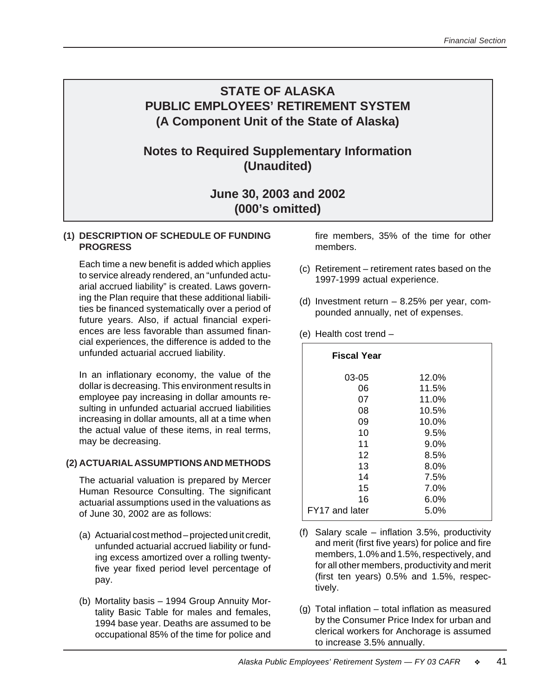# **Notes to Required Supplementary Information (Unaudited)**

# **June 30, 2003 and 2002 (000's omitted)**

### **(1) DESCRIPTION OF SCHEDULE OF FUNDING PROGRESS**

Each time a new benefit is added which applies to service already rendered, an "unfunded actuarial accrued liability" is created. Laws governing the Plan require that these additional liabilities be financed systematically over a period of future years. Also, if actual financial experiences are less favorable than assumed financial experiences, the difference is added to the unfunded actuarial accrued liability.

In an inflationary economy, the value of the dollar is decreasing. This environment results in employee pay increasing in dollar amounts resulting in unfunded actuarial accrued liabilities increasing in dollar amounts, all at a time when the actual value of these items, in real terms, may be decreasing.

### **(2) ACTUARIAL ASSUMPTIONS AND METHODS**

The actuarial valuation is prepared by Mercer Human Resource Consulting. The significant actuarial assumptions used in the valuations as of June 30, 2002 are as follows:

- (a) Actuarial cost method projected unit credit, unfunded actuarial accrued liability or funding excess amortized over a rolling twentyfive year fixed period level percentage of pay.
- (b) Mortality basis 1994 Group Annuity Mortality Basic Table for males and females, 1994 base year. Deaths are assumed to be occupational 85% of the time for police and

fire members, 35% of the time for other members.

- (c) Retirement retirement rates based on the 1997-1999 actual experience.
- (d) Investment return 8.25% per year, compounded annually, net of expenses.
- (e) Health cost trend –

| <b>Fiscal Year</b> |         |
|--------------------|---------|
| 03-05              | 12.0%   |
| 06                 | 11.5%   |
| 07                 | 11.0%   |
| 08                 | 10.5%   |
| 09                 | 10.0%   |
| 10                 | 9.5%    |
| 11                 | $9.0\%$ |
| 12                 | 8.5%    |
| 13                 | 8.0%    |
| 14                 | 7.5%    |
| 15                 | 7.0%    |
| 16                 | 6.0%    |
| FY17 and later     | 5.0%    |

- (f) Salary scale inflation 3.5%, productivity and merit (first five years) for police and fire members, 1.0% and 1.5%, respectively, and for all other members, productivity and merit (first ten years) 0.5% and 1.5%, respectively.
- (g) Total inflation total inflation as measured by the Consumer Price Index for urban and clerical workers for Anchorage is assumed to increase 3.5% annually.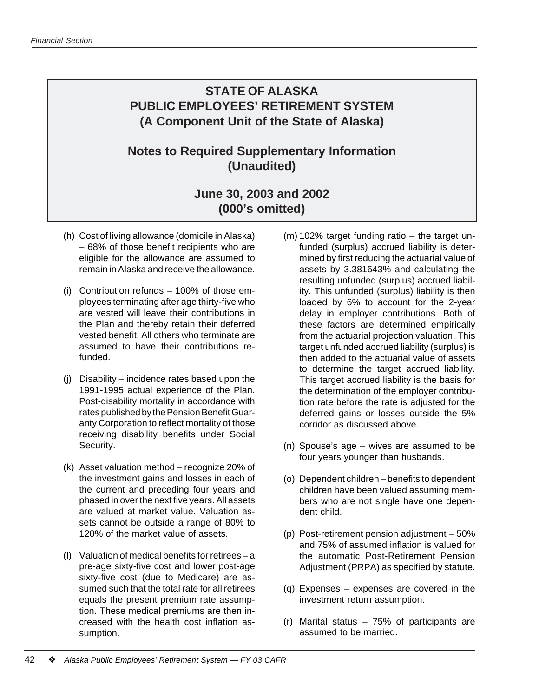## **Notes to Required Supplementary Information (Unaudited)**

# **June 30, 2003 and 2002 (000's omitted)**

- (h) Cost of living allowance (domicile in Alaska) – 68% of those benefit recipients who are eligible for the allowance are assumed to remain in Alaska and receive the allowance.
- (i) Contribution refunds 100% of those employees terminating after age thirty-five who are vested will leave their contributions in the Plan and thereby retain their deferred vested benefit. All others who terminate are assumed to have their contributions refunded.
- (j) Disability incidence rates based upon the 1991-1995 actual experience of the Plan. Post-disability mortality in accordance with rates published by the Pension Benefit Guaranty Corporation to reflect mortality of those receiving disability benefits under Social Security.
- (k) Asset valuation method recognize 20% of the investment gains and losses in each of the current and preceding four years and phased in over the next five years. All assets are valued at market value. Valuation assets cannot be outside a range of 80% to 120% of the market value of assets.
- (l) Valuation of medical benefits for retirees a pre-age sixty-five cost and lower post-age sixty-five cost (due to Medicare) are assumed such that the total rate for all retirees equals the present premium rate assumption. These medical premiums are then increased with the health cost inflation assumption.
- (m) 102% target funding ratio the target unfunded (surplus) accrued liability is determined by first reducing the actuarial value of assets by 3.381643% and calculating the resulting unfunded (surplus) accrued liability. This unfunded (surplus) liability is then loaded by 6% to account for the 2-year delay in employer contributions. Both of these factors are determined empirically from the actuarial projection valuation. This target unfunded accrued liability (surplus) is then added to the actuarial value of assets to determine the target accrued liability. This target accrued liability is the basis for the determination of the employer contribution rate before the rate is adjusted for the deferred gains or losses outside the 5% corridor as discussed above.
- (n) Spouse's age wives are assumed to be four years younger than husbands.
- (o) Dependent children benefits to dependent children have been valued assuming members who are not single have one dependent child.
- (p) Post-retirement pension adjustment 50% and 75% of assumed inflation is valued for the automatic Post-Retirement Pension Adjustment (PRPA) as specified by statute.
- (q) Expenses expenses are covered in the investment return assumption.
- (r) Marital status 75% of participants are assumed to be married.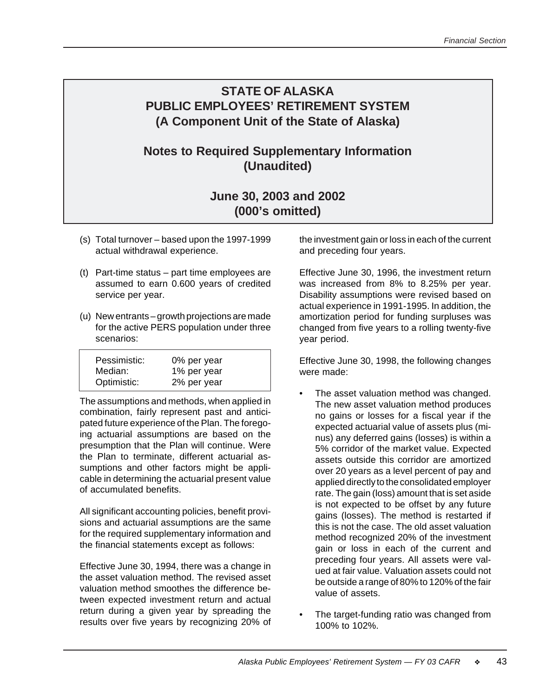## **Notes to Required Supplementary Information (Unaudited)**

## **June 30, 2003 and 2002 (000's omitted)**

- (s) Total turnover based upon the 1997-1999 actual withdrawal experience.
- (t) Part-time status part time employees are assumed to earn 0.600 years of credited service per year.
- (u) New entrants growth projections are made for the active PERS population under three scenarios:

| Pessimistic: | 0% per year |  |
|--------------|-------------|--|
| Median:      | 1% per year |  |
| Optimistic:  | 2% per year |  |

The assumptions and methods, when applied in combination, fairly represent past and anticipated future experience of the Plan. The foregoing actuarial assumptions are based on the presumption that the Plan will continue. Were the Plan to terminate, different actuarial assumptions and other factors might be applicable in determining the actuarial present value of accumulated benefits.

All significant accounting policies, benefit provisions and actuarial assumptions are the same for the required supplementary information and the financial statements except as follows:

Effective June 30, 1994, there was a change in the asset valuation method. The revised asset valuation method smoothes the difference between expected investment return and actual return during a given year by spreading the results over five years by recognizing 20% of

the investment gain or loss in each of the current and preceding four years.

Effective June 30, 1996, the investment return was increased from 8% to 8.25% per year. Disability assumptions were revised based on actual experience in 1991-1995. In addition, the amortization period for funding surpluses was changed from five years to a rolling twenty-five year period.

Effective June 30, 1998, the following changes were made:

- The asset valuation method was changed. The new asset valuation method produces no gains or losses for a fiscal year if the expected actuarial value of assets plus (minus) any deferred gains (losses) is within a 5% corridor of the market value. Expected assets outside this corridor are amortized over 20 years as a level percent of pay and applied directly to the consolidated employer rate. The gain (loss) amount that is set aside is not expected to be offset by any future gains (losses). The method is restarted if this is not the case. The old asset valuation method recognized 20% of the investment gain or loss in each of the current and preceding four years. All assets were valued at fair value. Valuation assets could not be outside a range of 80% to 120% of the fair value of assets.
- The target-funding ratio was changed from 100% to 102%.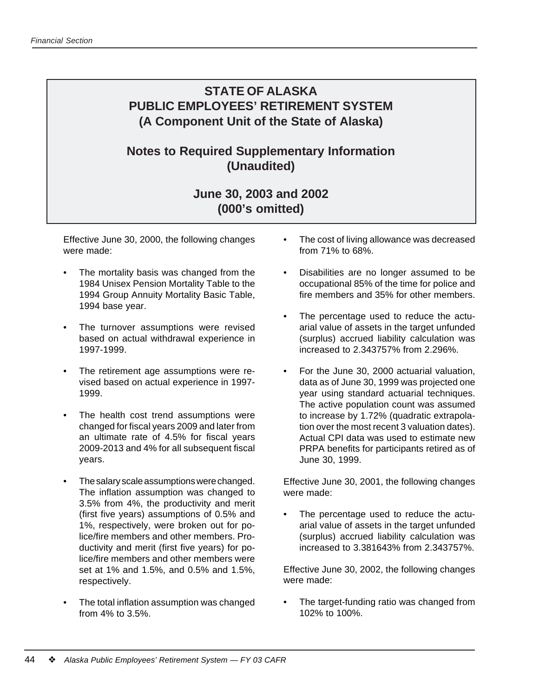## **Notes to Required Supplementary Information (Unaudited)**

# **June 30, 2003 and 2002 (000's omitted)**

Effective June 30, 2000, the following changes were made:

- The mortality basis was changed from the 1984 Unisex Pension Mortality Table to the 1994 Group Annuity Mortality Basic Table, 1994 base year.
- The turnover assumptions were revised based on actual withdrawal experience in 1997-1999.
- The retirement age assumptions were revised based on actual experience in 1997- 1999.
- The health cost trend assumptions were changed for fiscal years 2009 and later from an ultimate rate of 4.5% for fiscal years 2009-2013 and 4% for all subsequent fiscal years.
- The salary scale assumptions were changed. The inflation assumption was changed to 3.5% from 4%, the productivity and merit (first five years) assumptions of 0.5% and 1%, respectively, were broken out for police/fire members and other members. Productivity and merit (first five years) for police/fire members and other members were set at 1% and 1.5%, and 0.5% and 1.5%, respectively.
- The total inflation assumption was changed from 4% to 3.5%.
- The cost of living allowance was decreased from 71% to 68%.
- Disabilities are no longer assumed to be occupational 85% of the time for police and fire members and 35% for other members.
- The percentage used to reduce the actuarial value of assets in the target unfunded (surplus) accrued liability calculation was increased to 2.343757% from 2.296%.
- For the June 30, 2000 actuarial valuation, data as of June 30, 1999 was projected one year using standard actuarial techniques. The active population count was assumed to increase by 1.72% (quadratic extrapolation over the most recent 3 valuation dates). Actual CPI data was used to estimate new PRPA benefits for participants retired as of June 30, 1999.

Effective June 30, 2001, the following changes were made:

• The percentage used to reduce the actuarial value of assets in the target unfunded (surplus) accrued liability calculation was increased to 3.381643% from 2.343757%.

Effective June 30, 2002, the following changes were made:

The target-funding ratio was changed from 102% to 100%.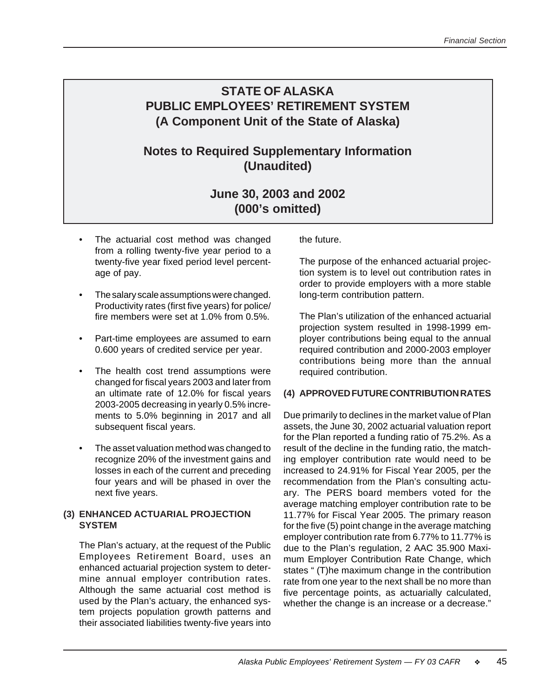## **Notes to Required Supplementary Information (Unaudited)**

# **June 30, 2003 and 2002 (000's omitted)**

- The actuarial cost method was changed from a rolling twenty-five year period to a twenty-five year fixed period level percentage of pay.
- The salary scale assumptions were changed. Productivity rates (first five years) for police/ fire members were set at 1.0% from 0.5%.
- Part-time employees are assumed to earn 0.600 years of credited service per year.
- The health cost trend assumptions were changed for fiscal years 2003 and later from an ultimate rate of 12.0% for fiscal years 2003-2005 decreasing in yearly 0.5% increments to 5.0% beginning in 2017 and all subsequent fiscal years.
- The asset valuation method was changed to recognize 20% of the investment gains and losses in each of the current and preceding four years and will be phased in over the next five years.

#### **(3) ENHANCED ACTUARIAL PROJECTION SYSTEM**

The Plan's actuary, at the request of the Public Employees Retirement Board, uses an enhanced actuarial projection system to determine annual employer contribution rates. Although the same actuarial cost method is used by the Plan's actuary, the enhanced system projects population growth patterns and their associated liabilities twenty-five years into the future.

The purpose of the enhanced actuarial projection system is to level out contribution rates in order to provide employers with a more stable long-term contribution pattern.

The Plan's utilization of the enhanced actuarial projection system resulted in 1998-1999 employer contributions being equal to the annual required contribution and 2000-2003 employer contributions being more than the annual required contribution.

### **(4) APPROVED FUTURE CONTRIBUTION RATES**

Due primarily to declines in the market value of Plan assets, the June 30, 2002 actuarial valuation report for the Plan reported a funding ratio of 75.2%. As a result of the decline in the funding ratio, the matching employer contribution rate would need to be increased to 24.91% for Fiscal Year 2005, per the recommendation from the Plan's consulting actuary. The PERS board members voted for the average matching employer contribution rate to be 11.77% for Fiscal Year 2005. The primary reason for the five (5) point change in the average matching employer contribution rate from 6.77% to 11.77% is due to the Plan's regulation, 2 AAC 35.900 Maximum Employer Contribution Rate Change, which states " (T)he maximum change in the contribution rate from one year to the next shall be no more than five percentage points, as actuarially calculated, whether the change is an increase or a decrease."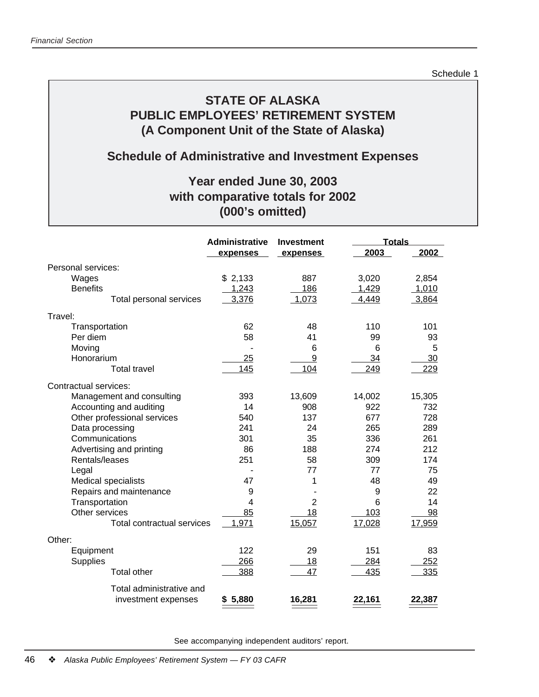Schedule 1

# **STATE OF ALASKA PUBLIC EMPLOYEES' RETIREMENT SYSTEM (A Component Unit of the State of Alaska)**

## **Schedule of Administrative and Investment Expenses**

# **Year ended June 30, 2003 with comparative totals for 2002 (000's omitted)**

|                                   | <b>Administrative</b> | <b>Investment</b> | <b>Totals</b> |        |
|-----------------------------------|-----------------------|-------------------|---------------|--------|
|                                   | expenses              | expenses          | 2003          | 2002   |
| Personal services:                |                       |                   |               |        |
| Wages                             | \$2,133               | 887               | 3,020         | 2,854  |
| <b>Benefits</b>                   | 1,243                 | 186               | 1,429         | 1,010  |
| Total personal services           | 3,376                 | 1,073             | 4,449         | 3,864  |
|                                   |                       |                   |               |        |
| Travel:                           |                       |                   |               |        |
| Transportation                    | 62                    | 48                | 110           | 101    |
| Per diem                          | 58                    | 41                | 99            | 93     |
| Moving                            |                       | 6                 | 6             | 5      |
| Honorarium                        | 25                    | 9                 | 34            | 30     |
| <b>Total travel</b>               | 145                   | 104               | 249           | 229    |
| Contractual services:             |                       |                   |               |        |
| Management and consulting         | 393                   | 13,609            | 14,002        | 15,305 |
| Accounting and auditing           | 14                    | 908               | 922           | 732    |
| Other professional services       | 540                   | 137               | 677           | 728    |
| Data processing                   | 241                   | 24                | 265           | 289    |
| Communications                    | 301                   | 35                | 336           | 261    |
| Advertising and printing          | 86                    | 188               | 274           | 212    |
| Rentals/leases                    | 251                   | 58                | 309           | 174    |
| Legal                             |                       | 77                | 77            | 75     |
| Medical specialists               | 47                    | 1                 | 48            | 49     |
| Repairs and maintenance           | 9                     |                   | 9             | 22     |
| Transportation                    | 4                     | $\overline{2}$    | 6             | 14     |
| Other services                    | 85                    | 18                | 103           | 98     |
| <b>Total contractual services</b> | 1,971                 | 15,057            | 17,028        | 17,959 |
| Other:                            |                       |                   |               |        |
| Equipment                         | 122                   | 29                | 151           | 83     |
| <b>Supplies</b>                   | 266                   | 18                | 284           | 252    |
| <b>Total other</b>                | 388                   | 47                | 435           | 335    |
|                                   |                       |                   |               |        |
| Total administrative and          |                       |                   |               |        |
| investment expenses               | 5,880<br>\$           | 16,281            | 22,161        | 22,387 |

See accompanying independent auditors' report.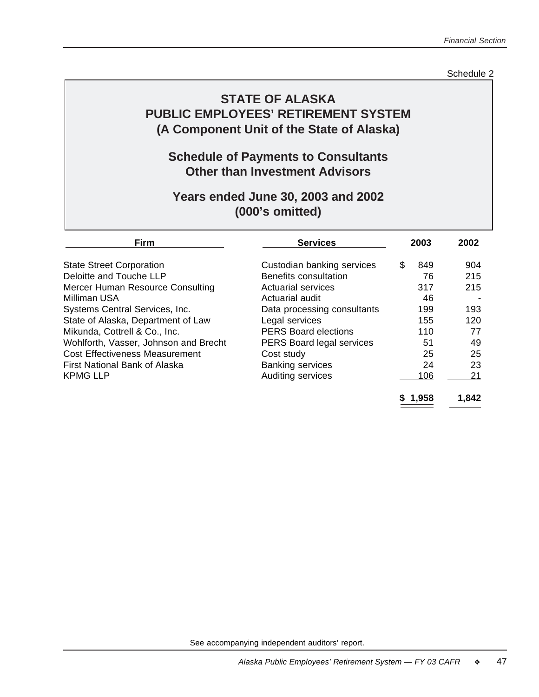Schedule 2

# **STATE OF ALASKA PUBLIC EMPLOYEES' RETIREMENT SYSTEM (A Component Unit of the State of Alaska)**

# **Schedule of Payments to Consultants Other than Investment Advisors**

## **Years ended June 30, 2003 and 2002 (000's omitted)**

| Firm                                  | <b>Services</b>             | 2003      | 2002  |
|---------------------------------------|-----------------------------|-----------|-------|
| <b>State Street Corporation</b>       | Custodian banking services  | \$<br>849 | 904   |
| Deloitte and Touche LLP               | Benefits consultation       | 76        | 215   |
| Mercer Human Resource Consulting      | <b>Actuarial services</b>   | 317       | 215   |
| <b>Milliman USA</b>                   | Actuarial audit             | 46        |       |
| Systems Central Services, Inc.        | Data processing consultants | 199       | 193   |
| State of Alaska, Department of Law    | Legal services              | 155       | 120   |
| Mikunda, Cottrell & Co., Inc.         | <b>PERS Board elections</b> | 110       | 77    |
| Wohlforth, Vasser, Johnson and Brecht | PERS Board legal services   | 51        | 49    |
| <b>Cost Effectiveness Measurement</b> | Cost study                  | 25        | 25    |
| First National Bank of Alaska         | <b>Banking services</b>     | 24        | 23    |
| <b>KPMG LLP</b>                       | Auditing services           | 106       | 21    |
|                                       |                             | 1,958     | 1,842 |

See accompanying independent auditors' report.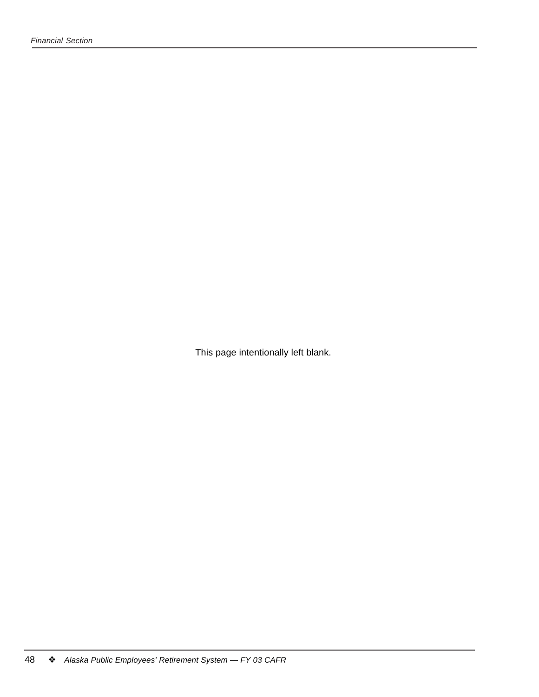This page intentionally left blank.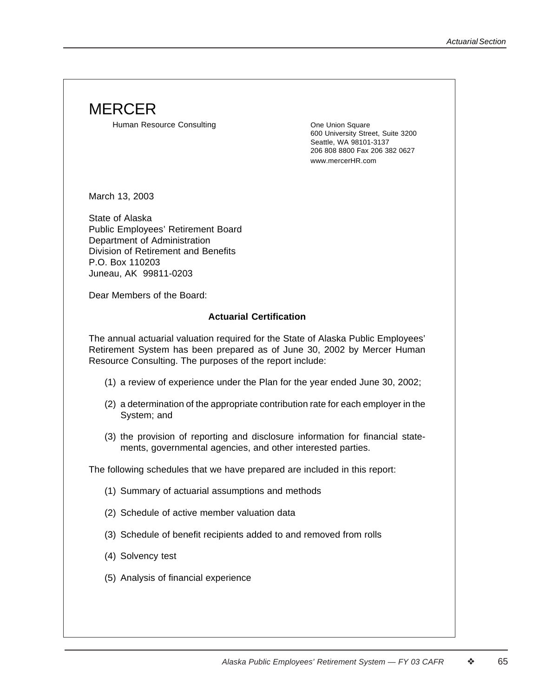

Human Resource Consulting The Construction one Union Square

600 University Street, Suite 3200 Seattle, WA 98101-3137 206 808 8800 Fax 206 382 0627 www.mercerHR.com

March 13, 2003

State of Alaska Public Employees' Retirement Board Department of Administration Division of Retirement and Benefits P.O. Box 110203 Juneau, AK 99811-0203

Dear Members of the Board:

#### **Actuarial Certification**

The annual actuarial valuation required for the State of Alaska Public Employees' Retirement System has been prepared as of June 30, 2002 by Mercer Human Resource Consulting. The purposes of the report include:

- (1) a review of experience under the Plan for the year ended June 30, 2002;
- (2) a determination of the appropriate contribution rate for each employer in the System; and
- (3) the provision of reporting and disclosure information for financial statements, governmental agencies, and other interested parties.

The following schedules that we have prepared are included in this report:

- (1) Summary of actuarial assumptions and methods
- (2) Schedule of active member valuation data
- (3) Schedule of benefit recipients added to and removed from rolls
- (4) Solvency test
- (5) Analysis of financial experience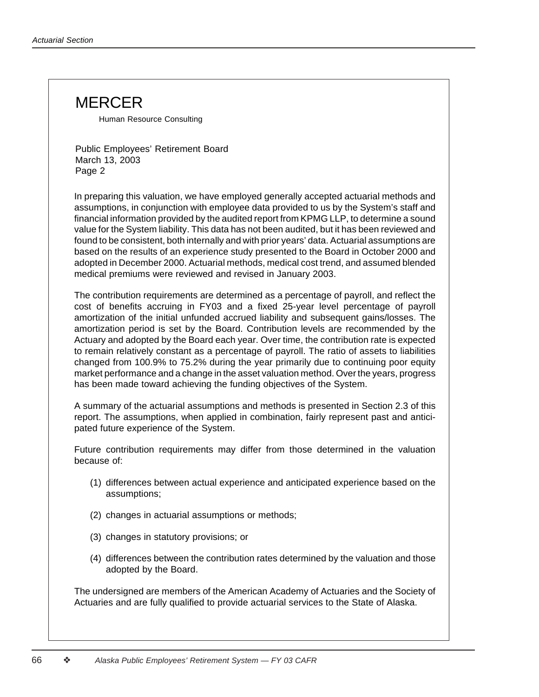# **MERCER**

Human Resource Consulting

Public Employees' Retirement Board March 13, 2003 Page 2

In preparing this valuation, we have employed generally accepted actuarial methods and assumptions, in conjunction with employee data provided to us by the System's staff and financial information provided by the audited report from KPMG LLP, to determine a sound value for the System liability. This data has not been audited, but it has been reviewed and found to be consistent, both internally and with prior years' data. Actuarial assumptions are based on the results of an experience study presented to the Board in October 2000 and adopted in December 2000. Actuarial methods, medical cost trend, and assumed blended medical premiums were reviewed and revised in January 2003.

The contribution requirements are determined as a percentage of payroll, and reflect the cost of benefits accruing in FY03 and a fixed 25-year level percentage of payroll amortization of the initial unfunded accrued liability and subsequent gains/losses. The amortization period is set by the Board. Contribution levels are recommended by the Actuary and adopted by the Board each year. Over time, the contribution rate is expected to remain relatively constant as a percentage of payroll. The ratio of assets to liabilities changed from 100.9% to 75.2% during the year primarily due to continuing poor equity market performance and a change in the asset valuation method. Over the years, progress has been made toward achieving the funding objectives of the System.

A summary of the actuarial assumptions and methods is presented in Section 2.3 of this report. The assumptions, when applied in combination, fairly represent past and anticipated future experience of the System.

Future contribution requirements may differ from those determined in the valuation because of:

- (1) differences between actual experience and anticipated experience based on the assumptions;
- (2) changes in actuarial assumptions or methods;
- (3) changes in statutory provisions; or
- (4) differences between the contribution rates determined by the valuation and those adopted by the Board.

The undersigned are members of the American Academy of Actuaries and the Society of Actuaries and are fully qualified to provide actuarial services to the State of Alaska.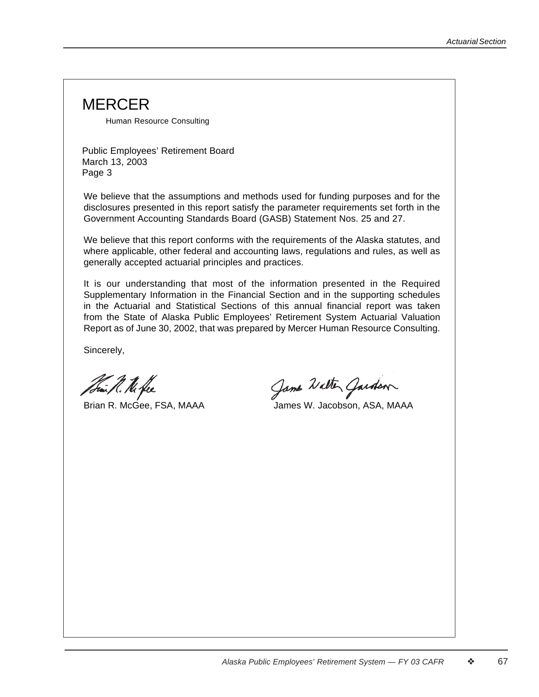# **MERCER**

Human Resource Consulting

Public Employees' Retirement Board March 13, 2003 Page 3

We believe that the assumptions and methods used for funding purposes and for the disclosures presented in this report satisfy the parameter requirements set forth in the Government Accounting Standards Board (GASB) Statement Nos. 25 and 27.

We believe that this report conforms with the requirements of the Alaska statutes, and where applicable, other federal and accounting laws, regulations and rules, as well as generally accepted actuarial principles and practices.

It is our understanding that most of the information presented in the Required Supplementary Information in the Financial Section and in the supporting schedules in the Actuarial and Statistical Sections of this annual financial report was taken from the State of Alaska Public Employees' Retirement System Actuarial Valuation Report as of June 30, 2002, that was prepared by Mercer Human Resource Consulting.

Sincerely,

Then R. The fee

James Walter Garden

Brian R. McGee, FSA, MAAA James W. Jacobson, ASA, MAAA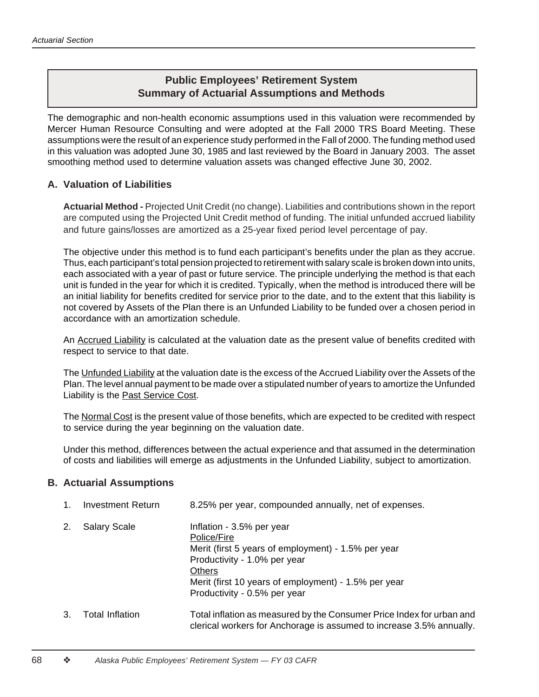### **Public Employees' Retirement System Summary of Actuarial Assumptions and Methods**

The demographic and non-health economic assumptions used in this valuation were recommended by Mercer Human Resource Consulting and were adopted at the Fall 2000 TRS Board Meeting. These assumptions were the result of an experience study performed in the Fall of 2000. The funding method used in this valuation was adopted June 30, 1985 and last reviewed by the Board in January 2003. The asset smoothing method used to determine valuation assets was changed effective June 30, 2002.

### **A. Valuation of Liabilities**

**Actuarial Method -** Projected Unit Credit (no change). Liabilities and contributions shown in the report are computed using the Projected Unit Credit method of funding. The initial unfunded accrued liability and future gains/losses are amortized as a 25-year fixed period level percentage of pay.

The objective under this method is to fund each participant's benefits under the plan as they accrue. Thus, each participant's total pension projected to retirement with salary scale is broken down into units, each associated with a year of past or future service. The principle underlying the method is that each unit is funded in the year for which it is credited. Typically, when the method is introduced there will be an initial liability for benefits credited for service prior to the date, and to the extent that this liability is not covered by Assets of the Plan there is an Unfunded Liability to be funded over a chosen period in accordance with an amortization schedule.

An Accrued Liability is calculated at the valuation date as the present value of benefits credited with respect to service to that date.

The Unfunded Liability at the valuation date is the excess of the Accrued Liability over the Assets of the Plan. The level annual payment to be made over a stipulated number of years to amortize the Unfunded Liability is the Past Service Cost.

The Normal Cost is the present value of those benefits, which are expected to be credited with respect to service during the year beginning on the valuation date.

Under this method, differences between the actual experience and that assumed in the determination of costs and liabilities will emerge as adjustments in the Unfunded Liability, subject to amortization.

### **B. Actuarial Assumptions**

|    | <b>Investment Return</b> | 8.25% per year, compounded annually, net of expenses.                                                                                                                                                                                    |
|----|--------------------------|------------------------------------------------------------------------------------------------------------------------------------------------------------------------------------------------------------------------------------------|
| 2. | <b>Salary Scale</b>      | Inflation - 3.5% per year<br>Police/Fire<br>Merit (first 5 years of employment) - 1.5% per year<br>Productivity - 1.0% per year<br><b>Others</b><br>Merit (first 10 years of employment) - 1.5% per year<br>Productivity - 0.5% per year |
| 3. | <b>Total Inflation</b>   | Total inflation as measured by the Consumer Price Index for urban and<br>clerical workers for Anchorage is assumed to increase 3.5% annually.                                                                                            |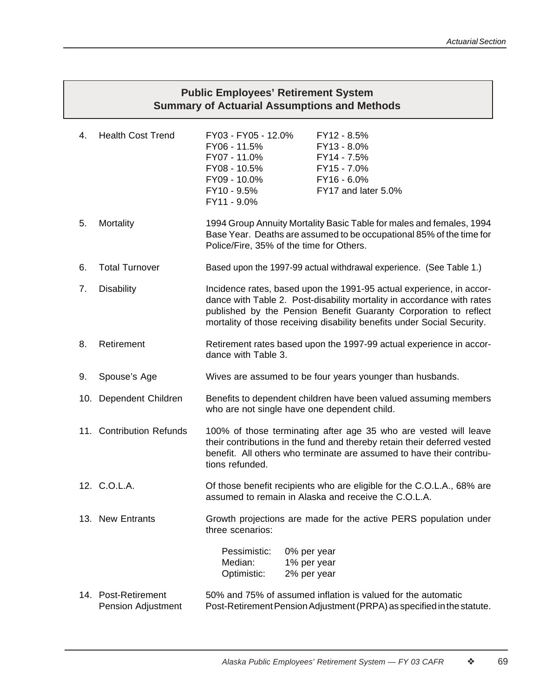### **Public Employees' Retirement System Summary of Actuarial Assumptions and Methods**

| 4. | <b>Health Cost Trend</b>                  | FY03 - FY05 - 12.0%<br>FY06 - 11.5%<br>FY07 - 11.0%<br>FY08 - 10.5%<br>FY09 - 10.0%<br>FY10 - 9.5%<br>FY11 - 9.0%                                                                                                                                                                             | FY12 - 8.5%<br>FY13 - 8.0%<br>FY14 - 7.5%<br>FY15 - 7.0%<br>FY16 - 6.0%<br>FY17 and later 5.0%                                               |  |  |  |
|----|-------------------------------------------|-----------------------------------------------------------------------------------------------------------------------------------------------------------------------------------------------------------------------------------------------------------------------------------------------|----------------------------------------------------------------------------------------------------------------------------------------------|--|--|--|
| 5. | Mortality                                 | Police/Fire, 35% of the time for Others.                                                                                                                                                                                                                                                      | 1994 Group Annuity Mortality Basic Table for males and females, 1994<br>Base Year. Deaths are assumed to be occupational 85% of the time for |  |  |  |
| 6. | <b>Total Turnover</b>                     |                                                                                                                                                                                                                                                                                               | Based upon the 1997-99 actual withdrawal experience. (See Table 1.)                                                                          |  |  |  |
| 7. | <b>Disability</b>                         | Incidence rates, based upon the 1991-95 actual experience, in accor-<br>dance with Table 2. Post-disability mortality in accordance with rates<br>published by the Pension Benefit Guaranty Corporation to reflect<br>mortality of those receiving disability benefits under Social Security. |                                                                                                                                              |  |  |  |
| 8. | Retirement                                | dance with Table 3.                                                                                                                                                                                                                                                                           | Retirement rates based upon the 1997-99 actual experience in accor-                                                                          |  |  |  |
| 9. | Spouse's Age                              |                                                                                                                                                                                                                                                                                               | Wives are assumed to be four years younger than husbands.                                                                                    |  |  |  |
|    | 10. Dependent Children                    | Benefits to dependent children have been valued assuming members<br>who are not single have one dependent child.                                                                                                                                                                              |                                                                                                                                              |  |  |  |
|    | 11. Contribution Refunds                  | 100% of those terminating after age 35 who are vested will leave<br>their contributions in the fund and thereby retain their deferred vested<br>benefit. All others who terminate are assumed to have their contribu-<br>tions refunded.                                                      |                                                                                                                                              |  |  |  |
|    | 12. C.O.L.A.                              | Of those benefit recipients who are eligible for the C.O.L.A., 68% are<br>assumed to remain in Alaska and receive the C.O.L.A.                                                                                                                                                                |                                                                                                                                              |  |  |  |
|    | 13. New Entrants                          | three scenarios:                                                                                                                                                                                                                                                                              | Growth projections are made for the active PERS population under                                                                             |  |  |  |
|    |                                           | Pessimistic:<br>0% per year<br>1% per year<br>Median:<br>Optimistic:<br>2% per year                                                                                                                                                                                                           |                                                                                                                                              |  |  |  |
|    | 14. Post-Retirement<br>Pension Adjustment |                                                                                                                                                                                                                                                                                               | 50% and 75% of assumed inflation is valued for the automatic<br>Post-Retirement Pension Adjustment (PRPA) as specified in the statute.       |  |  |  |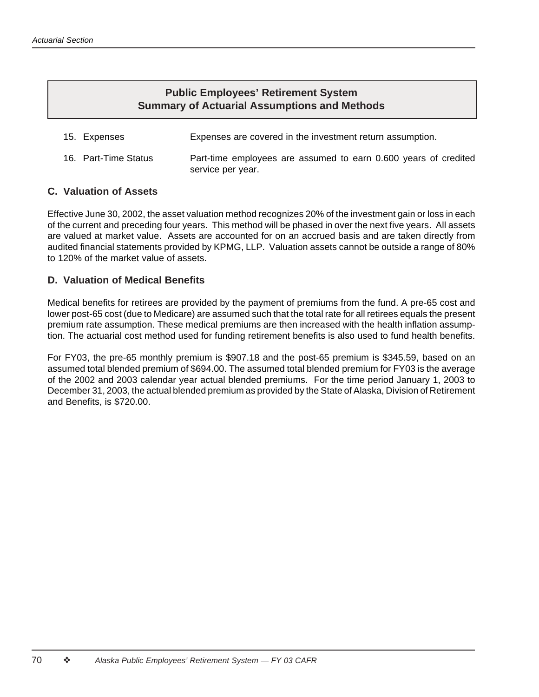### **Public Employees' Retirement System Summary of Actuarial Assumptions and Methods**

- 15. Expenses Expenses are covered in the investment return assumption.
- 16. Part-Time Status Part-time employees are assumed to earn 0.600 years of credited service per year.

### **C. Valuation of Assets**

Effective June 30, 2002, the asset valuation method recognizes 20% of the investment gain or loss in each of the current and preceding four years. This method will be phased in over the next five years. All assets are valued at market value. Assets are accounted for on an accrued basis and are taken directly from audited financial statements provided by KPMG, LLP. Valuation assets cannot be outside a range of 80% to 120% of the market value of assets.

### **D. Valuation of Medical Benefits**

Medical benefits for retirees are provided by the payment of premiums from the fund. A pre-65 cost and lower post-65 cost (due to Medicare) are assumed such that the total rate for all retirees equals the present premium rate assumption. These medical premiums are then increased with the health inflation assumption. The actuarial cost method used for funding retirement benefits is also used to fund health benefits.

For FY03, the pre-65 monthly premium is \$907.18 and the post-65 premium is \$345.59, based on an assumed total blended premium of \$694.00. The assumed total blended premium for FY03 is the average of the 2002 and 2003 calendar year actual blended premiums. For the time period January 1, 2003 to December 31, 2003, the actual blended premium as provided by the State of Alaska, Division of Retirement and Benefits, is \$720.00.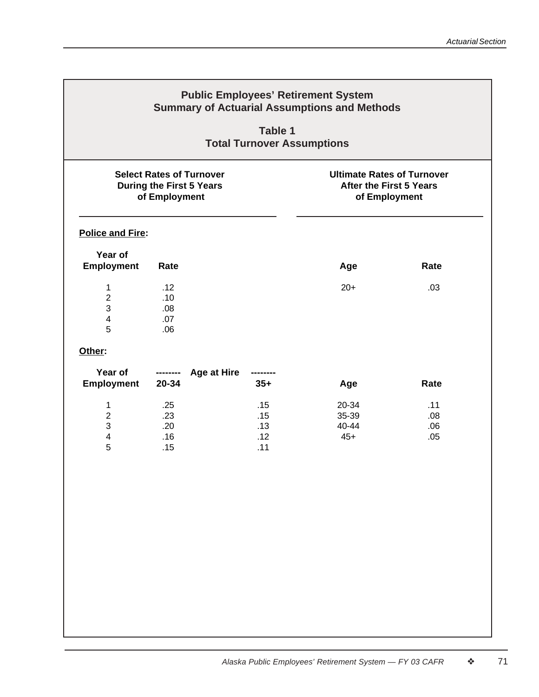|                                                                       | <b>Public Employees' Retirement System</b><br><b>Summary of Actuarial Assumptions and Methods</b><br><b>Table 1</b><br><b>Total Turnover Assumptions</b> |                    |                                 |                                                                                      |                          |
|-----------------------------------------------------------------------|----------------------------------------------------------------------------------------------------------------------------------------------------------|--------------------|---------------------------------|--------------------------------------------------------------------------------------|--------------------------|
|                                                                       | <b>Select Rates of Turnover</b><br><b>During the First 5 Years</b><br>of Employment                                                                      |                    |                                 | <b>Ultimate Rates of Turnover</b><br><b>After the First 5 Years</b><br>of Employment |                          |
| <b>Police and Fire:</b>                                               |                                                                                                                                                          |                    |                                 |                                                                                      |                          |
| Year of<br><b>Employment</b>                                          | Rate                                                                                                                                                     |                    |                                 | Age                                                                                  | Rate                     |
| 1<br>$\overline{2}$<br>$\mathfrak{S}$<br>$\overline{\mathbf{4}}$<br>5 | .12<br>.10<br>.08<br>.07<br>.06                                                                                                                          |                    |                                 | $20+$                                                                                | .03                      |
| Other:                                                                |                                                                                                                                                          |                    |                                 |                                                                                      |                          |
| Year of<br><b>Employment</b>                                          | --------<br>20-34                                                                                                                                        | <b>Age at Hire</b> | $35+$                           | Age                                                                                  | Rate                     |
| 1<br>$\overline{c}$<br>3<br>4<br>5                                    | .25<br>.23<br>.20<br>.16<br>.15                                                                                                                          |                    | .15<br>.15<br>.13<br>.12<br>.11 | 20-34<br>35-39<br>40-44<br>$45+$                                                     | .11<br>.08<br>.06<br>.05 |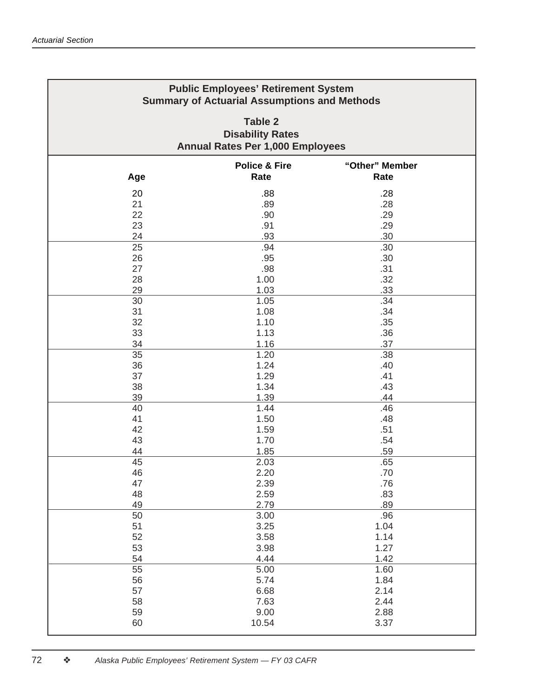| <b>Public Employees' Retirement System</b><br><b>Summary of Actuarial Assumptions and Methods</b> |                                                                               |                        |  |  |  |  |  |  |
|---------------------------------------------------------------------------------------------------|-------------------------------------------------------------------------------|------------------------|--|--|--|--|--|--|
|                                                                                                   | Table 2<br><b>Disability Rates</b><br><b>Annual Rates Per 1,000 Employees</b> |                        |  |  |  |  |  |  |
| Age                                                                                               | <b>Police &amp; Fire</b><br>Rate                                              | "Other" Member<br>Rate |  |  |  |  |  |  |
|                                                                                                   |                                                                               |                        |  |  |  |  |  |  |
| 20                                                                                                | .88                                                                           | .28                    |  |  |  |  |  |  |
| 21                                                                                                | .89                                                                           | .28                    |  |  |  |  |  |  |
| 22                                                                                                | .90                                                                           | .29                    |  |  |  |  |  |  |
| 23                                                                                                | .91                                                                           | .29                    |  |  |  |  |  |  |
| 24                                                                                                | .93                                                                           | .30                    |  |  |  |  |  |  |
| 25                                                                                                | .94                                                                           | .30                    |  |  |  |  |  |  |
| 26<br>27                                                                                          | .95                                                                           | .30                    |  |  |  |  |  |  |
| 28                                                                                                | .98<br>1.00                                                                   | .31<br>.32             |  |  |  |  |  |  |
| 29                                                                                                | 1.03                                                                          | .33                    |  |  |  |  |  |  |
| 30                                                                                                | 1.05                                                                          | .34                    |  |  |  |  |  |  |
| 31                                                                                                | 1.08                                                                          | .34                    |  |  |  |  |  |  |
| 32                                                                                                | 1.10                                                                          | .35                    |  |  |  |  |  |  |
| 33                                                                                                | 1.13                                                                          | .36                    |  |  |  |  |  |  |
| 34                                                                                                | 1.16                                                                          | .37                    |  |  |  |  |  |  |
| $\overline{35}$                                                                                   | 1.20                                                                          | .38                    |  |  |  |  |  |  |
| 36                                                                                                | 1.24                                                                          | .40                    |  |  |  |  |  |  |
| 37                                                                                                | 1.29                                                                          | .41                    |  |  |  |  |  |  |
| 38                                                                                                | 1.34                                                                          | .43                    |  |  |  |  |  |  |
| 39                                                                                                | 1.39                                                                          | .44                    |  |  |  |  |  |  |
| 40                                                                                                | 1.44                                                                          | .46                    |  |  |  |  |  |  |
| 41                                                                                                | 1.50                                                                          | .48                    |  |  |  |  |  |  |
| 42                                                                                                | 1.59                                                                          | .51                    |  |  |  |  |  |  |
| 43                                                                                                | 1.70                                                                          | .54                    |  |  |  |  |  |  |
| 44                                                                                                | 1.85                                                                          | .59                    |  |  |  |  |  |  |
| 45                                                                                                | 2.03                                                                          | .65                    |  |  |  |  |  |  |
| 46                                                                                                | 2.20                                                                          | $.70\,$                |  |  |  |  |  |  |
| 47                                                                                                | 2.39                                                                          | .76                    |  |  |  |  |  |  |
| 48                                                                                                | 2.59                                                                          | .83                    |  |  |  |  |  |  |
| 49                                                                                                | 2.79                                                                          | .89                    |  |  |  |  |  |  |
| 50                                                                                                | 3.00                                                                          | .96                    |  |  |  |  |  |  |
| 51                                                                                                | 3.25                                                                          | 1.04                   |  |  |  |  |  |  |
| 52                                                                                                | 3.58                                                                          | 1.14                   |  |  |  |  |  |  |
| 53                                                                                                | 3.98                                                                          | 1.27                   |  |  |  |  |  |  |
| 54                                                                                                | 4.44                                                                          | 1.42                   |  |  |  |  |  |  |
| 55                                                                                                | 5.00                                                                          | 1.60                   |  |  |  |  |  |  |
| 56                                                                                                | 5.74                                                                          | 1.84                   |  |  |  |  |  |  |
| 57                                                                                                | 6.68                                                                          | 2.14                   |  |  |  |  |  |  |
| 58                                                                                                | 7.63                                                                          | 2.44                   |  |  |  |  |  |  |
| 59                                                                                                | 9.00                                                                          | 2.88                   |  |  |  |  |  |  |
| 60                                                                                                | 10.54                                                                         | 3.37                   |  |  |  |  |  |  |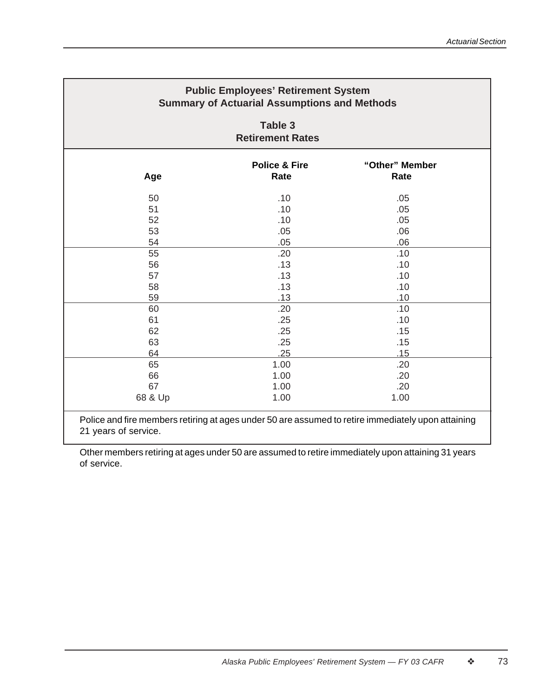| <b>Public Employees' Retirement System</b><br><b>Summary of Actuarial Assumptions and Methods</b> |                                  |                        |  |  |  |  |
|---------------------------------------------------------------------------------------------------|----------------------------------|------------------------|--|--|--|--|
| Table 3<br><b>Retirement Rates</b>                                                                |                                  |                        |  |  |  |  |
| Age                                                                                               | <b>Police &amp; Fire</b><br>Rate | "Other" Member<br>Rate |  |  |  |  |
| 50                                                                                                | .10                              | .05                    |  |  |  |  |
| 51                                                                                                | .10                              | .05                    |  |  |  |  |
| 52                                                                                                | .10                              | .05                    |  |  |  |  |
| 53                                                                                                | .05                              | .06                    |  |  |  |  |
| 54                                                                                                | .05                              | .06                    |  |  |  |  |
| 55                                                                                                | .20                              | .10                    |  |  |  |  |
| 56                                                                                                | .13                              | .10                    |  |  |  |  |
| 57                                                                                                | .13                              | .10                    |  |  |  |  |
| 58                                                                                                | .13                              | .10                    |  |  |  |  |
| 59                                                                                                | .13                              | .10                    |  |  |  |  |
| 60                                                                                                | .20                              | .10                    |  |  |  |  |
| 61                                                                                                | .25                              | .10                    |  |  |  |  |
| 62                                                                                                | .25                              | .15                    |  |  |  |  |
| 63                                                                                                | .25                              | .15                    |  |  |  |  |
| 64                                                                                                | .25                              | .15                    |  |  |  |  |
| 65                                                                                                | 1.00                             | .20                    |  |  |  |  |
| 66                                                                                                | 1.00                             | .20                    |  |  |  |  |
| 67                                                                                                | 1.00                             | .20                    |  |  |  |  |
| 68 & Up                                                                                           | 1.00                             | 1.00                   |  |  |  |  |

Police and fire members retiring at ages under 50 are assumed to retire immediately upon attaining 21 years of service.

Other members retiring at ages under 50 are assumed to retire immediately upon attaining 31 years of service.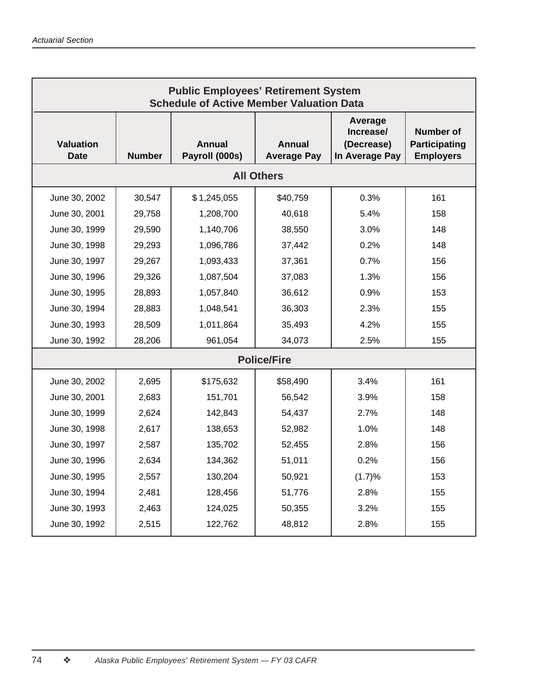| <b>Public Employees' Retirement System</b><br><b>Schedule of Active Member Valuation Data</b> |               |                                 |                                     |                                                      |                                                              |  |  |  |  |
|-----------------------------------------------------------------------------------------------|---------------|---------------------------------|-------------------------------------|------------------------------------------------------|--------------------------------------------------------------|--|--|--|--|
| <b>Valuation</b><br><b>Date</b>                                                               | <b>Number</b> | <b>Annual</b><br>Payroll (000s) | <b>Annual</b><br><b>Average Pay</b> | Average<br>Increase/<br>(Decrease)<br>In Average Pay | <b>Number of</b><br><b>Participating</b><br><b>Employers</b> |  |  |  |  |
| <b>All Others</b>                                                                             |               |                                 |                                     |                                                      |                                                              |  |  |  |  |
| June 30, 2002                                                                                 | 30,547        | \$1,245,055                     | \$40,759                            | 0.3%                                                 | 161                                                          |  |  |  |  |
| June 30, 2001                                                                                 | 29,758        | 1,208,700                       | 40,618                              | 5.4%                                                 | 158                                                          |  |  |  |  |
| June 30, 1999                                                                                 | 29,590        | 1,140,706                       | 38,550                              | 3.0%                                                 | 148                                                          |  |  |  |  |
| June 30, 1998                                                                                 | 29,293        | 1,096,786                       | 37,442                              | 0.2%                                                 | 148                                                          |  |  |  |  |
| June 30, 1997                                                                                 | 29,267        | 1,093,433                       | 37,361                              | 0.7%                                                 | 156                                                          |  |  |  |  |
| June 30, 1996                                                                                 | 29,326        | 1,087,504                       | 37,083                              | 1.3%                                                 | 156                                                          |  |  |  |  |
| June 30, 1995                                                                                 | 28,893        | 1,057,840                       | 36,612                              | 0.9%                                                 | 153                                                          |  |  |  |  |
| June 30, 1994                                                                                 | 28,883        | 1,048,541                       | 36,303                              | 2.3%                                                 | 155                                                          |  |  |  |  |
| June 30, 1993                                                                                 | 28,509        | 1,011,864                       | 35,493                              | 4.2%                                                 | 155                                                          |  |  |  |  |
| June 30, 1992                                                                                 | 28,206        | 961,054                         | 34,073                              | 2.5%                                                 | 155                                                          |  |  |  |  |
|                                                                                               |               |                                 | <b>Police/Fire</b>                  |                                                      |                                                              |  |  |  |  |
| June 30, 2002                                                                                 | 2,695         | \$175,632                       | \$58,490                            | 3.4%                                                 | 161                                                          |  |  |  |  |
| June 30, 2001                                                                                 | 2,683         | 151,701                         | 56,542                              | 3.9%                                                 | 158                                                          |  |  |  |  |
| June 30, 1999                                                                                 | 2,624         | 142,843                         | 54,437                              | 2.7%                                                 | 148                                                          |  |  |  |  |
| June 30, 1998                                                                                 | 2,617         | 138,653                         | 52,982                              | 1.0%                                                 | 148                                                          |  |  |  |  |
| June 30, 1997                                                                                 | 2,587         | 135,702                         | 52,455                              | 2.8%                                                 | 156                                                          |  |  |  |  |
| June 30, 1996                                                                                 | 2,634         | 134,362                         | 51,011                              | 0.2%                                                 | 156                                                          |  |  |  |  |
| June 30, 1995                                                                                 | 2,557         | 130,204                         | 50,921                              | (1.7)%                                               | 153                                                          |  |  |  |  |
| June 30, 1994                                                                                 | 2,481         | 128,456                         | 51,776                              | 2.8%                                                 | 155                                                          |  |  |  |  |
| June 30, 1993                                                                                 | 2,463         | 124,025                         | 50,355                              | 3.2%                                                 | 155                                                          |  |  |  |  |
| June 30, 1992                                                                                 | 2,515         | 122,762                         | 48,812                              | 2.8%                                                 | 155                                                          |  |  |  |  |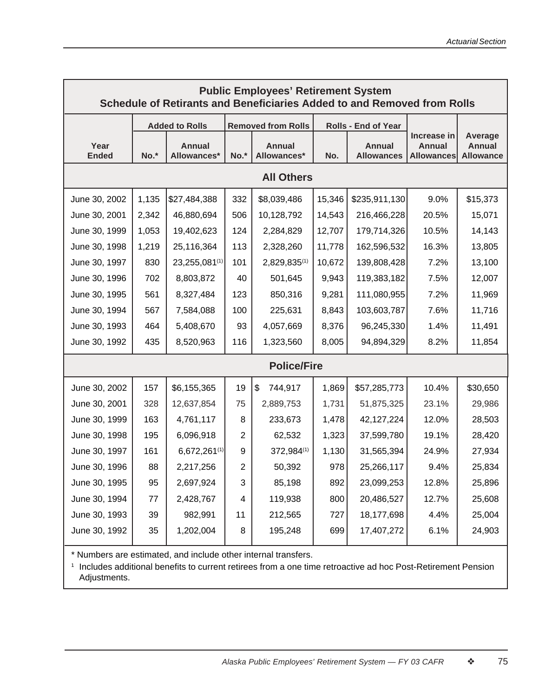| <b>Public Employees' Retirement System</b><br>Schedule of Retirants and Beneficiaries Added to and Removed from Rolls |       |                              |                |                              |                            |                                    |                                                   |                                              |  |
|-----------------------------------------------------------------------------------------------------------------------|-------|------------------------------|----------------|------------------------------|----------------------------|------------------------------------|---------------------------------------------------|----------------------------------------------|--|
|                                                                                                                       |       | <b>Added to Rolls</b>        |                | <b>Removed from Rolls</b>    | <b>Rolls - End of Year</b> |                                    |                                                   |                                              |  |
| Year<br><b>Ended</b>                                                                                                  | No.*  | <b>Annual</b><br>Allowances* | No.*           | <b>Annual</b><br>Allowances* | No.                        | <b>Annual</b><br><b>Allowances</b> | Increase in<br><b>Annual</b><br><b>Allowances</b> | Average<br><b>Annual</b><br><b>Allowance</b> |  |
| <b>All Others</b>                                                                                                     |       |                              |                |                              |                            |                                    |                                                   |                                              |  |
| June 30, 2002                                                                                                         | 1,135 | \$27,484,388                 | 332            | \$8,039,486                  | 15,346                     | \$235,911,130                      | 9.0%                                              | \$15,373                                     |  |
| June 30, 2001                                                                                                         | 2,342 | 46,880,694                   | 506            | 10,128,792                   | 14,543                     | 216,466,228                        | 20.5%                                             | 15,071                                       |  |
| June 30, 1999                                                                                                         | 1,053 | 19,402,623                   | 124            | 2,284,829                    | 12,707                     | 179,714,326                        | 10.5%                                             | 14,143                                       |  |
| June 30, 1998                                                                                                         | 1,219 | 25,116,364                   | 113            | 2,328,260                    | 11,778                     | 162,596,532                        | 16.3%                                             | 13,805                                       |  |
| June 30, 1997                                                                                                         | 830   | 23,255,081(1)                | 101            | 2,829,835(1)                 | 10,672                     | 139,808,428                        | 7.2%                                              | 13,100                                       |  |
| June 30, 1996                                                                                                         | 702   | 8,803,872                    | 40             | 501,645                      | 9,943                      | 119,383,182                        | 7.5%                                              | 12,007                                       |  |
| June 30, 1995                                                                                                         | 561   | 8,327,484                    | 123            | 850,316                      | 9,281                      | 111,080,955                        | 7.2%                                              | 11,969                                       |  |
| June 30, 1994                                                                                                         | 567   | 7,584,088                    | 100            | 225,631                      | 8,843                      | 103,603,787                        | 7.6%                                              | 11,716                                       |  |
| June 30, 1993                                                                                                         | 464   | 5,408,670                    | 93             | 4,057,669                    | 8,376                      | 96,245,330                         | 1.4%                                              | 11,491                                       |  |
| June 30, 1992                                                                                                         | 435   | 8,520,963                    | 116            | 1,323,560                    | 8,005                      | 94,894,329                         | 8.2%                                              | 11,854                                       |  |
|                                                                                                                       |       |                              |                | <b>Police/Fire</b>           |                            |                                    |                                                   |                                              |  |
| June 30, 2002                                                                                                         | 157   | \$6,155,365                  | 19             | \$<br>744,917                | 1,869                      | \$57,285,773                       | 10.4%                                             | \$30,650                                     |  |
| June 30, 2001                                                                                                         | 328   | 12,637,854                   | 75             | 2,889,753                    | 1,731                      | 51,875,325                         | 23.1%                                             | 29,986                                       |  |
| June 30, 1999                                                                                                         | 163   | 4,761,117                    | 8              | 233,673                      | 1,478                      | 42,127,224                         | 12.0%                                             | 28,503                                       |  |
| June 30, 1998                                                                                                         | 195   | 6,096,918                    | 2              | 62,532                       | 1,323                      | 37,599,780                         | 19.1%                                             | 28,420                                       |  |
| June 30, 1997                                                                                                         | 161   | 6,672,261(1)                 | 9              | 372,984(1)                   | 1,130                      | 31,565,394                         | 24.9%                                             | 27,934                                       |  |
| June 30, 1996                                                                                                         | 88    | 2,217,256                    | $\overline{2}$ | 50,392                       | 978                        | 25,266,117                         | 9.4%                                              | 25,834                                       |  |
| June 30, 1995                                                                                                         | 95    | 2,697,924                    | 3              | 85,198                       | 892                        | 23,099,253                         | 12.8%                                             | 25,896                                       |  |
| June 30, 1994                                                                                                         | 77    | 2,428,767                    | 4              | 119,938                      | 800                        | 20,486,527                         | 12.7%                                             | 25,608                                       |  |
| June 30, 1993                                                                                                         | 39    | 982,991                      | 11             | 212,565                      | 727                        | 18,177,698                         | 4.4%                                              | 25,004                                       |  |
| June 30, 1992                                                                                                         | 35    | 1,202,004                    | 8              | 195,248                      | 699                        | 17,407,272                         | 6.1%                                              | 24,903                                       |  |

\* Numbers are estimated, and include other internal transfers.

<sup>1</sup> Includes additional benefits to current retirees from a one time retroactive ad hoc Post-Retirement Pension Adjustments.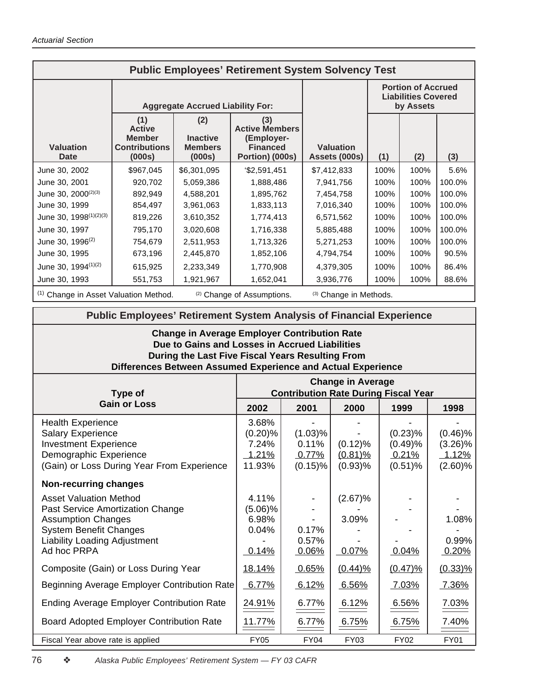| <b>Public Employees' Retirement System Solvency Test</b>                                                            |                                                                         |                                                    |                                                                                  |                                   |                                                                      |      |        |  |
|---------------------------------------------------------------------------------------------------------------------|-------------------------------------------------------------------------|----------------------------------------------------|----------------------------------------------------------------------------------|-----------------------------------|----------------------------------------------------------------------|------|--------|--|
|                                                                                                                     | <b>Aggregate Accrued Liability For:</b>                                 |                                                    |                                                                                  |                                   | <b>Portion of Accrued</b><br><b>Liabilities Covered</b><br>by Assets |      |        |  |
| <b>Valuation</b><br><b>Date</b>                                                                                     | (1)<br><b>Active</b><br><b>Member</b><br><b>Contributions</b><br>(000s) | (2)<br><b>Inactive</b><br><b>Members</b><br>(000s) | (3)<br><b>Active Members</b><br>(Employer-<br><b>Financed</b><br>Portion) (000s) | <b>Valuation</b><br>Assets (000s) | (1)                                                                  | (2)  | (3)    |  |
| June 30, 2002                                                                                                       | \$967,045                                                               | \$6,301,095                                        | \$2,591,451                                                                      | \$7,412,833                       | 100%                                                                 | 100% | 5.6%   |  |
| June 30, 2001                                                                                                       | 920,702                                                                 | 5,059,386                                          | 1,888,486                                                                        | 7,941,756                         | 100%                                                                 | 100% | 100.0% |  |
| June 30, 2000 <sup>(2)(3)</sup>                                                                                     | 892,949                                                                 | 4,588,201                                          | 1,895,762                                                                        | 7,454,758                         | 100%                                                                 | 100% | 100.0% |  |
| June 30, 1999                                                                                                       | 854,497                                                                 | 3,961,063                                          | 1,833,113                                                                        | 7,016,340                         | 100%                                                                 | 100% | 100.0% |  |
| June 30, 1998(1)(2)(3)                                                                                              | 819,226                                                                 | 3,610,352                                          | 1,774,413                                                                        | 6,571,562                         | 100%                                                                 | 100% | 100.0% |  |
| June 30, 1997                                                                                                       | 795,170                                                                 | 3,020,608                                          | 1,716,338                                                                        | 5,885,488                         | 100%                                                                 | 100% | 100.0% |  |
| June 30, 1996 <sup>(2)</sup>                                                                                        | 754,679                                                                 | 2,511,953                                          | 1,713,326                                                                        | 5,271,253                         | 100%                                                                 | 100% | 100.0% |  |
| June 30, 1995                                                                                                       | 673,196                                                                 | 2,445,870                                          | 1,852,106                                                                        | 4,794,754                         | 100%                                                                 | 100% | 90.5%  |  |
| June 30, 1994 <sup>(1)(2)</sup>                                                                                     | 615,925                                                                 | 2,233,349                                          | 1,770,908                                                                        | 4,379,305                         | 100%                                                                 | 100% | 86.4%  |  |
| June 30, 1993                                                                                                       | 551,753                                                                 | 1,921,967                                          | 1,652,041                                                                        | 3,936,776                         | 100%                                                                 | 100% | 88.6%  |  |
| <sup>(1)</sup> Change in Asset Valuation Method.<br><sup>(2)</sup> Change of Assumptions.<br>(3) Change in Methods. |                                                                         |                                                    |                                                                                  |                                   |                                                                      |      |        |  |

| <b>Public Employees' Retirement System Analysis of Financial Experience</b>                                                                                                                                                                                                                                                                                                    |                                                                                                   |                                                                       |                                                                  |                                                    |                                                                            |  |  |
|--------------------------------------------------------------------------------------------------------------------------------------------------------------------------------------------------------------------------------------------------------------------------------------------------------------------------------------------------------------------------------|---------------------------------------------------------------------------------------------------|-----------------------------------------------------------------------|------------------------------------------------------------------|----------------------------------------------------|----------------------------------------------------------------------------|--|--|
| <b>Change in Average Employer Contribution Rate</b><br>Due to Gains and Losses in Accrued Liabilities<br>During the Last Five Fiscal Years Resulting From<br>Differences Between Assumed Experience and Actual Experience                                                                                                                                                      |                                                                                                   |                                                                       |                                                                  |                                                    |                                                                            |  |  |
| Type of                                                                                                                                                                                                                                                                                                                                                                        | <b>Change in Average</b><br><b>Contribution Rate During Fiscal Year</b>                           |                                                                       |                                                                  |                                                    |                                                                            |  |  |
| <b>Gain or Loss</b>                                                                                                                                                                                                                                                                                                                                                            | 2002                                                                                              | 2001                                                                  | 2000                                                             | 1999                                               | 1998                                                                       |  |  |
| <b>Health Experience</b><br>Salary Experience<br><b>Investment Experience</b><br>Demographic Experience<br>(Gain) or Loss During Year From Experience<br><b>Non-recurring changes</b><br><b>Asset Valuation Method</b><br>Past Service Amortization Change<br><b>Assumption Changes</b><br><b>System Benefit Changes</b><br><b>Liability Loading Adjustment</b><br>Ad hoc PRPA | 3.68%<br>$(0.20)\%$<br>7.24%<br>1.21%<br>11.93%<br>4.11%<br>$(5.06)\%$<br>6.98%<br>0.04%<br>0.14% | $(1.03)\%$<br>0.11%<br>0.77%<br>$(0.15)\%$<br>0.17%<br>0.57%<br>0.06% | (0.12)%<br>$(0.81)\%$<br>$(0.93)$ %<br>(2.67)%<br>3.09%<br>0.07% | (0.23)%<br>(0.49)%<br>0.21%<br>$(0.51)$ %<br>0.04% | $(0.46)\%$<br>$(3.26)\%$<br>1.12%<br>$(2.60)\%$<br>1.08%<br>0.99%<br>0.20% |  |  |
| Composite (Gain) or Loss During Year                                                                                                                                                                                                                                                                                                                                           | 18.14%                                                                                            | 0.65%                                                                 | $(0.44)\%$                                                       | $(0.47)\%$                                         | $(0.33)\%$                                                                 |  |  |
| Beginning Average Employer Contribution Rate                                                                                                                                                                                                                                                                                                                                   | 6.77%                                                                                             | 6.12%                                                                 | 6.56%                                                            | 7.03%                                              | 7.36%                                                                      |  |  |
| <b>Ending Average Employer Contribution Rate</b><br><b>Board Adopted Employer Contribution Rate</b>                                                                                                                                                                                                                                                                            | 24.91%<br>11.77%                                                                                  | 6.77%<br>6.77%                                                        | 6.12%<br>6.75%                                                   | 6.56%<br>6.75%                                     | 7.03%<br>7.40%                                                             |  |  |
| Fiscal Year above rate is applied                                                                                                                                                                                                                                                                                                                                              | <b>FY05</b>                                                                                       | <b>FY04</b>                                                           | <b>FY03</b>                                                      | <b>FY02</b>                                        | <b>FY01</b>                                                                |  |  |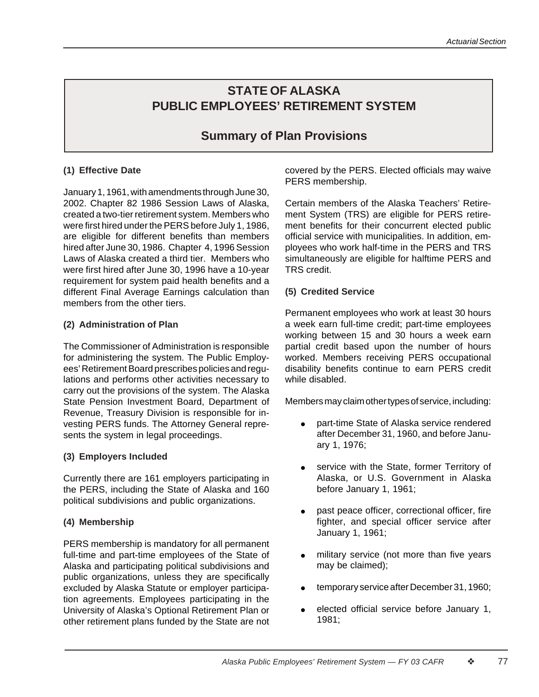### **Summary of Plan Provisions**

### **(1) Effective Date**

January 1, 1961, with amendments through June 30, 2002. Chapter 82 1986 Session Laws of Alaska, created a two-tier retirement system. Members who were first hired under the PERS before July 1, 1986, are eligible for different benefits than members hired after June 30, 1986. Chapter 4, 1996 Session Laws of Alaska created a third tier. Members who were first hired after June 30, 1996 have a 10-year requirement for system paid health benefits and a different Final Average Earnings calculation than members from the other tiers.

### **(2) Administration of Plan**

The Commissioner of Administration is responsible for administering the system. The Public Employees' Retirement Board prescribes policies and regulations and performs other activities necessary to carry out the provisions of the system. The Alaska State Pension Investment Board, Department of Revenue, Treasury Division is responsible for investing PERS funds. The Attorney General represents the system in legal proceedings.

#### **(3) Employers Included**

Currently there are 161 employers participating in the PERS, including the State of Alaska and 160 political subdivisions and public organizations.

### **(4) Membership**

PERS membership is mandatory for all permanent full-time and part-time employees of the State of Alaska and participating political subdivisions and public organizations, unless they are specifically excluded by Alaska Statute or employer participation agreements. Employees participating in the University of Alaska's Optional Retirement Plan or other retirement plans funded by the State are not covered by the PERS. Elected officials may waive PERS membership.

Certain members of the Alaska Teachers' Retirement System (TRS) are eligible for PERS retirement benefits for their concurrent elected public official service with municipalities. In addition, employees who work half-time in the PERS and TRS simultaneously are eligible for halftime PERS and TRS credit.

#### **(5) Credited Service**

Permanent employees who work at least 30 hours a week earn full-time credit; part-time employees working between 15 and 30 hours a week earn partial credit based upon the number of hours worked. Members receiving PERS occupational disability benefits continue to earn PERS credit while disabled.

Members may claim other types of service, including:

- part-time State of Alaska service rendered after December 31, 1960, and before January 1, 1976;
- service with the State, former Territory of Alaska, or U.S. Government in Alaska before January 1, 1961;
- past peace officer, correctional officer, fire fighter, and special officer service after January 1, 1961;
- military service (not more than five years may be claimed);
- temporary service after December 31, 1960;
- elected official service before January 1, 1981;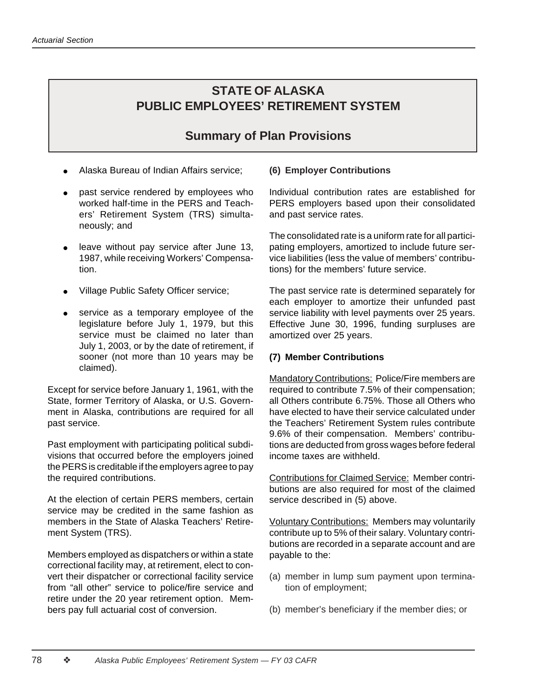### **Summary of Plan Provisions**

- Alaska Bureau of Indian Affairs service:
- past service rendered by employees who worked half-time in the PERS and Teachers' Retirement System (TRS) simultaneously; and
- leave without pay service after June 13, 1987, while receiving Workers' Compensation.
- Village Public Safety Officer service;
- service as a temporary employee of the legislature before July 1, 1979, but this service must be claimed no later than July 1, 2003, or by the date of retirement, if sooner (not more than 10 years may be claimed).

Except for service before January 1, 1961, with the State, former Territory of Alaska, or U.S. Government in Alaska, contributions are required for all past service.

Past employment with participating political subdivisions that occurred before the employers joined the PERS is creditable if the employers agree to pay the required contributions.

At the election of certain PERS members, certain service may be credited in the same fashion as members in the State of Alaska Teachers' Retirement System (TRS).

Members employed as dispatchers or within a state correctional facility may, at retirement, elect to convert their dispatcher or correctional facility service from "all other" service to police/fire service and retire under the 20 year retirement option. Members pay full actuarial cost of conversion.

#### **(6) Employer Contributions**

Individual contribution rates are established for PERS employers based upon their consolidated and past service rates.

The consolidated rate is a uniform rate for all participating employers, amortized to include future service liabilities (less the value of members' contributions) for the members' future service.

The past service rate is determined separately for each employer to amortize their unfunded past service liability with level payments over 25 years. Effective June 30, 1996, funding surpluses are amortized over 25 years.

### **(7) Member Contributions**

Mandatory Contributions: Police/Fire members are required to contribute 7.5% of their compensation; all Others contribute 6.75%. Those all Others who have elected to have their service calculated under the Teachers' Retirement System rules contribute 9.6% of their compensation. Members' contributions are deducted from gross wages before federal income taxes are withheld.

Contributions for Claimed Service: Member contributions are also required for most of the claimed service described in (5) above.

Voluntary Contributions: Members may voluntarily contribute up to 5% of their salary. Voluntary contributions are recorded in a separate account and are payable to the:

- (a) member in lump sum payment upon termination of employment;
- (b) member's beneficiary if the member dies; or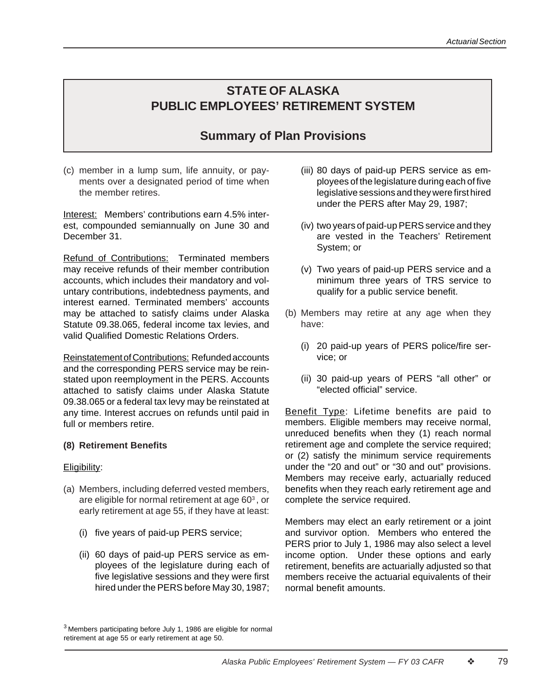### **Summary of Plan Provisions**

(c) member in a lump sum, life annuity, or payments over a designated period of time when the member retires.

Interest: Members' contributions earn 4.5% interest, compounded semiannually on June 30 and December 31.

Refund of Contributions: Terminated members may receive refunds of their member contribution accounts, which includes their mandatory and voluntary contributions, indebtedness payments, and interest earned. Terminated members' accounts may be attached to satisfy claims under Alaska Statute 09.38.065, federal income tax levies, and valid Qualified Domestic Relations Orders.

Reinstatement of Contributions: Refunded accounts and the corresponding PERS service may be reinstated upon reemployment in the PERS. Accounts attached to satisfy claims under Alaska Statute 09.38.065 or a federal tax levy may be reinstated at any time. Interest accrues on refunds until paid in full or members retire.

### **(8) Retirement Benefits**

#### Eligibility:

- (a) Members, including deferred vested members, are eligible for normal retirement at age  $60<sup>3</sup>$ , or early retirement at age 55, if they have at least:
	- (i) five years of paid-up PERS service;
	- (ii) 60 days of paid-up PERS service as employees of the legislature during each of five legislative sessions and they were first hired under the PERS before May 30, 1987;
- (iii) 80 days of paid-up PERS service as employees of the legislature during each of five legislative sessions and they were first hired under the PERS after May 29, 1987;
- (iv) two years of paid-up PERS service and they are vested in the Teachers' Retirement System; or
- (v) Two years of paid-up PERS service and a minimum three years of TRS service to qualify for a public service benefit.
- (b) Members may retire at any age when they have:
	- (i) 20 paid-up years of PERS police/fire service; or
	- (ii) 30 paid-up years of PERS "all other" or "elected official" service.

Benefit Type: Lifetime benefits are paid to members. Eligible members may receive normal, unreduced benefits when they (1) reach normal retirement age and complete the service required; or (2) satisfy the minimum service requirements under the "20 and out" or "30 and out" provisions. Members may receive early, actuarially reduced benefits when they reach early retirement age and complete the service required.

Members may elect an early retirement or a joint and survivor option. Members who entered the PERS prior to July 1, 1986 may also select a level income option. Under these options and early retirement, benefits are actuarially adjusted so that members receive the actuarial equivalents of their normal benefit amounts.

<sup>3</sup> Members participating before July 1, 1986 are eligible for normal retirement at age 55 or early retirement at age 50.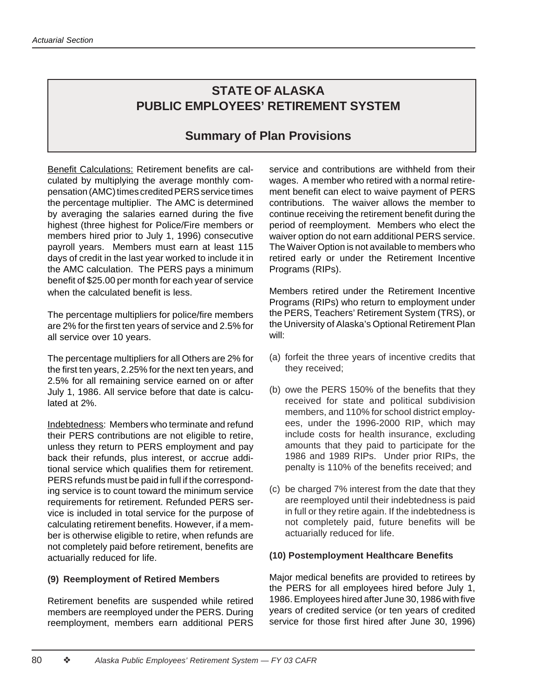## **Summary of Plan Provisions**

Benefit Calculations: Retirement benefits are calculated by multiplying the average monthly compensation (AMC) times credited PERS service times the percentage multiplier. The AMC is determined by averaging the salaries earned during the five highest (three highest for Police/Fire members or members hired prior to July 1, 1996) consecutive payroll years. Members must earn at least 115 days of credit in the last year worked to include it in the AMC calculation. The PERS pays a minimum benefit of \$25.00 per month for each year of service when the calculated benefit is less.

The percentage multipliers for police/fire members are 2% for the first ten years of service and 2.5% for all service over 10 years.

The percentage multipliers for all Others are 2% for the first ten years, 2.25% for the next ten years, and 2.5% for all remaining service earned on or after July 1, 1986. All service before that date is calculated at 2%.

Indebtedness: Members who terminate and refund their PERS contributions are not eligible to retire, unless they return to PERS employment and pay back their refunds, plus interest, or accrue additional service which qualifies them for retirement. PERS refunds must be paid in full if the corresponding service is to count toward the minimum service requirements for retirement. Refunded PERS service is included in total service for the purpose of calculating retirement benefits. However, if a member is otherwise eligible to retire, when refunds are not completely paid before retirement, benefits are actuarially reduced for life.

### **(9) Reemployment of Retired Members**

Retirement benefits are suspended while retired members are reemployed under the PERS. During reemployment, members earn additional PERS service and contributions are withheld from their wages. A member who retired with a normal retirement benefit can elect to waive payment of PERS contributions. The waiver allows the member to continue receiving the retirement benefit during the period of reemployment. Members who elect the waiver option do not earn additional PERS service. The Waiver Option is not available to members who retired early or under the Retirement Incentive Programs (RIPs).

Members retired under the Retirement Incentive Programs (RIPs) who return to employment under the PERS, Teachers' Retirement System (TRS), or the University of Alaska's Optional Retirement Plan will:

- (a) forfeit the three years of incentive credits that they received;
- (b) owe the PERS 150% of the benefits that they received for state and political subdivision members, and 110% for school district employees, under the 1996-2000 RIP, which may include costs for health insurance, excluding amounts that they paid to participate for the 1986 and 1989 RIPs. Under prior RIPs, the penalty is 110% of the benefits received; and
- (c) be charged 7% interest from the date that they are reemployed until their indebtedness is paid in full or they retire again. If the indebtedness is not completely paid, future benefits will be actuarially reduced for life.

#### **(10) Postemployment Healthcare Benefits**

Major medical benefits are provided to retirees by the PERS for all employees hired before July 1, 1986. Employees hired after June 30, 1986 with five years of credited service (or ten years of credited service for those first hired after June 30, 1996)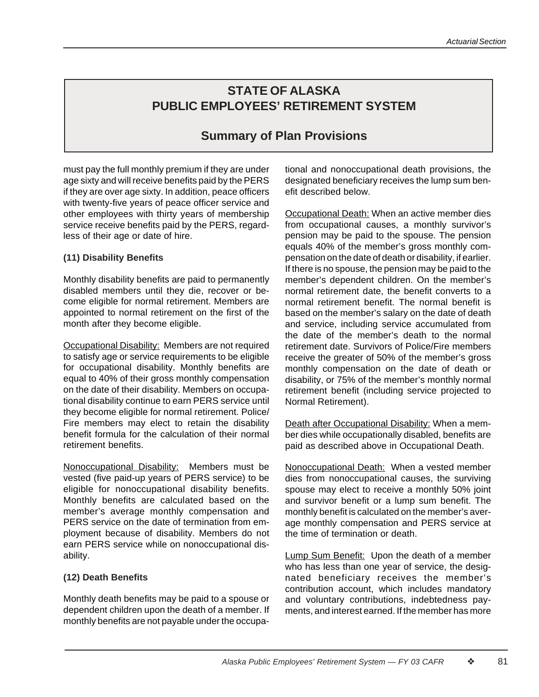## **Summary of Plan Provisions**

must pay the full monthly premium if they are under age sixty and will receive benefits paid by the PERS if they are over age sixty. In addition, peace officers with twenty-five years of peace officer service and other employees with thirty years of membership service receive benefits paid by the PERS, regardless of their age or date of hire.

### **(11) Disability Benefits**

Monthly disability benefits are paid to permanently disabled members until they die, recover or become eligible for normal retirement. Members are appointed to normal retirement on the first of the month after they become eligible.

Occupational Disability: Members are not required to satisfy age or service requirements to be eligible for occupational disability. Monthly benefits are equal to 40% of their gross monthly compensation on the date of their disability. Members on occupational disability continue to earn PERS service until they become eligible for normal retirement. Police/ Fire members may elect to retain the disability benefit formula for the calculation of their normal retirement benefits.

Nonoccupational Disability: Members must be vested (five paid-up years of PERS service) to be eligible for nonoccupational disability benefits. Monthly benefits are calculated based on the member's average monthly compensation and PERS service on the date of termination from employment because of disability. Members do not earn PERS service while on nonoccupational disability.

### **(12) Death Benefits**

Monthly death benefits may be paid to a spouse or dependent children upon the death of a member. If monthly benefits are not payable under the occupational and nonoccupational death provisions, the designated beneficiary receives the lump sum benefit described below.

Occupational Death: When an active member dies from occupational causes, a monthly survivor's pension may be paid to the spouse. The pension equals 40% of the member's gross monthly compensation on the date of death or disability, if earlier. If there is no spouse, the pension may be paid to the member's dependent children. On the member's normal retirement date, the benefit converts to a normal retirement benefit. The normal benefit is based on the member's salary on the date of death and service, including service accumulated from the date of the member's death to the normal retirement date. Survivors of Police/Fire members receive the greater of 50% of the member's gross monthly compensation on the date of death or disability, or 75% of the member's monthly normal retirement benefit (including service projected to Normal Retirement).

Death after Occupational Disability: When a member dies while occupationally disabled, benefits are paid as described above in Occupational Death.

Nonoccupational Death: When a vested member dies from nonoccupational causes, the surviving spouse may elect to receive a monthly 50% joint and survivor benefit or a lump sum benefit. The monthly benefit is calculated on the member's average monthly compensation and PERS service at the time of termination or death.

**Lump Sum Benefit: Upon the death of a member** who has less than one year of service, the designated beneficiary receives the member's contribution account, which includes mandatory and voluntary contributions, indebtedness payments, and interest earned. If the member has more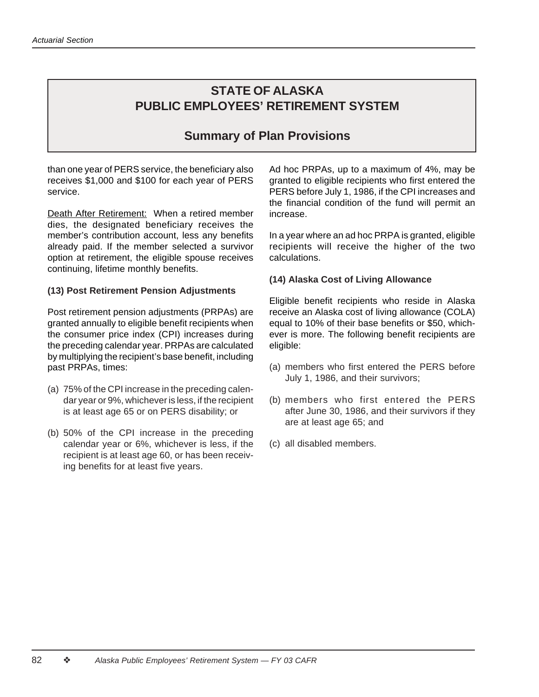### **Summary of Plan Provisions**

than one year of PERS service, the beneficiary also receives \$1,000 and \$100 for each year of PERS service.

Death After Retirement: When a retired member dies, the designated beneficiary receives the member's contribution account, less any benefits already paid. If the member selected a survivor option at retirement, the eligible spouse receives continuing, lifetime monthly benefits.

#### **(13) Post Retirement Pension Adjustments**

Post retirement pension adjustments (PRPAs) are granted annually to eligible benefit recipients when the consumer price index (CPI) increases during the preceding calendar year. PRPAs are calculated by multiplying the recipient's base benefit, including past PRPAs, times:

- (a) 75% of the CPI increase in the preceding calendar year or 9%, whichever is less, if the recipient is at least age 65 or on PERS disability; or
- (b) 50% of the CPI increase in the preceding calendar year or 6%, whichever is less, if the recipient is at least age 60, or has been receiving benefits for at least five years.

Ad hoc PRPAs, up to a maximum of 4%, may be granted to eligible recipients who first entered the PERS before July 1, 1986, if the CPI increases and the financial condition of the fund will permit an increase.

In a year where an ad hoc PRPA is granted, eligible recipients will receive the higher of the two calculations.

### **(14) Alaska Cost of Living Allowance**

Eligible benefit recipients who reside in Alaska receive an Alaska cost of living allowance (COLA) equal to 10% of their base benefits or \$50, whichever is more. The following benefit recipients are eligible:

- (a) members who first entered the PERS before July 1, 1986, and their survivors;
- (b) members who first entered the PERS after June 30, 1986, and their survivors if they are at least age 65; and
- (c) all disabled members.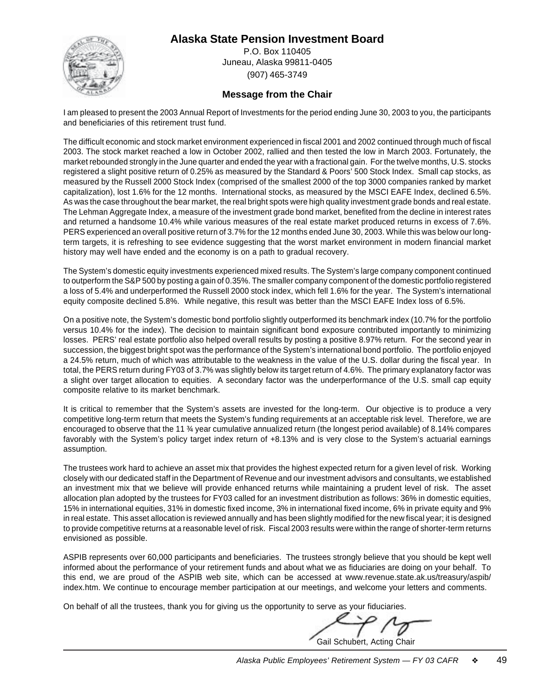### **Alaska State Pension Investment Board** *Investment Section*



P.O. Box 110405 Juneau, Alaska 99811-0405 (907) 465-3749

### **Message from the Chair**

I am pleased to present the 2003 Annual Report of Investments for the period ending June 30, 2003 to you, the participants and beneficiaries of this retirement trust fund.

The difficult economic and stock market environment experienced in fiscal 2001 and 2002 continued through much of fiscal 2003. The stock market reached a low in October 2002, rallied and then tested the low in March 2003. Fortunately, the market rebounded strongly in the June quarter and ended the year with a fractional gain. For the twelve months, U.S. stocks registered a slight positive return of 0.25% as measured by the Standard & Poors' 500 Stock Index. Small cap stocks, as measured by the Russell 2000 Stock Index (comprised of the smallest 2000 of the top 3000 companies ranked by market capitalization), lost 1.6% for the 12 months. International stocks, as measured by the MSCI EAFE Index, declined 6.5%. As was the case throughout the bear market, the real bright spots were high quality investment grade bonds and real estate. The Lehman Aggregate Index, a measure of the investment grade bond market, benefited from the decline in interest rates and returned a handsome 10.4% while various measures of the real estate market produced returns in excess of 7.6%. PERS experienced an overall positive return of 3.7% for the 12 months ended June 30, 2003. While this was below our longterm targets, it is refreshing to see evidence suggesting that the worst market environment in modern financial market history may well have ended and the economy is on a path to gradual recovery.

The System's domestic equity investments experienced mixed results. The System's large company component continued to outperform the S&P 500 by posting a gain of 0.35%. The smaller company component of the domestic portfolio registered a loss of 5.4% and underperformed the Russell 2000 stock index, which fell 1.6% for the year. The System's international equity composite declined 5.8%. While negative, this result was better than the MSCI EAFE Index loss of 6.5%.

On a positive note, the System's domestic bond portfolio slightly outperformed its benchmark index (10.7% for the portfolio versus 10.4% for the index). The decision to maintain significant bond exposure contributed importantly to minimizing losses. PERS' real estate portfolio also helped overall results by posting a positive 8.97% return. For the second year in succession, the biggest bright spot was the performance of the System's international bond portfolio. The portfolio enjoyed a 24.5% return, much of which was attributable to the weakness in the value of the U.S. dollar during the fiscal year. In total, the PERS return during FY03 of 3.7% was slightly below its target return of 4.6%. The primary explanatory factor was a slight over target allocation to equities. A secondary factor was the underperformance of the U.S. small cap equity composite relative to its market benchmark.

It is critical to remember that the System's assets are invested for the long-term. Our objective is to produce a very competitive long-term return that meets the System's funding requirements at an acceptable risk level. Therefore, we are encouraged to observe that the 11 ¾ year cumulative annualized return (the longest period available) of 8.14% compares favorably with the System's policy target index return of +8.13% and is very close to the System's actuarial earnings assumption.

The trustees work hard to achieve an asset mix that provides the highest expected return for a given level of risk. Working closely with our dedicated staff in the Department of Revenue and our investment advisors and consultants, we established an investment mix that we believe will provide enhanced returns while maintaining a prudent level of risk. The asset allocation plan adopted by the trustees for FY03 called for an investment distribution as follows: 36% in domestic equities, 15% in international equities, 31% in domestic fixed income, 3% in international fixed income, 6% in private equity and 9% in real estate. This asset allocation is reviewed annually and has been slightly modified for the new fiscal year; it is designed to provide competitive returns at a reasonable level of risk. Fiscal 2003 results were within the range of shorter-term returns envisioned as possible.

ASPIB represents over 60,000 participants and beneficiaries. The trustees strongly believe that you should be kept well informed about the performance of your retirement funds and about what we as fiduciaries are doing on your behalf. To this end, we are proud of the ASPIB web site, which can be accessed at www.revenue.state.ak.us/treasury/aspib/ index.htm. We continue to encourage member participation at our meetings, and welcome your letters and comments.

On behalf of all the trustees, thank you for giving us the opportunity to serve as your fiduciaries.

Gail Schubert, Acting Chair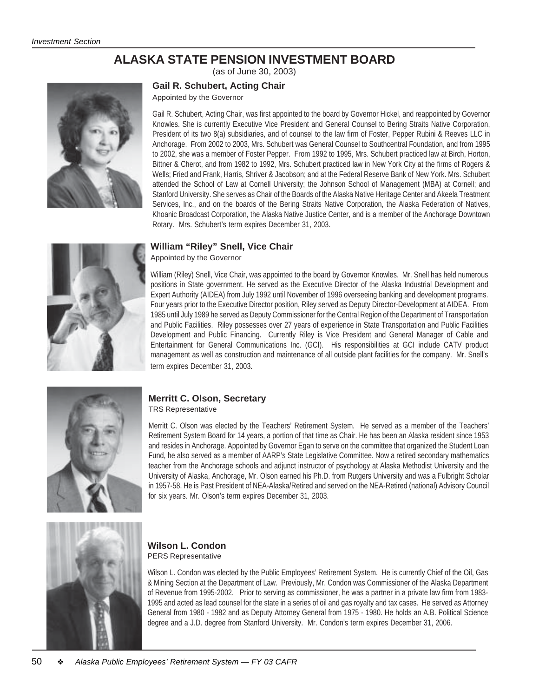# **ALASKA STATE PENSION INVESTMENT BOARD**

(as of June 30, 2003)



#### **Gail R. Schubert, Acting Chair**

#### Appointed by the Governor

Gail R. Schubert, Acting Chair, was first appointed to the board by Governor Hickel, and reappointed by Governor Knowles. She is currently Executive Vice President and General Counsel to Bering Straits Native Corporation, President of its two 8(a) subsidiaries, and of counsel to the law firm of Foster, Pepper Rubini & Reeves LLC in Anchorage. From 2002 to 2003, Mrs. Schubert was General Counsel to Southcentral Foundation, and from 1995 to 2002, she was a member of Foster Pepper. From 1992 to 1995, Mrs. Schubert practiced law at Birch, Horton, Bittner & Cherot, and from 1982 to 1992, Mrs. Schubert practiced law in New York City at the firms of Rogers & Wells; Fried and Frank, Harris, Shriver & Jacobson; and at the Federal Reserve Bank of New York. Mrs. Schubert attended the School of Law at Cornell University; the Johnson School of Management (MBA) at Cornell; and Stanford University. She serves as Chair of the Boards of the Alaska Native Heritage Center and Akeela Treatment Services, Inc., and on the boards of the Bering Straits Native Corporation, the Alaska Federation of Natives, Khoanic Broadcast Corporation, the Alaska Native Justice Center, and is a member of the Anchorage Downtown Rotary. Mrs. Schubert's term expires December 31, 2003.

#### **William "Riley" Snell, Vice Chair**

Appointed by the Governor

William (Riley) Snell, Vice Chair, was appointed to the board by Governor Knowles. Mr. Snell has held numerous positions in State government. He served as the Executive Director of the Alaska Industrial Development and Expert Authority (AIDEA) from July 1992 until November of 1996 overseeing banking and development programs. Four years prior to the Executive Director position, Riley served as Deputy Director-Development at AIDEA. From 1985 until July 1989 he served as Deputy Commissioner for the Central Region of the Department of Transportation and Public Facilities. Riley possesses over 27 years of experience in State Transportation and Public Facilities Development and Public Financing. Currently Riley is Vice President and General Manager of Cable and Entertainment for General Communications Inc. (GCI). His responsibilities at GCI include CATV product management as well as construction and maintenance of all outside plant facilities for the company. Mr. Snell's term expires December 31, 2003.



### **Merritt C. Olson, Secretary**

TRS Representative

Merritt C. Olson was elected by the Teachers' Retirement System. He served as a member of the Teachers' Retirement System Board for 14 years, a portion of that time as Chair. He has been an Alaska resident since 1953 and resides in Anchorage. Appointed by Governor Egan to serve on the committee that organized the Student Loan Fund, he also served as a member of AARP's State Legislative Committee. Now a retired secondary mathematics teacher from the Anchorage schools and adjunct instructor of psychology at Alaska Methodist University and the University of Alaska, Anchorage, Mr. Olson earned his Ph.D. from Rutgers University and was a Fulbright Scholar in 1957-58. He is Past President of NEA-Alaska/Retired and served on the NEA-Retired (national) Advisory Council for six years. Mr. Olson's term expires December 31, 2003.



### **Wilson L. Condon**

PERS Representative

Wilson L. Condon was elected by the Public Employees' Retirement System. He is currently Chief of the Oil, Gas & Mining Section at the Department of Law. Previously, Mr. Condon was Commissioner of the Alaska Department of Revenue from 1995-2002. Prior to serving as commissioner, he was a partner in a private law firm from 1983- 1995 and acted as lead counsel for the state in a series of oil and gas royalty and tax cases. He served as Attorney General from 1980 - 1982 and as Deputy Attorney General from 1975 - 1980. He holds an A.B. Political Science degree and a J.D. degree from Stanford University. Mr. Condon's term expires December 31, 2006.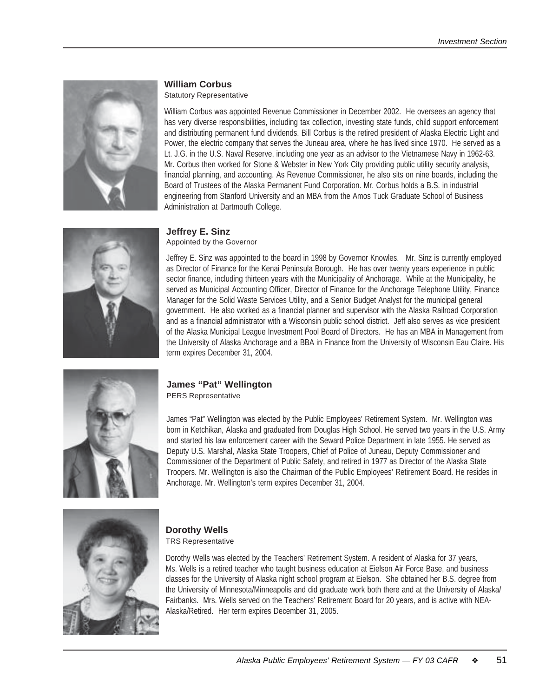#### *Investment Section*



#### **William Corbus**

Statutory Representative

William Corbus was appointed Revenue Commissioner in December 2002. He oversees an agency that has very diverse responsibilities, including tax collection, investing state funds, child support enforcement and distributing permanent fund dividends. Bill Corbus is the retired president of Alaska Electric Light and Power, the electric company that serves the Juneau area, where he has lived since 1970. He served as a Lt. J.G. in the U.S. Naval Reserve, including one year as an advisor to the Vietnamese Navy in 1962-63. Mr. Corbus then worked for Stone & Webster in New York City providing public utility security analysis, financial planning, and accounting. As Revenue Commissioner, he also sits on nine boards, including the Board of Trustees of the Alaska Permanent Fund Corporation. Mr. Corbus holds a B.S. in industrial engineering from Stanford University and an MBA from the Amos Tuck Graduate School of Business Administration at Dartmouth College.



#### **Jeffrey E. Sinz** Appointed by the Governor

Jeffrey E. Sinz was appointed to the board in 1998 by Governor Knowles. Mr. Sinz is currently employed as Director of Finance for the Kenai Peninsula Borough. He has over twenty years experience in public sector finance, including thirteen years with the Municipality of Anchorage. While at the Municipality, he served as Municipal Accounting Officer, Director of Finance for the Anchorage Telephone Utility, Finance Manager for the Solid Waste Services Utility, and a Senior Budget Analyst for the municipal general government. He also worked as a financial planner and supervisor with the Alaska Railroad Corporation and as a financial administrator with a Wisconsin public school district. Jeff also serves as vice president of the Alaska Municipal League Investment Pool Board of Directors. He has an MBA in Management from the University of Alaska Anchorage and a BBA in Finance from the University of Wisconsin Eau Claire. His term expires December 31, 2004.



#### **James "Pat" Wellington** PERS Representative

James "Pat" Wellington was elected by the Public Employees' Retirement System. Mr. Wellington was born in Ketchikan, Alaska and graduated from Douglas High School. He served two years in the U.S. Army and started his law enforcement career with the Seward Police Department in late 1955. He served as Deputy U.S. Marshal, Alaska State Troopers, Chief of Police of Juneau, Deputy Commissioner and Commissioner of the Department of Public Safety, and retired in 1977 as Director of the Alaska State Troopers. Mr. Wellington is also the Chairman of the Public Employees' Retirement Board. He resides in Anchorage. Mr. Wellington's term expires December 31, 2004.



#### **Dorothy Wells** TRS Representative

Dorothy Wells was elected by the Teachers' Retirement System. A resident of Alaska for 37 years, Ms. Wells is a retired teacher who taught business education at Eielson Air Force Base, and business classes for the University of Alaska night school program at Eielson. She obtained her B.S. degree from the University of Minnesota/Minneapolis and did graduate work both there and at the University of Alaska/ Fairbanks. Mrs. Wells served on the Teachers' Retirement Board for 20 years, and is active with NEA-Alaska/Retired. Her term expires December 31, 2005.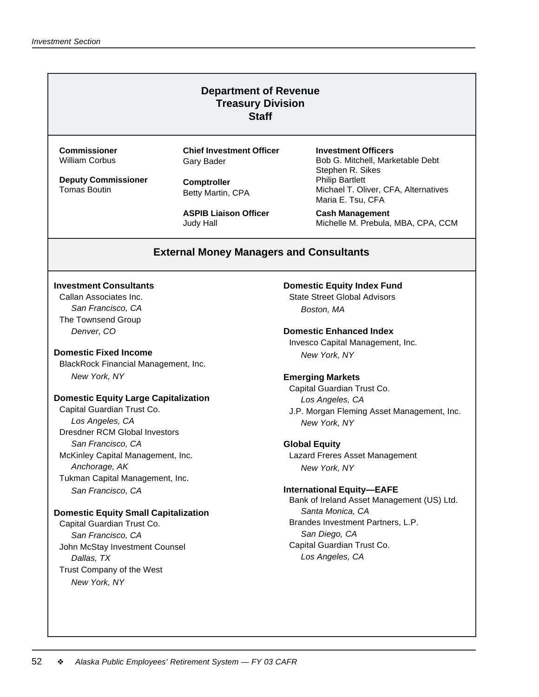### **Department of Revenue Treasury Division Staff**

**Commissioner** William Corbus **Chief Investment Officer** Gary Bader

**Deputy Commissioner** Tomas Boutin

**Comptroller** Betty Martin, CPA

**ASPIB Liaison Officer** Judy Hall

**Investment Officers** Bob G. Mitchell, Marketable Debt Stephen R. Sikes Philip Bartlett Michael T. Oliver, CFA, Alternatives Maria E. Tsu, CFA

**Cash Management** Michelle M. Prebula, MBA, CPA, CCM

### **External Money Managers and Consultants**

#### **Investment Consultants**

Callan Associates Inc. *San Francisco, CA* The Townsend Group *Denver, CO*

#### **Domestic Fixed Income**

BlackRock Financial Management, Inc. *New York, NY*

#### **Domestic Equity Large Capitalization**

Capital Guardian Trust Co. *Los Angeles, CA* Dresdner RCM Global Investors *San Francisco, CA* McKinley Capital Management, Inc. *Anchorage, AK* Tukman Capital Management, Inc. *San Francisco, CA*

#### **Domestic Equity Small Capitalization**

Capital Guardian Trust Co. *San Francisco, CA* John McStay Investment Counsel *Dallas, TX* Trust Company of the West *New York, NY*

#### **Domestic Equity Index Fund**

State Street Global Advisors *Boston, MA*

#### **Domestic Enhanced Index**

Invesco Capital Management, Inc. *New York, NY*

#### **Emerging Markets**

Capital Guardian Trust Co. *Los Angeles, CA*

J.P. Morgan Fleming Asset Management, Inc. *New York, NY*

#### **Global Equity**

Lazard Freres Asset Management *New York, NY*

#### **International Equity—EAFE**

Bank of Ireland Asset Management (US) Ltd. *Santa Monica, CA* Brandes Investment Partners, L.P. *San Diego, CA* Capital Guardian Trust Co. *Los Angeles, CA*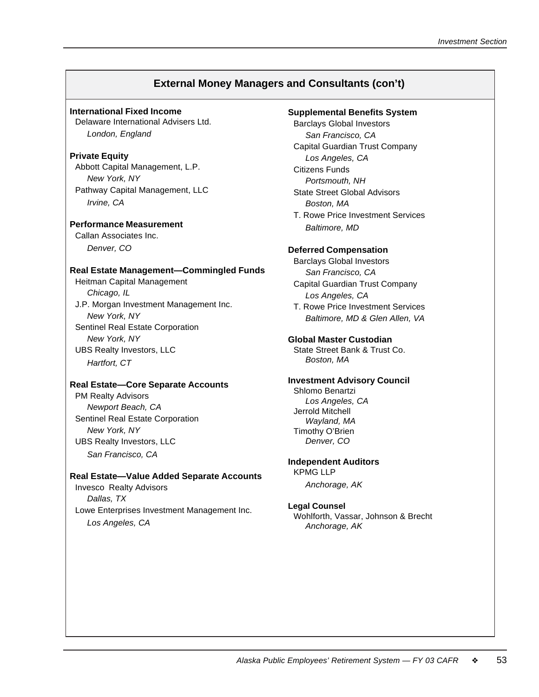## **External Money Managers and Consultants (con't)**

#### **International Fixed Income**

Delaware International Advisers Ltd. *London, England*

## **Private Equity**

Abbott Capital Management, L.P. *New York, NY* Pathway Capital Management, LLC *Irvine, CA*

#### **Performance Measurement**

Callan Associates Inc. *Denver, CO*

#### **Real Estate Management—Commingled Funds**

Heitman Capital Management *Chicago, IL* J.P. Morgan Investment Management Inc. *New York, NY* Sentinel Real Estate Corporation *New York, NY* UBS Realty Investors, LLC *Hartfort, CT*

#### **Real Estate—Core Separate Accounts**

PM Realty Advisors *Newport Beach, CA* Sentinel Real Estate Corporation *New York, NY* UBS Realty Investors, LLC *San Francisco, CA*

### **Real Estate—Value Added Separate Accounts**

Invesco Realty Advisors *Dallas, TX* Lowe Enterprises Investment Management Inc. *Los Angeles, CA*

### **Supplemental Benefits System**

Barclays Global Investors *San Francisco, CA* Capital Guardian Trust Company *Los Angeles, CA* Citizens Funds *Portsmouth, NH* State Street Global Advisors *Boston, MA* T. Rowe Price Investment Services *Baltimore, MD*

## **Deferred Compensation**

Barclays Global Investors *San Francisco, CA* Capital Guardian Trust Company *Los Angeles, CA*

T. Rowe Price Investment Services *Baltimore, MD & Glen Allen, VA*

#### **Global Master Custodian**

State Street Bank & Trust Co. *Boston, MA*

#### **Investment Advisory Council**

Shlomo Benartzi *Los Angeles, CA* Jerrold Mitchell *Wayland, MA* Timothy O'Brien *Denver, CO*

#### **Independent Auditors**

KPMG LLP

*Anchorage, AK*

#### **Legal Counsel**

Wohlforth, Vassar, Johnson & Brecht *Anchorage, AK*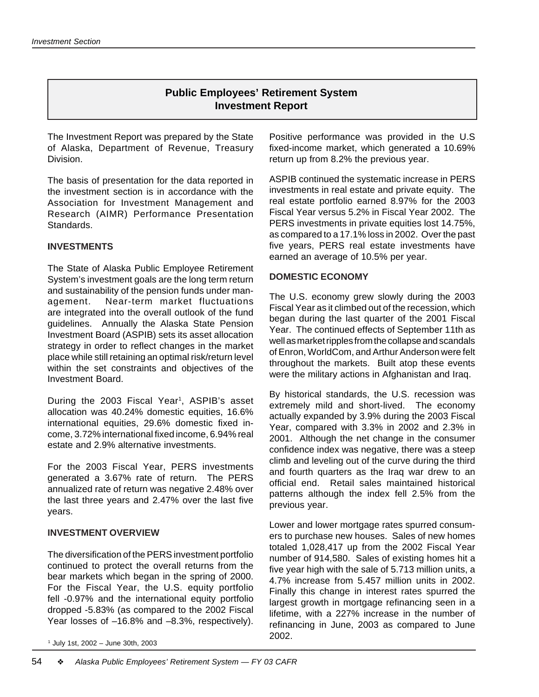# **Public Employees' Retirement System Investment Report**

The Investment Report was prepared by the State of Alaska, Department of Revenue, Treasury Division.

The basis of presentation for the data reported in the investment section is in accordance with the Association for Investment Management and Research (AIMR) Performance Presentation Standards.

## **INVESTMENTS**

The State of Alaska Public Employee Retirement System's investment goals are the long term return and sustainability of the pension funds under management. Near-term market fluctuations are integrated into the overall outlook of the fund guidelines. Annually the Alaska State Pension Investment Board (ASPIB) sets its asset allocation strategy in order to reflect changes in the market place while still retaining an optimal risk/return level within the set constraints and objectives of the Investment Board.

During the 2003 Fiscal Year<sup>1</sup>, ASPIB's asset allocation was 40.24% domestic equities, 16.6% international equities, 29.6% domestic fixed income, 3.72% international fixed income, 6.94% real estate and 2.9% alternative investments.

For the 2003 Fiscal Year, PERS investments generated a 3.67% rate of return. The PERS annualized rate of return was negative 2.48% over the last three years and 2.47% over the last five years.

## **INVESTMENT OVERVIEW**

The diversification of the PERS investment portfolio continued to protect the overall returns from the bear markets which began in the spring of 2000. For the Fiscal Year, the U.S. equity portfolio fell -0.97% and the international equity portfolio dropped -5.83% (as compared to the 2002 Fiscal Year losses of –16.8% and –8.3%, respectively).

1 July 1st, 2002 – June 30th, 2003

Positive performance was provided in the U.S fixed-income market, which generated a 10.69% return up from 8.2% the previous year.

ASPIB continued the systematic increase in PERS investments in real estate and private equity. The real estate portfolio earned 8.97% for the 2003 Fiscal Year versus 5.2% in Fiscal Year 2002. The PERS investments in private equities lost 14.75%, as compared to a 17.1% loss in 2002. Over the past five years, PERS real estate investments have earned an average of 10.5% per year.

## **DOMESTIC ECONOMY**

The U.S. economy grew slowly during the 2003 Fiscal Year as it climbed out of the recession, which began during the last quarter of the 2001 Fiscal Year. The continued effects of September 11th as well as market ripples from the collapse and scandals of Enron, WorldCom, and Arthur Anderson were felt throughout the markets. Built atop these events were the military actions in Afghanistan and Iraq.

By historical standards, the U.S. recession was extremely mild and short-lived. The economy actually expanded by 3.9% during the 2003 Fiscal Year, compared with 3.3% in 2002 and 2.3% in 2001. Although the net change in the consumer confidence index was negative, there was a steep climb and leveling out of the curve during the third and fourth quarters as the Iraq war drew to an official end. Retail sales maintained historical patterns although the index fell 2.5% from the previous year.

Lower and lower mortgage rates spurred consumers to purchase new houses. Sales of new homes totaled 1,028,417 up from the 2002 Fiscal Year number of 914,580. Sales of existing homes hit a five year high with the sale of 5.713 million units, a 4.7% increase from 5.457 million units in 2002. Finally this change in interest rates spurred the largest growth in mortgage refinancing seen in a lifetime, with a 227% increase in the number of refinancing in June, 2003 as compared to June 2002.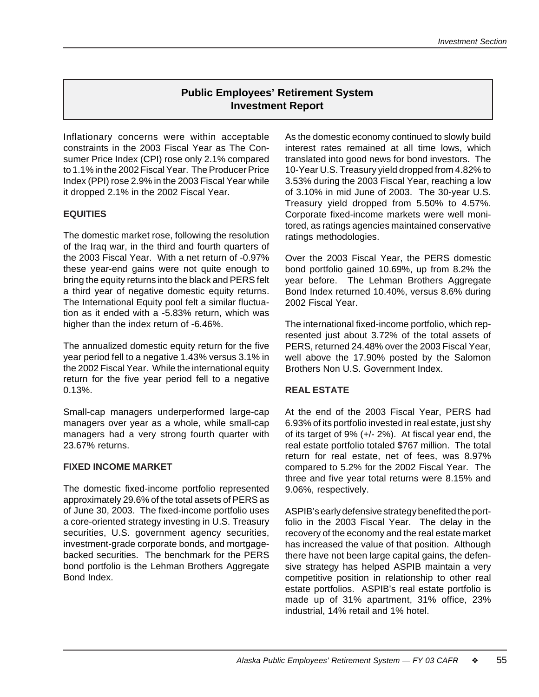# **Public Employees' Retirement System Investment Report**

Inflationary concerns were within acceptable constraints in the 2003 Fiscal Year as The Consumer Price Index (CPI) rose only 2.1% compared to 1.1% in the 2002 Fiscal Year. The Producer Price Index (PPI) rose 2.9% in the 2003 Fiscal Year while it dropped 2.1% in the 2002 Fiscal Year.

## **EQUITIES**

The domestic market rose, following the resolution of the Iraq war, in the third and fourth quarters of the 2003 Fiscal Year. With a net return of -0.97% these year-end gains were not quite enough to bring the equity returns into the black and PERS felt a third year of negative domestic equity returns. The International Equity pool felt a similar fluctuation as it ended with a -5.83% return, which was higher than the index return of -6.46%.

The annualized domestic equity return for the five year period fell to a negative 1.43% versus 3.1% in the 2002 Fiscal Year. While the international equity return for the five year period fell to a negative 0.13%.

Small-cap managers underperformed large-cap managers over year as a whole, while small-cap managers had a very strong fourth quarter with 23.67% returns.

## **FIXED INCOME MARKET**

The domestic fixed-income portfolio represented approximately 29.6% of the total assets of PERS as of June 30, 2003. The fixed-income portfolio uses a core-oriented strategy investing in U.S. Treasury securities, U.S. government agency securities, investment-grade corporate bonds, and mortgagebacked securities. The benchmark for the PERS bond portfolio is the Lehman Brothers Aggregate Bond Index.

As the domestic economy continued to slowly build interest rates remained at all time lows, which translated into good news for bond investors. The 10-Year U.S. Treasury yield dropped from 4.82% to 3.53% during the 2003 Fiscal Year, reaching a low of 3.10% in mid June of 2003. The 30-year U.S. Treasury yield dropped from 5.50% to 4.57%. Corporate fixed-income markets were well monitored, as ratings agencies maintained conservative ratings methodologies.

Over the 2003 Fiscal Year, the PERS domestic bond portfolio gained 10.69%, up from 8.2% the year before. The Lehman Brothers Aggregate Bond Index returned 10.40%, versus 8.6% during 2002 Fiscal Year.

The international fixed-income portfolio, which represented just about 3.72% of the total assets of PERS, returned 24.48% over the 2003 Fiscal Year, well above the 17.90% posted by the Salomon Brothers Non U.S. Government Index.

## **REAL ESTATE**

At the end of the 2003 Fiscal Year, PERS had 6.93% of its portfolio invested in real estate, just shy of its target of 9% (+/- 2%). At fiscal year end, the real estate portfolio totaled \$767 million. The total return for real estate, net of fees, was 8.97% compared to 5.2% for the 2002 Fiscal Year. The three and five year total returns were 8.15% and 9.06%, respectively.

ASPIB's early defensive strategy benefited the portfolio in the 2003 Fiscal Year. The delay in the recovery of the economy and the real estate market has increased the value of that position. Although there have not been large capital gains, the defensive strategy has helped ASPIB maintain a very competitive position in relationship to other real estate portfolios. ASPIB's real estate portfolio is made up of 31% apartment, 31% office, 23% industrial, 14% retail and 1% hotel.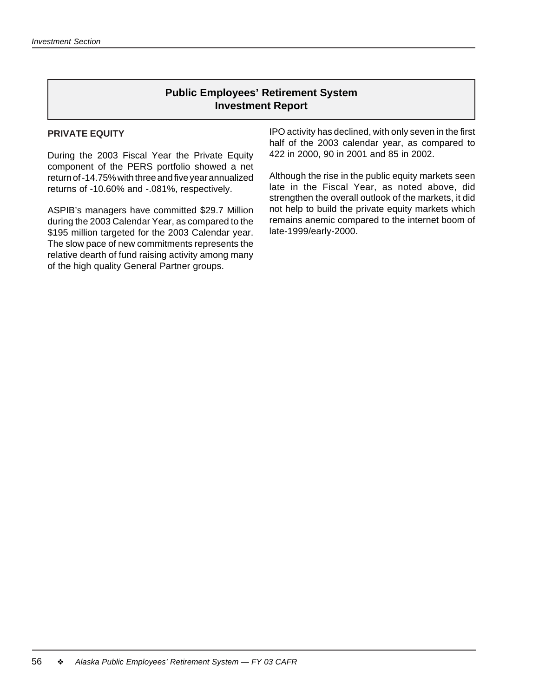# **Public Employees' Retirement System Investment Report**

## **PRIVATE EQUITY**

During the 2003 Fiscal Year the Private Equity component of the PERS portfolio showed a net return of -14.75% with three and five year annualized returns of -10.60% and -.081%, respectively.

ASPIB's managers have committed \$29.7 Million during the 2003 Calendar Year, as compared to the \$195 million targeted for the 2003 Calendar year. The slow pace of new commitments represents the relative dearth of fund raising activity among many of the high quality General Partner groups.

IPO activity has declined, with only seven in the first half of the 2003 calendar year, as compared to 422 in 2000, 90 in 2001 and 85 in 2002.

Although the rise in the public equity markets seen late in the Fiscal Year, as noted above, did strengthen the overall outlook of the markets, it did not help to build the private equity markets which remains anemic compared to the internet boom of late-1999/early-2000.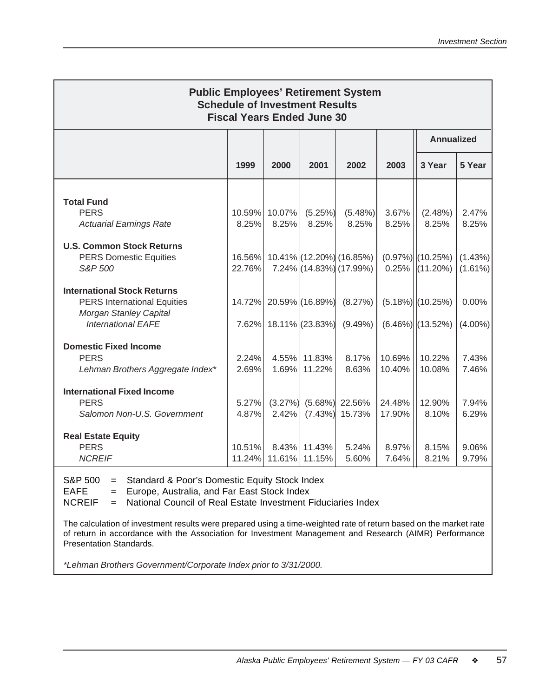| <b>Public Employees' Retirement System</b><br><b>Schedule of Investment Results</b><br><b>Fiscal Years Ended June 30</b>               |                     |                  |                                           |                                                        |                  |                                            |                       |  |
|----------------------------------------------------------------------------------------------------------------------------------------|---------------------|------------------|-------------------------------------------|--------------------------------------------------------|------------------|--------------------------------------------|-----------------------|--|
|                                                                                                                                        |                     |                  |                                           |                                                        |                  | <b>Annualized</b>                          |                       |  |
|                                                                                                                                        | 1999                | 2000             | 2001                                      | 2002                                                   | 2003             | 3 Year                                     | 5 Year                |  |
| <b>Total Fund</b><br><b>PERS</b><br><b>Actuarial Earnings Rate</b>                                                                     | 10.59%<br>8.25%     | 10.07%<br>8.25%  | (5.25%)<br>8.25%                          | (5.48%)<br>8.25%                                       | 3.67%<br>8.25%   | (2.48%)<br>8.25%                           | 2.47%<br>8.25%        |  |
| <b>U.S. Common Stock Returns</b><br><b>PERS Domestic Equities</b><br>S&P 500                                                           | 16.56%<br>22.76%    |                  |                                           | 10.41% (12.20%) (16.85%)<br>$7.24\%$ (14.83%) (17.99%) | 0.25%            | $(0.97\%)$ (10.25%)<br>$(11.20\%)$         | (1.43%)<br>$(1.61\%)$ |  |
| <b>International Stock Returns</b><br><b>PERS International Equities</b><br><b>Morgan Stanley Capital</b><br><b>International EAFE</b> | 7.62%               |                  | 14.72% 20.59% (16.89%)<br>18.11% (23.83%) | (8.27%)<br>$(9.49\%)$                                  |                  | $(5.18\%)$ (10.25%)<br>$(6.46\%)$ (13.52%) | 0.00%<br>$(4.00\%)$   |  |
| <b>Domestic Fixed Income</b><br><b>PERS</b><br>Lehman Brothers Aggregate Index*                                                        | 2.24%<br>2.69%      | 1.69%            | 4.55% 11.83%<br>11.22%                    | 8.17%<br>8.63%                                         | 10.69%<br>10.40% | 10.22%<br>10.08%                           | 7.43%<br>7.46%        |  |
| <b>International Fixed Income</b><br><b>PERS</b><br>Salomon Non-U.S. Government                                                        | 5.27%<br>4.87%      | (3.27%)<br>2.42% | $(7.43\%)$                                | $(5.68\%)$ 22.56%<br>15.73%                            | 24.48%<br>17.90% | 12.90%<br>8.10%                            | 7.94%<br>6.29%        |  |
| <b>Real Estate Equity</b><br><b>PERS</b><br><b>NCREIF</b>                                                                              | $10.51\%$<br>11.24% | 11.61%           | 8.43% 11.43%<br>11.15%                    | 5.24%<br>5.60%                                         | 8.97%<br>7.64%   | 8.15%<br>8.21%                             | 9.06%<br>9.79%        |  |

S&P 500 = Standard & Poor's Domestic Equity Stock Index

EAFE = Europe, Australia, and Far East Stock Index

NCREIF = National Council of Real Estate Investment Fiduciaries Index

The calculation of investment results were prepared using a time-weighted rate of return based on the market rate of return in accordance with the Association for Investment Management and Research (AIMR) Performance Presentation Standards.

*\*Lehman Brothers Government/Corporate Index prior to 3/31/2000.*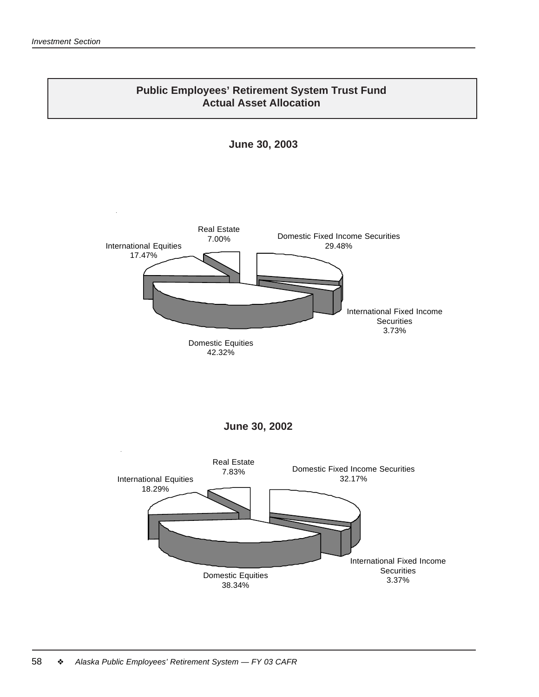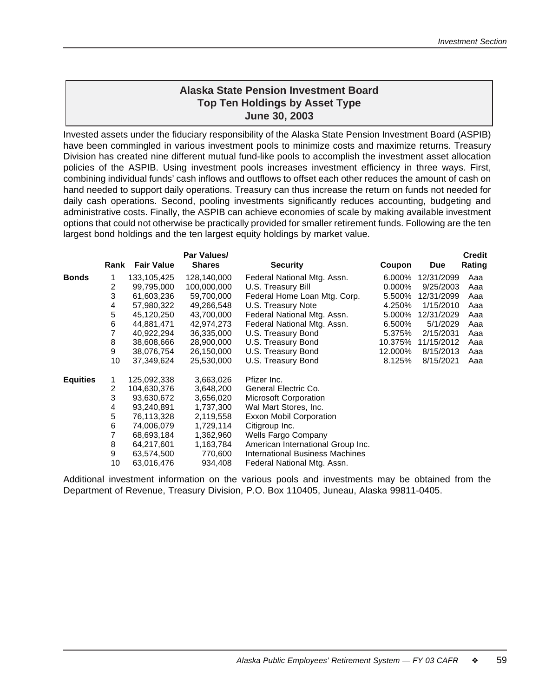# **Alaska State Pension Investment Board Top Ten Holdings by Asset Type June 30, 2003**

Invested assets under the fiduciary responsibility of the Alaska State Pension Investment Board (ASPIB) have been commingled in various investment pools to minimize costs and maximize returns. Treasury Division has created nine different mutual fund-like pools to accomplish the investment asset allocation policies of the ASPIB. Using investment pools increases investment efficiency in three ways. First, combining individual funds' cash inflows and outflows to offset each other reduces the amount of cash on hand needed to support daily operations. Treasury can thus increase the return on funds not needed for daily cash operations. Second, pooling investments significantly reduces accounting, budgeting and administrative costs. Finally, the ASPIB can achieve economies of scale by making available investment options that could not otherwise be practically provided for smaller retirement funds. Following are the ten largest bond holdings and the ten largest equity holdings by market value.

|                 |      |                   | Par Values/   |                                        |           |            | <b>Credit</b> |
|-----------------|------|-------------------|---------------|----------------------------------------|-----------|------------|---------------|
|                 | Rank | <b>Fair Value</b> | <b>Shares</b> | <b>Security</b>                        | Coupon    | <b>Due</b> | Rating        |
| <b>Bonds</b>    |      | 133,105,425       | 128,140,000   | Federal National Mtg. Assn.            | $6.000\%$ | 12/31/2099 | Aaa           |
|                 | 2    | 99,795,000        | 100,000,000   | U.S. Treasury Bill                     | $0.000\%$ | 9/25/2003  | Aaa           |
|                 | 3    | 61,603,236        | 59,700,000    | Federal Home Loan Mtg. Corp.           | 5.500%    | 12/31/2099 | Aaa           |
|                 | 4    | 57,980,322        | 49,266,548    | U.S. Treasury Note                     | 4.250%    | 1/15/2010  | Aaa           |
|                 | 5    | 45,120,250        | 43,700,000    | Federal National Mtg. Assn.            | 5.000%    | 12/31/2029 | Aaa           |
|                 | 6    | 44,881,471        | 42,974,273    | Federal National Mtg. Assn.            | 6.500%    | 5/1/2029   | Aaa           |
|                 | 7    | 40,922,294        | 36,335,000    | U.S. Treasury Bond                     | 5.375%    | 2/15/2031  | Aaa           |
|                 | 8    | 38,608,666        | 28,900,000    | U.S. Treasury Bond                     | 10.375%   | 11/15/2012 | Aaa           |
|                 | 9    | 38,076,754        | 26,150,000    | U.S. Treasury Bond                     | 12.000%   | 8/15/2013  | Aaa           |
|                 | 10   | 37,349,624        | 25,530,000    | U.S. Treasury Bond                     | 8.125%    | 8/15/2021  | Aaa           |
| <b>Equities</b> | 1.   | 125,092,338       | 3,663,026     | Pfizer Inc.                            |           |            |               |
|                 | 2    | 104,630,376       | 3,648,200     | General Electric Co.                   |           |            |               |
|                 | 3    | 93,630,672        | 3,656,020     | Microsoft Corporation                  |           |            |               |
|                 | 4    | 93,240,891        | 1,737,300     | Wal Mart Stores, Inc.                  |           |            |               |
|                 | 5    | 76,113,328        | 2,119,558     | <b>Exxon Mobil Corporation</b>         |           |            |               |
|                 | 6    | 74,006,079        | 1,729,114     | Citigroup Inc.                         |           |            |               |
|                 | 7    | 68,693,184        | 1,362,960     | <b>Wells Fargo Company</b>             |           |            |               |
|                 | 8    | 64,217,601        | 1,163,784     | American International Group Inc.      |           |            |               |
|                 | 9    | 63,574,500        | 770,600       | <b>International Business Machines</b> |           |            |               |
|                 | 10   | 63,016,476        | 934,408       | Federal National Mtg. Assn.            |           |            |               |

Additional investment information on the various pools and investments may be obtained from the Department of Revenue, Treasury Division, P.O. Box 110405, Juneau, Alaska 99811-0405.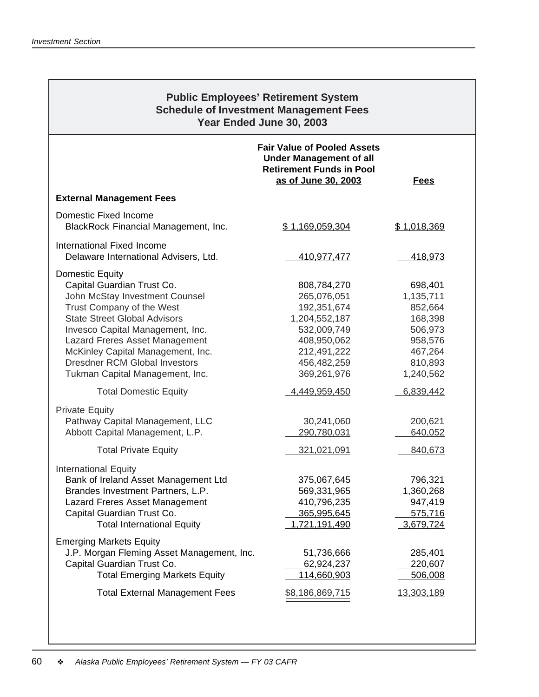| <b>Public Employees' Retirement System</b>    |
|-----------------------------------------------|
| <b>Schedule of Investment Management Fees</b> |
| Year Ended June 30, 2003                      |

|                                                                                                                                                                                                                                                                                                                                           | <b>Fair Value of Pooled Assets</b><br><b>Under Management of all</b><br><b>Retirement Funds in Pool</b><br>as of June 30, 2003        | <b>Fees</b>                                                                                         |
|-------------------------------------------------------------------------------------------------------------------------------------------------------------------------------------------------------------------------------------------------------------------------------------------------------------------------------------------|---------------------------------------------------------------------------------------------------------------------------------------|-----------------------------------------------------------------------------------------------------|
| <b>External Management Fees</b>                                                                                                                                                                                                                                                                                                           |                                                                                                                                       |                                                                                                     |
| Domestic Fixed Income<br>BlackRock Financial Management, Inc.                                                                                                                                                                                                                                                                             | \$1,169,059,304                                                                                                                       | \$1,018,369                                                                                         |
| International Fixed Income<br>Delaware International Advisers, Ltd.                                                                                                                                                                                                                                                                       | 410,977,477                                                                                                                           | 418,973                                                                                             |
| Domestic Equity<br>Capital Guardian Trust Co.<br>John McStay Investment Counsel<br>Trust Company of the West<br><b>State Street Global Advisors</b><br>Invesco Capital Management, Inc.<br>Lazard Freres Asset Management<br>McKinley Capital Management, Inc.<br><b>Dresdner RCM Global Investors</b><br>Tukman Capital Management, Inc. | 808,784,270<br>265,076,051<br>192,351,674<br>1,204,552,187<br>532,009,749<br>408,950,062<br>212,491,222<br>456,482,259<br>369,261,976 | 698,401<br>1,135,711<br>852,664<br>168,398<br>506,973<br>958,576<br>467,264<br>810,893<br>1,240,562 |
| <b>Total Domestic Equity</b>                                                                                                                                                                                                                                                                                                              | 4,449,959,450                                                                                                                         | 6,839,442                                                                                           |
| <b>Private Equity</b><br>Pathway Capital Management, LLC<br>Abbott Capital Management, L.P.<br><b>Total Private Equity</b>                                                                                                                                                                                                                | 30,241,060<br>290,780,031<br>321,021,091                                                                                              | 200,621<br>640,052<br>840,673                                                                       |
| <b>International Equity</b><br>Bank of Ireland Asset Management Ltd<br>Brandes Investment Partners, L.P.<br>Lazard Freres Asset Management<br>Capital Guardian Trust Co.<br><b>Total International Equity</b>                                                                                                                             | 375,067,645<br>569,331,965<br>410,796,235<br>365,995,645<br>1,721,191,490                                                             | 796,321<br>1,360,268<br>947,419<br>575,716<br>3,679,724                                             |
| <b>Emerging Markets Equity</b><br>J.P. Morgan Fleming Asset Management, Inc.<br>Capital Guardian Trust Co.<br><b>Total Emerging Markets Equity</b><br><b>Total External Management Fees</b>                                                                                                                                               | 51,736,666<br>62,924,237<br><u>114,660,903</u><br>\$8,186,869,715                                                                     | 285,401<br>220,607<br>506,008<br>13,303,189                                                         |
|                                                                                                                                                                                                                                                                                                                                           |                                                                                                                                       |                                                                                                     |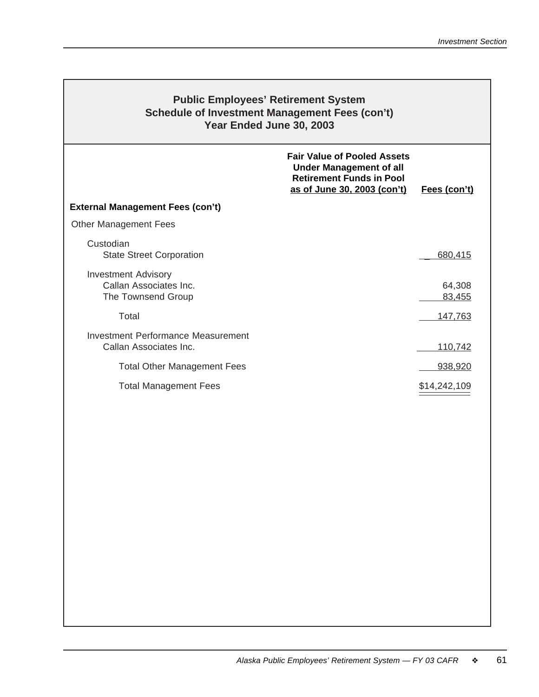| <b>Public Employees' Retirement System</b><br><b>Schedule of Investment Management Fees (con't)</b><br>Year Ended June 30, 2003 |                                                                                                                                        |                  |  |  |  |
|---------------------------------------------------------------------------------------------------------------------------------|----------------------------------------------------------------------------------------------------------------------------------------|------------------|--|--|--|
|                                                                                                                                 | <b>Fair Value of Pooled Assets</b><br><b>Under Management of all</b><br><b>Retirement Funds in Pool</b><br>as of June 30, 2003 (con't) | Fees (con't)     |  |  |  |
| <b>External Management Fees (con't)</b>                                                                                         |                                                                                                                                        |                  |  |  |  |
| <b>Other Management Fees</b>                                                                                                    |                                                                                                                                        |                  |  |  |  |
| Custodian<br><b>State Street Corporation</b>                                                                                    |                                                                                                                                        | 680,415          |  |  |  |
| <b>Investment Advisory</b><br>Callan Associates Inc.<br>The Townsend Group                                                      |                                                                                                                                        | 64,308<br>83,455 |  |  |  |
| Total                                                                                                                           |                                                                                                                                        | 147,763          |  |  |  |
| Investment Performance Measurement<br>Callan Associates Inc.                                                                    |                                                                                                                                        | 110,742          |  |  |  |
| <b>Total Other Management Fees</b>                                                                                              |                                                                                                                                        | 938,920          |  |  |  |
| <b>Total Management Fees</b>                                                                                                    |                                                                                                                                        | \$14,242,109     |  |  |  |
|                                                                                                                                 |                                                                                                                                        |                  |  |  |  |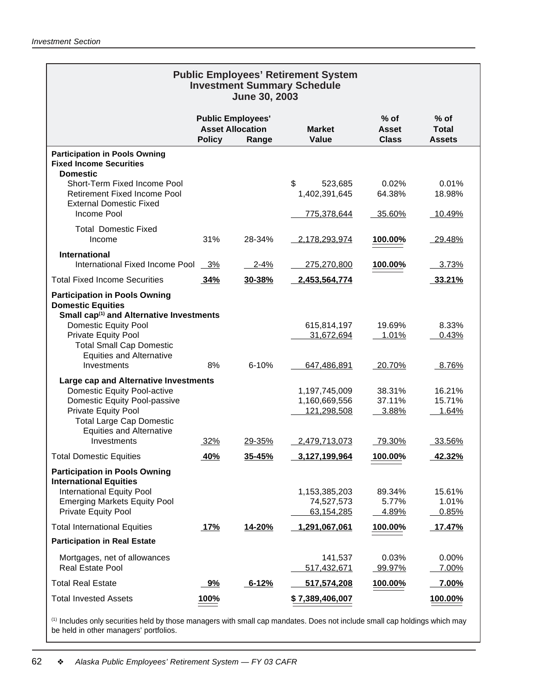| <b>Public Employees' Retirement System</b><br><b>Investment Summary Schedule</b><br>June 30, 2003                                                                                                                                                            |               |                                                              |                                                                |                                            |                                            |  |
|--------------------------------------------------------------------------------------------------------------------------------------------------------------------------------------------------------------------------------------------------------------|---------------|--------------------------------------------------------------|----------------------------------------------------------------|--------------------------------------------|--------------------------------------------|--|
|                                                                                                                                                                                                                                                              | <b>Policy</b> | <b>Public Employees'</b><br><b>Asset Allocation</b><br>Range | <b>Market</b><br>Value                                         | $%$ of<br><b>Asset</b><br><b>Class</b>     | $%$ of<br><b>Total</b><br><b>Assets</b>    |  |
| <b>Participation in Pools Owning</b><br><b>Fixed Income Securities</b><br><b>Domestic</b>                                                                                                                                                                    |               |                                                              |                                                                |                                            |                                            |  |
| Short-Term Fixed Income Pool<br><b>Retirement Fixed Income Pool</b><br><b>External Domestic Fixed</b><br>Income Pool                                                                                                                                         |               |                                                              | \$<br>523,685<br>1,402,391,645<br>775,378,644                  | 0.02%<br>64.38%<br>35.60%                  | 0.01%<br>18.98%<br><u>10.49%</u>           |  |
| <b>Total Domestic Fixed</b><br>Income                                                                                                                                                                                                                        | 31%           | 28-34%                                                       | <u>2,178,293,974</u>                                           | 100.00%                                    | 29.48%                                     |  |
| International<br>International Fixed Income Pool 3%                                                                                                                                                                                                          |               | $2 - 4%$                                                     | 275,270,800                                                    | 100.00%                                    | 3.73%                                      |  |
| <b>Total Fixed Income Securities</b>                                                                                                                                                                                                                         | 34%           | 30-38%                                                       | 2,453,564,774                                                  |                                            | 33.21%                                     |  |
| <b>Participation in Pools Owning</b><br><b>Domestic Equities</b><br>Small cap <sup>(1)</sup> and Alternative Investments<br>Domestic Equity Pool<br>Private Equity Pool<br><b>Total Small Cap Domestic</b><br><b>Equities and Alternative</b><br>Investments | 8%            | $6 - 10%$                                                    | 615,814,197<br>31,672,694<br>647,486,891                       | 19.69%<br><u>1.01%</u><br>$-20.70%$        | 8.33%<br>0.43%<br>8.76%                    |  |
| Large cap and Alternative Investments<br>Domestic Equity Pool-active<br>Domestic Equity Pool-passive<br>Private Equity Pool<br><b>Total Large Cap Domestic</b><br><b>Equities and Alternative</b><br>Investments                                             | 32%           | <u>29-35%</u>                                                | 1,197,745,009<br>1,160,669,556<br>121,298,508<br>2,479,713,073 | 38.31%<br>37.11%<br>3.88%<br><u>79.30%</u> | 16.21%<br>15.71%<br>1.64%<br><u>33.56%</u> |  |
| <b>Total Domestic Equities</b>                                                                                                                                                                                                                               | 40%           | 35-45%                                                       | 3,127,199,964                                                  | 100.00%                                    | 42.32%                                     |  |
| <b>Participation in Pools Owning</b><br><b>International Equities</b><br>International Equity Pool<br><b>Emerging Markets Equity Pool</b><br>Private Equity Pool                                                                                             |               |                                                              | 1,153,385,203<br>74,527,573<br>63,154,285                      | 89.34%<br>5.77%<br>4.89%                   | 15.61%<br>1.01%<br>0.85%                   |  |
| <b>Total International Equities</b>                                                                                                                                                                                                                          | 17%           | 14-20%                                                       | 1,291,067,061                                                  | 100.00%                                    | 17.47%                                     |  |
| <b>Participation in Real Estate</b>                                                                                                                                                                                                                          |               |                                                              |                                                                |                                            |                                            |  |
| Mortgages, net of allowances<br><b>Real Estate Pool</b>                                                                                                                                                                                                      |               |                                                              | 141,537<br>517,432,671                                         | 0.03%<br>99.97%                            | 0.00%<br>7.00%                             |  |
| <b>Total Real Estate</b>                                                                                                                                                                                                                                     | <u>9%</u>     | $6 - 12%$                                                    | 517,574,208                                                    | 100.00%                                    | 7.00%                                      |  |
| <b>Total Invested Assets</b>                                                                                                                                                                                                                                 | 100%          |                                                              | \$7,389,406,007                                                |                                            | 100.00%                                    |  |

(1) Includes only securities held by those managers with small cap mandates. Does not include small cap holdings which may be held in other managers' portfolios.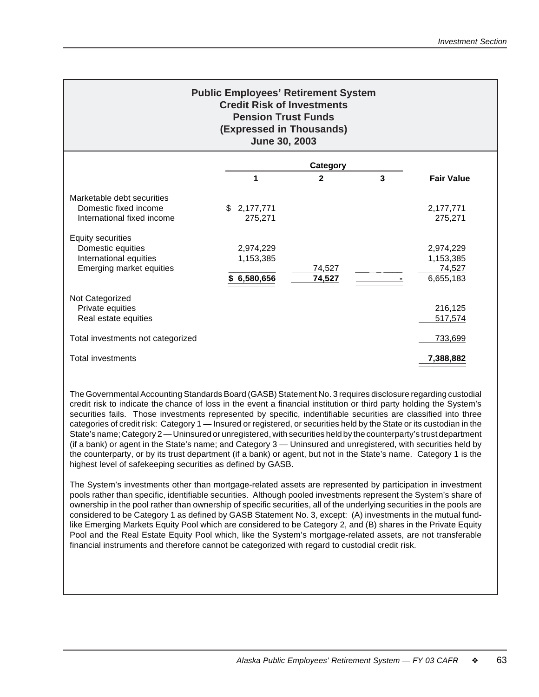# **Public Employees' Retirement System Credit Risk of Investments Pension Trust Funds (Expressed in Thousands) June 30, 2003**

|                                                                                                     | 1                                     | $\mathbf{2}$            | 3 | <b>Fair Value</b>                                    |
|-----------------------------------------------------------------------------------------------------|---------------------------------------|-------------------------|---|------------------------------------------------------|
| Marketable debt securities<br>Domestic fixed income<br>International fixed income                   | 2,177,771<br>\$.<br>275,271           |                         |   | 2,177,771<br>275,271                                 |
| <b>Equity securities</b><br>Domestic equities<br>International equities<br>Emerging market equities | 2,974,229<br>1,153,385<br>\$6,580,656 | <u>74,527</u><br>74,527 |   | 2,974,229<br>1,153,385<br><u>74,527</u><br>6,655,183 |
| Not Categorized<br>Private equities<br>Real estate equities                                         |                                       |                         |   | 216,125<br>517,574                                   |
| Total investments not categorized                                                                   |                                       |                         |   | 733,699                                              |
| Total investments                                                                                   |                                       |                         |   | 7,388,882                                            |

The Governmental Accounting Standards Board (GASB) Statement No. 3 requires disclosure regarding custodial credit risk to indicate the chance of loss in the event a financial institution or third party holding the System's securities fails. Those investments represented by specific, indentifiable securities are classified into three categories of credit risk: Category 1 — Insured or registered, or securities held by the State or its custodian in the State's name; Category 2 — Uninsured or unregistered, with securities held by the counterparty's trust department (if a bank) or agent in the State's name; and Category 3 — Uninsured and unregistered, with securities held by the counterparty, or by its trust department (if a bank) or agent, but not in the State's name. Category 1 is the highest level of safekeeping securities as defined by GASB.

The System's investments other than mortgage-related assets are represented by participation in investment pools rather than specific, identifiable securities. Although pooled investments represent the System's share of ownership in the pool rather than ownership of specific securities, all of the underlying securities in the pools are considered to be Category 1 as defined by GASB Statement No. 3, except: (A) investments in the mutual fundlike Emerging Markets Equity Pool which are considered to be Category 2, and (B) shares in the Private Equity Pool and the Real Estate Equity Pool which, like the System's mortgage-related assets, are not transferable financial instruments and therefore cannot be categorized with regard to custodial credit risk.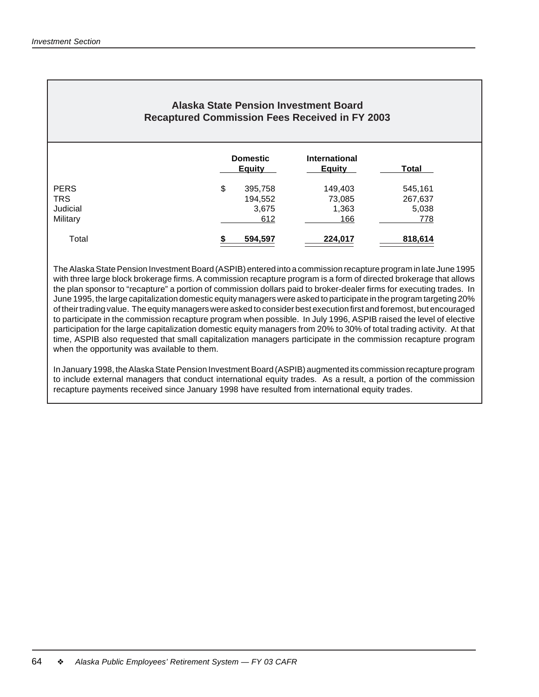# **Alaska State Pension Investment Board Recaptured Commission Fees Received in FY 2003**

|             | <b>Domestic</b><br><b>Equity</b> |         | Total   |  |
|-------------|----------------------------------|---------|---------|--|
| <b>PERS</b> | \$<br>395,758                    | 149,403 | 545,161 |  |
| <b>TRS</b>  | 194,552                          | 73,085  | 267,637 |  |
| Judicial    | 3,675                            | 1,363   | 5,038   |  |
| Military    | 612                              | 166     | 778     |  |
| Total       | 594,597                          | 224,017 | 818,614 |  |

The Alaska State Pension Investment Board (ASPIB) entered into a commission recapture program in late June 1995 with three large block brokerage firms. A commission recapture program is a form of directed brokerage that allows the plan sponsor to "recapture" a portion of commission dollars paid to broker-dealer firms for executing trades. In June 1995, the large capitalization domestic equity managers were asked to participate in the program targeting 20% of their trading value. The equity managers were asked to consider best execution first and foremost, but encouraged to participate in the commission recapture program when possible. In July 1996, ASPIB raised the level of elective participation for the large capitalization domestic equity managers from 20% to 30% of total trading activity. At that time, ASPIB also requested that small capitalization managers participate in the commission recapture program when the opportunity was available to them.

In January 1998, the Alaska State Pension Investment Board (ASPIB) augmented its commission recapture program to include external managers that conduct international equity trades. As a result, a portion of the commission recapture payments received since January 1998 have resulted from international equity trades.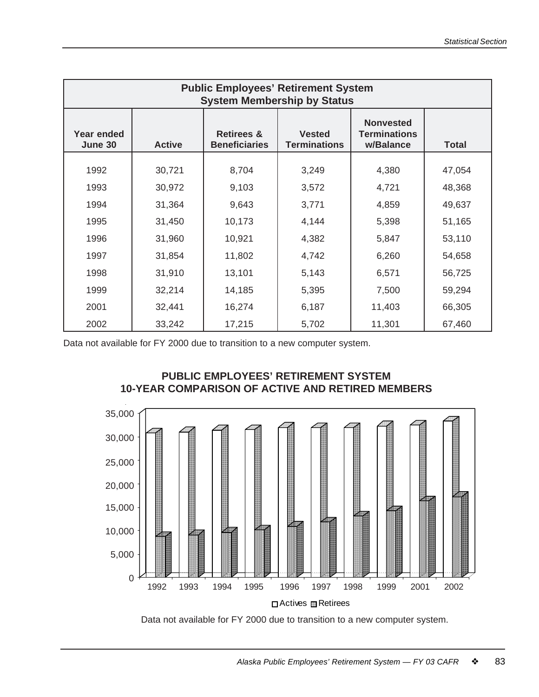| <b>Public Employees' Retirement System</b><br><b>System Membership by Status</b> |               |                                               |                                      |                                                      |              |  |  |  |
|----------------------------------------------------------------------------------|---------------|-----------------------------------------------|--------------------------------------|------------------------------------------------------|--------------|--|--|--|
| Year ended<br>June 30                                                            | <b>Active</b> | <b>Retirees &amp;</b><br><b>Beneficiaries</b> | <b>Vested</b><br><b>Terminations</b> | <b>Nonvested</b><br><b>Terminations</b><br>w/Balance | <b>Total</b> |  |  |  |
| 1992                                                                             | 30,721        | 8,704                                         | 3,249                                | 4,380                                                | 47,054       |  |  |  |
| 1993                                                                             | 30,972        | 9,103                                         | 3,572                                | 4,721                                                | 48,368       |  |  |  |
| 1994                                                                             | 31,364        | 9,643                                         | 3,771                                | 4,859                                                | 49,637       |  |  |  |
| 1995                                                                             | 31,450        | 10,173                                        | 4,144                                | 5,398                                                | 51,165       |  |  |  |
| 1996                                                                             | 31,960        | 10,921                                        | 4,382                                | 5,847                                                | 53,110       |  |  |  |
| 1997                                                                             | 31,854        | 11,802                                        | 4,742                                | 6,260                                                | 54,658       |  |  |  |
| 1998                                                                             | 31,910        | 13,101                                        | 5,143                                | 6,571                                                | 56,725       |  |  |  |
| 1999                                                                             | 32,214        | 14,185                                        | 5,395                                | 7,500                                                | 59,294       |  |  |  |
| 2001                                                                             | 32,441        | 16,274                                        | 6,187                                | 11,403                                               | 66,305       |  |  |  |
| 2002                                                                             | 33,242        | 17,215                                        | 5,702                                | 11,301                                               | 67,460       |  |  |  |

Data not available for FY 2000 due to transition to a new computer system.



# **PUBLIC EMPLOYEES' RETIREMENT SYSTEM 10-YEAR COMPARISON OF ACTIVE AND RETIRED MEMBERS**

Data not available for FY 2000 due to transition to a new computer system.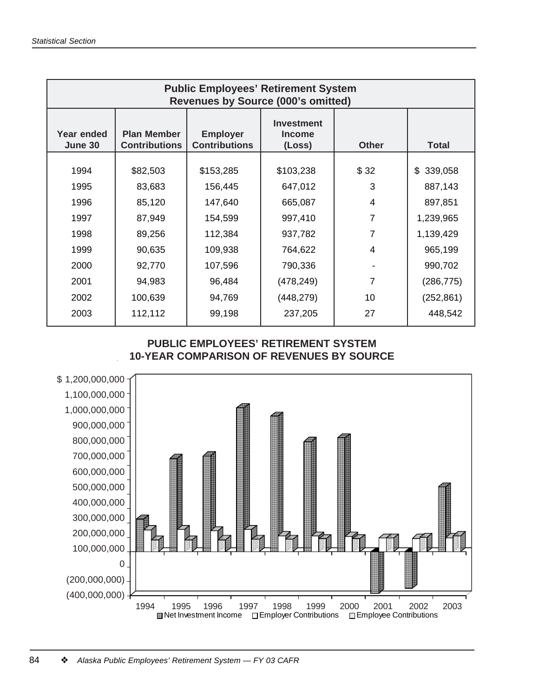| <b>Public Employees' Retirement System</b><br><b>Revenues by Source (000's omitted)</b> |                                            |                                         |                                              |              |               |  |  |
|-----------------------------------------------------------------------------------------|--------------------------------------------|-----------------------------------------|----------------------------------------------|--------------|---------------|--|--|
| <b>Year ended</b><br>June 30                                                            | <b>Plan Member</b><br><b>Contributions</b> | <b>Employer</b><br><b>Contributions</b> | <b>Investment</b><br><b>Income</b><br>(Loss) | <b>Other</b> | <b>Total</b>  |  |  |
| 1994                                                                                    | \$82,503                                   | \$153,285                               | \$103,238                                    | \$32         | \$<br>339,058 |  |  |
| 1995                                                                                    | 83,683                                     | 156,445                                 | 647,012                                      | 3            | 887,143       |  |  |
| 1996                                                                                    | 85,120                                     | 147,640                                 | 665,087                                      | 4            | 897,851       |  |  |
| 1997                                                                                    | 87,949                                     | 154,599                                 | 997,410                                      | 7            | 1,239,965     |  |  |
| 1998                                                                                    | 89,256                                     | 112,384                                 | 937,782                                      | 7            | 1,139,429     |  |  |
| 1999                                                                                    | 90,635                                     | 109,938                                 | 764,622                                      | 4            | 965,199       |  |  |
| 2000                                                                                    | 92,770                                     | 107,596                                 | 790,336                                      |              | 990,702       |  |  |
| 2001                                                                                    | 94,983                                     | 96,484                                  | (478, 249)                                   | 7            | (286, 775)    |  |  |
| 2002                                                                                    | 100,639                                    | 94,769                                  | (448,279)                                    | 10           | (252, 861)    |  |  |
| 2003                                                                                    | 112,112                                    | 99,198                                  | 237,205                                      | 27           | 448,542       |  |  |



# **PUBLIC EMPLOYEES' RETIREMENT SYSTEM 10-YEAR COMPARISON OF REVENUES BY SOURCE**

 $\overline{a}$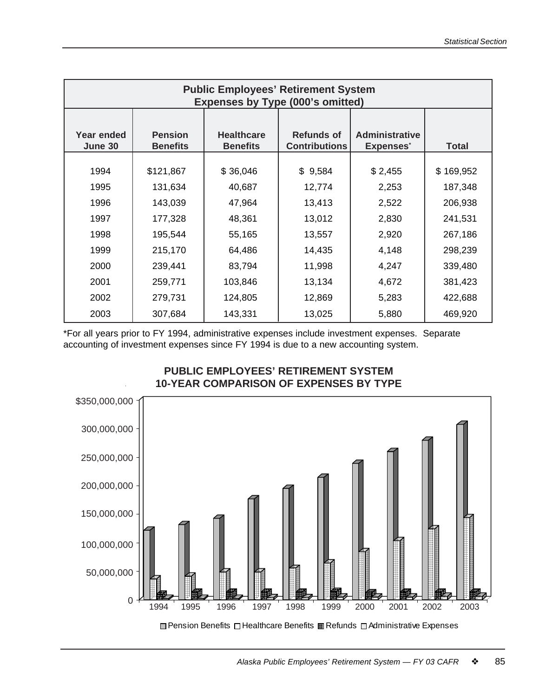| <b>Public Employees' Retirement System</b><br><b>Expenses by Type (000's omitted)</b> |                                   |                                      |                                           |                                            |              |  |  |  |
|---------------------------------------------------------------------------------------|-----------------------------------|--------------------------------------|-------------------------------------------|--------------------------------------------|--------------|--|--|--|
| <b>Year ended</b><br>June 30                                                          | <b>Pension</b><br><b>Benefits</b> | <b>Healthcare</b><br><b>Benefits</b> | <b>Refunds of</b><br><b>Contributions</b> | <b>Administrative</b><br><b>Expenses</b> * | <b>Total</b> |  |  |  |
| 1994                                                                                  | \$121,867                         | \$36,046                             | \$9,584                                   | \$2,455                                    | \$169,952    |  |  |  |
| 1995                                                                                  | 131,634                           | 40,687                               | 12,774                                    | 2,253                                      | 187,348      |  |  |  |
| 1996                                                                                  | 143,039                           | 47,964                               | 13,413                                    | 2,522                                      | 206,938      |  |  |  |
| 1997                                                                                  | 177,328                           | 48,361                               | 13,012                                    | 2,830                                      | 241,531      |  |  |  |
| 1998                                                                                  | 195,544                           | 55,165                               | 13,557                                    | 2,920                                      | 267,186      |  |  |  |
| 1999                                                                                  | 215,170                           | 64,486                               | 14,435                                    | 4,148                                      | 298,239      |  |  |  |
| 2000                                                                                  | 239,441                           | 83,794                               | 11,998                                    | 4,247                                      | 339,480      |  |  |  |
| 2001                                                                                  | 259,771                           | 103,846                              | 13,134                                    | 4,672                                      | 381,423      |  |  |  |
| 2002                                                                                  | 279,731                           | 124,805                              | 12,869                                    | 5,283                                      | 422,688      |  |  |  |
| 2003                                                                                  | 307,684                           | 143,331                              | 13,025                                    | 5,880                                      | 469,920      |  |  |  |

\*For all years prior to FY 1994, administrative expenses include investment expenses. Separate accounting of investment expenses since FY 1994 is due to a new accounting system.



# **PUBLIC EMPLOYEES' RETIREMENT SYSTEM 10-YEAR COMPARISON OF EXPENSES BY TYPE**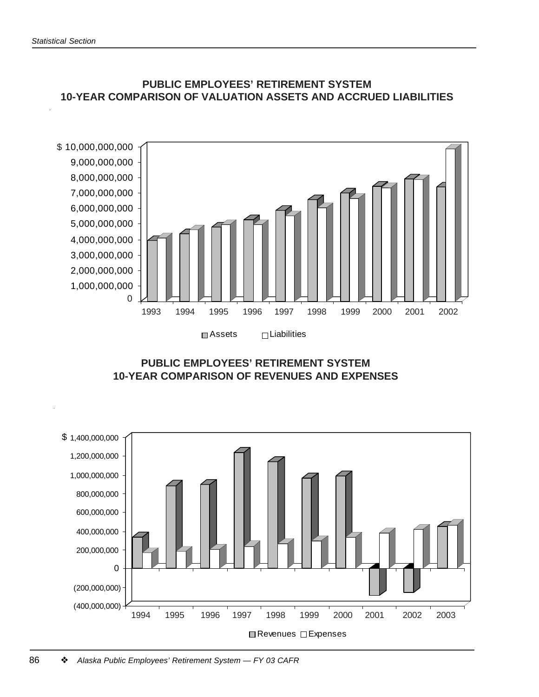

# **PUBLIC EMPLOYEES' RETIREMENT SYSTEM 10-YEAR COMPARISON OF VALUATION ASSETS AND ACCRUED LIABILITIES**

**PUBLIC EMPLOYEES' RETIREMENT SYSTEM 10-YEAR COMPARISON OF REVENUES AND EXPENSES**

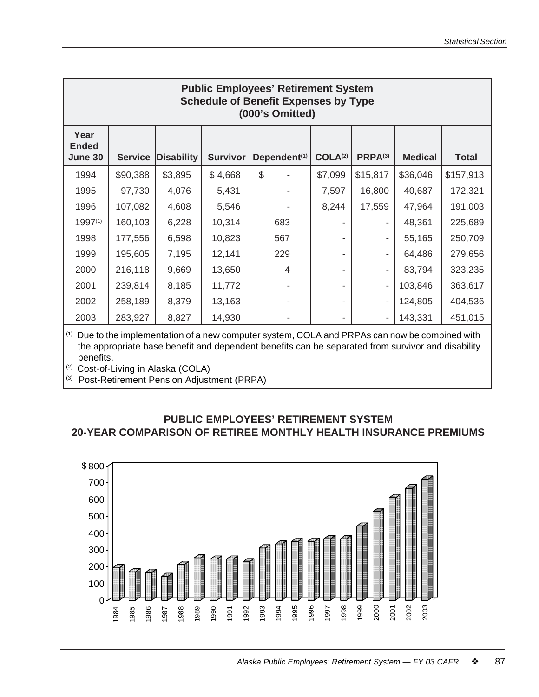| <b>Public Employees' Retirement System</b><br><b>Schedule of Benefit Expenses by Type</b><br>(000's Omitted) |                |            |                 |                          |                     |                          |                |              |  |
|--------------------------------------------------------------------------------------------------------------|----------------|------------|-----------------|--------------------------|---------------------|--------------------------|----------------|--------------|--|
| Year<br><b>Ended</b><br>June 30                                                                              | <b>Service</b> | Disability | <b>Survivor</b> | Dependent <sup>(1)</sup> | COLA <sup>(2)</sup> | $PRPA^{(3)}$             | <b>Medical</b> | <b>Total</b> |  |
| 1994                                                                                                         | \$90,388       | \$3,895    | \$4,668         | $\mathcal{L}$            | \$7,099             | \$15,817                 | \$36,046       | \$157,913    |  |
| 1995                                                                                                         | 97,730         | 4,076      | 5,431           |                          | 7,597               | 16,800                   | 40,687         | 172,321      |  |
| 1996                                                                                                         | 107,082        | 4,608      | 5,546           |                          | 8,244               | 17,559                   | 47,964         | 191,003      |  |
| 1997(1)                                                                                                      | 160,103        | 6,228      | 10,314          | 683                      |                     | -                        | 48,361         | 225,689      |  |
| 1998                                                                                                         | 177,556        | 6,598      | 10,823          | 567                      |                     |                          | 55,165         | 250,709      |  |
| 1999                                                                                                         | 195,605        | 7,195      | 12,141          | 229                      |                     | ٠                        | 64,486         | 279,656      |  |
| 2000                                                                                                         | 216,118        | 9,669      | 13,650          | 4                        |                     | ٠                        | 83,794         | 323,235      |  |
| 2001                                                                                                         | 239,814        | 8,185      | 11,772          |                          |                     | $\overline{\phantom{0}}$ | 103,846        | 363,617      |  |
| 2002                                                                                                         | 258,189        | 8,379      | 13,163          |                          |                     | $\overline{a}$           | 124,805        | 404,536      |  |
| 2003                                                                                                         | 283,927        | 8,827      | 14,930          |                          |                     | $\overline{a}$           | 143,331        | 451,015      |  |

 $\vert$ <sup>(1)</sup> Due to the implementation of a new computer system, COLA and PRPAs can now be combined with the appropriate base benefit and dependent benefits can be separated from survivor and disability benefits.

 $(2)$  Cost-of-Living in Alaska (COLA)

(3) Post-Retirement Pension Adjustment (PRPA)

# **PUBLIC EMPLOYEES' RETIREMENT SYSTEM 20-YEAR COMPARISON OF RETIREE MONTHLY HEALTH INSURANCE PREMIUMS**

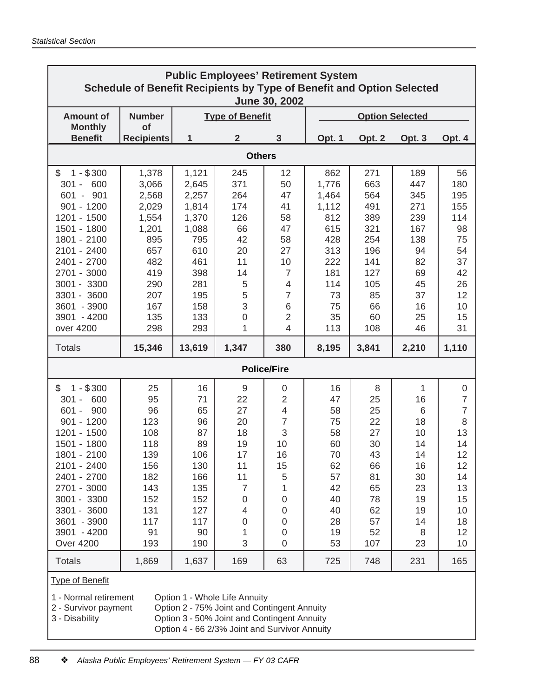| <b>Public Employees' Retirement System</b><br>Schedule of Benefit Recipients by Type of Benefit and Option Selected<br>June 30, 2002 |                         |                          |                        |                          |                        |        |       |                |  |  |  |  |  |  |
|--------------------------------------------------------------------------------------------------------------------------------------|-------------------------|--------------------------|------------------------|--------------------------|------------------------|--------|-------|----------------|--|--|--|--|--|--|
| <b>Amount of</b>                                                                                                                     | <b>Number</b>           |                          | <b>Type of Benefit</b> |                          | <b>Option Selected</b> |        |       |                |  |  |  |  |  |  |
| <b>Monthly</b><br><b>Benefit</b>                                                                                                     | of<br><b>Recipients</b> | 1<br>$\overline{2}$<br>3 |                        |                          | Opt. 3                 |        |       |                |  |  |  |  |  |  |
|                                                                                                                                      |                         |                          |                        |                          | Opt. 1                 | Opt. 2 |       | Opt. 4         |  |  |  |  |  |  |
|                                                                                                                                      | <b>Others</b>           |                          |                        |                          |                        |        |       |                |  |  |  |  |  |  |
| $1 - $300$<br>\$                                                                                                                     | 1,378                   | 1,121                    | 245                    | 12                       | 862                    | 271    | 189   | 56             |  |  |  |  |  |  |
| 600<br>301 -                                                                                                                         | 3,066                   | 2,645                    | 371                    | 50                       | 1,776                  | 663    | 447   | 180            |  |  |  |  |  |  |
| 901<br>$601 -$                                                                                                                       | 2,568                   | 2,257                    | 264                    | 47                       | 1,464                  | 564    | 345   | 195            |  |  |  |  |  |  |
| $901 - 1200$                                                                                                                         | 2,029                   | 1,814                    | 174                    | 41                       | 1,112                  | 491    | 271   | 155            |  |  |  |  |  |  |
| 1201 - 1500                                                                                                                          | 1,554                   | 1,370                    | 126                    | 58                       | 812                    | 389    | 239   | 114            |  |  |  |  |  |  |
| 1501 - 1800                                                                                                                          | 1,201                   | 1,088                    | 66                     | 47                       | 615                    | 321    | 167   | 98             |  |  |  |  |  |  |
| 1801 - 2100                                                                                                                          | 895                     | 795                      | 42                     | 58                       | 428                    | 254    | 138   | 75             |  |  |  |  |  |  |
| 2101 - 2400                                                                                                                          | 657                     | 610                      | 20                     | 27                       | 313                    | 196    | 94    | 54             |  |  |  |  |  |  |
| 2401 - 2700                                                                                                                          | 482                     | 461                      | 11                     | 10                       | 222                    | 141    | 82    | 37             |  |  |  |  |  |  |
| 2701 - 3000                                                                                                                          | 419                     | 398                      | 14                     | $\overline{7}$           | 181                    | 127    | 69    | 42             |  |  |  |  |  |  |
| 3001 - 3300                                                                                                                          | 290                     | 281                      | 5                      | $\overline{\mathcal{A}}$ | 114                    | 105    | 45    | 26             |  |  |  |  |  |  |
| 3301 - 3600                                                                                                                          | 207                     | 195                      | 5                      | $\overline{7}$           | 73                     | 85     | 37    | 12             |  |  |  |  |  |  |
| 3601 - 3900                                                                                                                          | 167                     | 158                      | 3                      | 6                        | 75                     | 66     | 16    | 10             |  |  |  |  |  |  |
| 3901 - 4200                                                                                                                          | 135                     | 133                      | 0                      | $\overline{2}$           | 35                     | 60     | 25    | 15             |  |  |  |  |  |  |
| over 4200                                                                                                                            | 298                     | 293                      | 1                      | $\overline{4}$           | 113                    | 108    | 46    | 31             |  |  |  |  |  |  |
| <b>Totals</b>                                                                                                                        | 15,346                  | 13,619                   | 1,347                  | 380                      | 8,195                  | 3,841  | 2,210 | 1,110          |  |  |  |  |  |  |
|                                                                                                                                      |                         |                          |                        | <b>Police/Fire</b>       |                        |        |       |                |  |  |  |  |  |  |
| $1 - $300$<br>\$                                                                                                                     | 25                      | 16                       | 9                      | 0                        | 16                     | 8      | 1     | 0              |  |  |  |  |  |  |
| 600<br>$301 -$                                                                                                                       | 95                      | 71                       | 22                     | $\overline{2}$           | 47                     | 25     | 16    | $\overline{7}$ |  |  |  |  |  |  |
| $601 -$<br>900                                                                                                                       | 96                      | 65                       | 27                     | $\overline{4}$           | 58                     | 25     | 6     | $\overline{7}$ |  |  |  |  |  |  |
| 901 - 1200                                                                                                                           | 123                     | 96                       | 20                     | 7                        | 75                     | 22     | 18    | $\,8\,$        |  |  |  |  |  |  |
| 1201 - 1500                                                                                                                          | 108                     | 87                       | 18                     | 3                        | 58                     | 27     | 10    | 13             |  |  |  |  |  |  |
| 1501 - 1800                                                                                                                          | 118                     | 89                       | 19                     | 10                       | 60                     | 30     | 14    | 14             |  |  |  |  |  |  |
| 1801 - 2100                                                                                                                          | 139                     | 106                      | 17                     | 16                       | 70                     | 43     | 14    | 12             |  |  |  |  |  |  |
| 2101 - 2400                                                                                                                          | 156                     | 130                      | 11                     | 15                       | 62                     | 66     | 16    | 12             |  |  |  |  |  |  |
| 2401 - 2700                                                                                                                          | 182                     | 166                      | 11                     | 5                        | 57                     | 81     | 30    | 14             |  |  |  |  |  |  |
| 2701 - 3000                                                                                                                          | 143                     | 135                      | $\overline{7}$         | 1                        | 42                     | 65     | 23    | 13             |  |  |  |  |  |  |
| 3001 - 3300                                                                                                                          | 152                     | 152                      | $\boldsymbol{0}$       | $\boldsymbol{0}$         | 40                     | 78     | 19    | 15             |  |  |  |  |  |  |
| 3301 - 3600                                                                                                                          | 131                     | 127                      | 4                      | $\mathbf 0$              | 40                     | 62     | 19    | 10             |  |  |  |  |  |  |
| 3601 - 3900                                                                                                                          | 117                     | 117                      | 0                      | 0                        | 28                     | 57     | 14    | 18             |  |  |  |  |  |  |
| 3901 - 4200                                                                                                                          | 91                      | 90                       | 1                      | 0                        | 19                     | 52     | 8     | 12             |  |  |  |  |  |  |
| <b>Over 4200</b>                                                                                                                     | 193                     | 190                      | 3                      | 0                        | 53                     | 107    | 23    | 10             |  |  |  |  |  |  |
| <b>Totals</b>                                                                                                                        | 1,869                   | 1,637                    | 169                    | 63                       | 725                    | 748    | 231   | 165            |  |  |  |  |  |  |
| <b>Type of Benefit</b>                                                                                                               |                         |                          |                        |                          |                        |        |       |                |  |  |  |  |  |  |
|                                                                                                                                      |                         |                          |                        |                          |                        |        |       |                |  |  |  |  |  |  |

3 - Disability Option 3 - 50% Joint and Contingent Annuity

Option 4 - 66 2/3% Joint and Survivor Annuity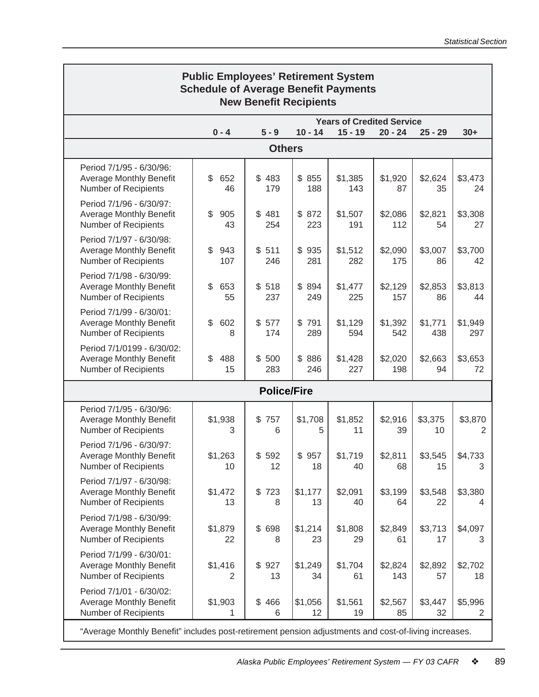| <b>Public Employees' Retirement System</b><br><b>Schedule of Average Benefit Payments</b><br><b>New Benefit Recipients</b> |                                                                                                            |                |                           |                |                |                |                |  |  |  |  |
|----------------------------------------------------------------------------------------------------------------------------|------------------------------------------------------------------------------------------------------------|----------------|---------------------------|----------------|----------------|----------------|----------------|--|--|--|--|
|                                                                                                                            | <b>Years of Credited Service</b><br>$5 - 9$<br>$0 - 4$<br>$10 - 14$<br>$15 - 19$<br>$20 - 24$<br>$25 - 29$ |                |                           |                |                |                |                |  |  |  |  |
|                                                                                                                            |                                                                                                            | <b>Others</b>  |                           |                |                |                | $30+$          |  |  |  |  |
| Period 7/1/95 - 6/30/96:<br><b>Average Monthly Benefit</b><br><b>Number of Recipients</b>                                  | \$<br>652<br>46                                                                                            | \$483<br>179   | \$855<br>188              | \$1,385<br>143 | \$1,920<br>87  | \$2,624<br>35  | \$3,473<br>24  |  |  |  |  |
| Period 7/1/96 - 6/30/97:<br><b>Average Monthly Benefit</b><br>Number of Recipients                                         | \$<br>905<br>43                                                                                            | \$481<br>254   | \$872<br>223              | \$1,507<br>191 | \$2,086<br>112 | \$2,821<br>54  | \$3,308<br>27  |  |  |  |  |
| Period 7/1/97 - 6/30/98:<br><b>Average Monthly Benefit</b><br>Number of Recipients                                         | \$<br>943<br>107                                                                                           | \$511<br>246   | \$935<br>281              | \$1,512<br>282 | \$2,090<br>175 | \$3,007<br>86  | \$3,700<br>42  |  |  |  |  |
| Period 7/1/98 - 6/30/99:<br><b>Average Monthly Benefit</b><br>Number of Recipients                                         | \$<br>653<br>55                                                                                            | \$518<br>237   | \$ 894<br>249             | \$1,477<br>225 | \$2,129<br>157 | \$2,853<br>86  | \$3,813<br>44  |  |  |  |  |
| Period 7/1/99 - 6/30/01:<br><b>Average Monthly Benefit</b><br>Number of Recipients                                         | \$<br>602<br>8                                                                                             | \$577<br>174   | \$791<br>289              | \$1,129<br>594 | \$1,392<br>542 | \$1,771<br>438 | \$1,949<br>297 |  |  |  |  |
| Period 7/1/0199 - 6/30/02:<br><b>Average Monthly Benefit</b><br>Number of Recipients                                       | \$<br>488<br>15                                                                                            | \$500<br>283   | $\mathbb S$<br>886<br>246 | \$1,428<br>227 | \$2,020<br>198 | \$2,663<br>94  | \$3,653<br>72  |  |  |  |  |
| <b>Police/Fire</b>                                                                                                         |                                                                                                            |                |                           |                |                |                |                |  |  |  |  |
| Period 7/1/95 - 6/30/96:<br><b>Average Monthly Benefit</b><br><b>Number of Recipients</b>                                  | \$1,938<br>3                                                                                               | \$757<br>6     | \$1,708<br>5              | \$1,852<br>11  | \$2,916<br>39  | \$3,375<br>10  | \$3,870<br>2   |  |  |  |  |
| Period 7/1/96 - 6/30/97:<br><b>Average Monthly Benefit</b><br>Number of Recipients                                         | \$1,263<br>10                                                                                              | \$592<br>12    | \$957<br>18               | \$1,719<br>40  | \$2,811<br>68  | \$3,545<br>15  | \$4,733<br>3   |  |  |  |  |
| Period 7/1/97 - 6/30/98:<br><b>Average Monthly Benefit</b><br>Number of Recipients                                         | \$1,472<br>13                                                                                              | \$723<br>8     | \$1,177<br>13             | \$2,091<br>40  | \$3,199<br>64  | \$3,548<br>22  | \$3,380<br>4   |  |  |  |  |
| Period 7/1/98 - 6/30/99:<br><b>Average Monthly Benefit</b><br>Number of Recipients                                         | \$1,879<br>22                                                                                              | \$698<br>8     | \$1,214<br>23             | \$1,808<br>29  | \$2,849<br>61  | \$3,713<br>17  | \$4,097<br>3   |  |  |  |  |
| Period 7/1/99 - 6/30/01:<br><b>Average Monthly Benefit</b><br>Number of Recipients                                         | \$1,416<br>2                                                                                               | \$927<br>13    | \$1,249<br>34             | \$1,704<br>61  | \$2,824<br>143 | \$2,892<br>57  | \$2,702<br>18  |  |  |  |  |
| Period 7/1/01 - 6/30/02:<br><b>Average Monthly Benefit</b><br>Number of Recipients                                         | \$1,903<br>1                                                                                               | \$<br>466<br>6 | \$1,056<br>12             | \$1,561<br>19  | \$2,567<br>85  | \$3,447<br>32  | \$5,996<br>2   |  |  |  |  |
| "Average Monthly Benefit" includes post-retirement pension adjustments and cost-of-living increases.                       |                                                                                                            |                |                           |                |                |                |                |  |  |  |  |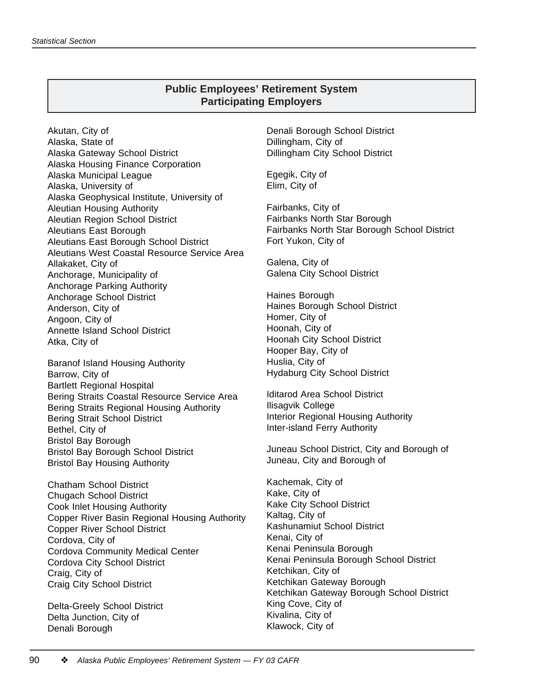# **Public Employees' Retirement System Participating Employers**

Akutan, City of Alaska, State of Alaska Gateway School District Alaska Housing Finance Corporation Alaska Municipal League Alaska, University of Alaska Geophysical Institute, University of Aleutian Housing Authority Aleutian Region School District Aleutians East Borough Aleutians East Borough School District Aleutians West Coastal Resource Service Area Allakaket, City of Anchorage, Municipality of Anchorage Parking Authority Anchorage School District Anderson, City of Angoon, City of Annette Island School District Atka, City of

Baranof Island Housing Authority Barrow, City of Bartlett Regional Hospital Bering Straits Coastal Resource Service Area Bering Straits Regional Housing Authority Bering Strait School District Bethel, City of Bristol Bay Borough Bristol Bay Borough School District Bristol Bay Housing Authority

Chatham School District Chugach School District Cook Inlet Housing Authority Copper River Basin Regional Housing Authority Copper River School District Cordova, City of Cordova Community Medical Center Cordova City School District Craig, City of Craig City School District

Delta-Greely School District Delta Junction, City of Denali Borough

Denali Borough School District Dillingham, City of Dillingham City School District

Egegik, City of Elim, City of

Fairbanks, City of Fairbanks North Star Borough Fairbanks North Star Borough School District Fort Yukon, City of

Galena, City of Galena City School District

Haines Borough Haines Borough School District Homer, City of Hoonah, City of Hoonah City School District Hooper Bay, City of Huslia, City of Hydaburg City School District

Iditarod Area School District Ilisagvik College Interior Regional Housing Authority Inter-island Ferry Authority

Juneau School District, City and Borough of Juneau, City and Borough of

Kachemak, City of Kake, City of Kake City School District Kaltag, City of Kashunamiut School District Kenai, City of Kenai Peninsula Borough Kenai Peninsula Borough School District Ketchikan, City of Ketchikan Gateway Borough Ketchikan Gateway Borough School District King Cove, City of Kivalina, City of Klawock, City of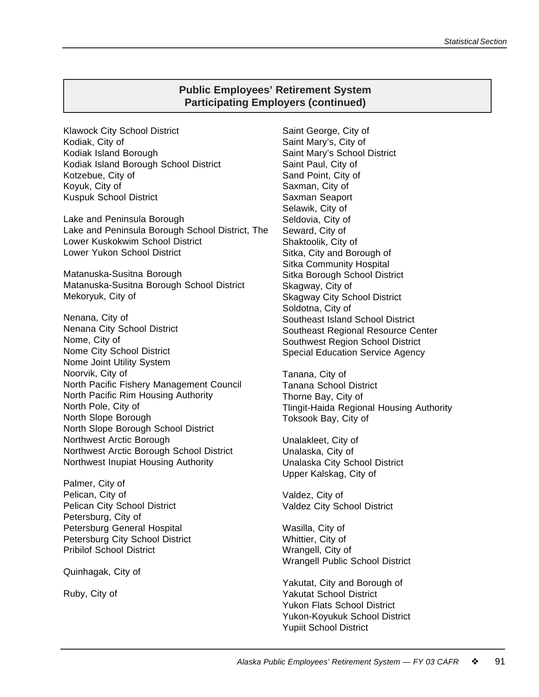# **Public Employees' Retirement System Participating Employers (continued)**

Klawock City School District Kodiak, City of Kodiak Island Borough Kodiak Island Borough School District Kotzebue, City of Koyuk, City of Kuspuk School District

Lake and Peninsula Borough Lake and Peninsula Borough School District, The Lower Kuskokwim School District Lower Yukon School District

Matanuska-Susitna Borough Matanuska-Susitna Borough School District Mekoryuk, City of

Nenana, City of Nenana City School District Nome, City of Nome City School District Nome Joint Utility System Noorvik, City of North Pacific Fishery Management Council North Pacific Rim Housing Authority North Pole, City of North Slope Borough North Slope Borough School District Northwest Arctic Borough Northwest Arctic Borough School District Northwest Inupiat Housing Authority

Palmer, City of Pelican, City of Pelican City School District Petersburg, City of Petersburg General Hospital Petersburg City School District Pribilof School District

Quinhagak, City of

Ruby, City of

Saint George, City of Saint Mary's, City of Saint Mary's School District Saint Paul, City of Sand Point, City of Saxman, City of Saxman Seaport Selawik, City of Seldovia, City of Seward, City of Shaktoolik, City of Sitka, City and Borough of Sitka Community Hospital Sitka Borough School District Skagway, City of Skagway City School District Soldotna, City of Southeast Island School District Southeast Regional Resource Center Southwest Region School District Special Education Service Agency

Tanana, City of Tanana School District Thorne Bay, City of Tlingit-Haida Regional Housing Authority Toksook Bay, City of

Unalakleet, City of Unalaska, City of Unalaska City School District Upper Kalskag, City of

Valdez, City of Valdez City School District

Wasilla, City of Whittier, City of Wrangell, City of Wrangell Public School District

Yakutat, City and Borough of Yakutat School District Yukon Flats School District Yukon-Koyukuk School District Yupiit School District